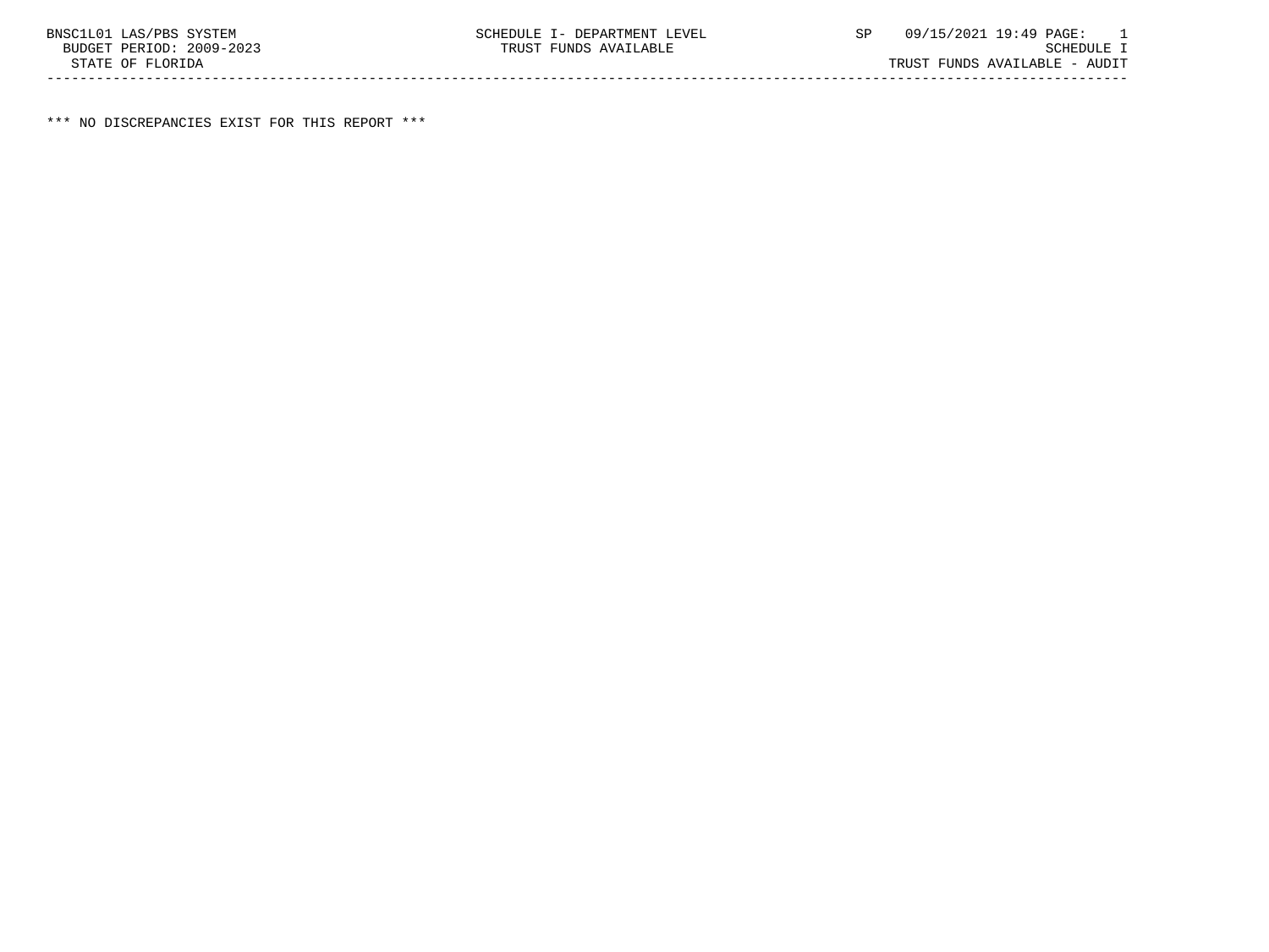\*\*\* NO DISCREPANCIES EXIST FOR THIS REPORT \*\*\*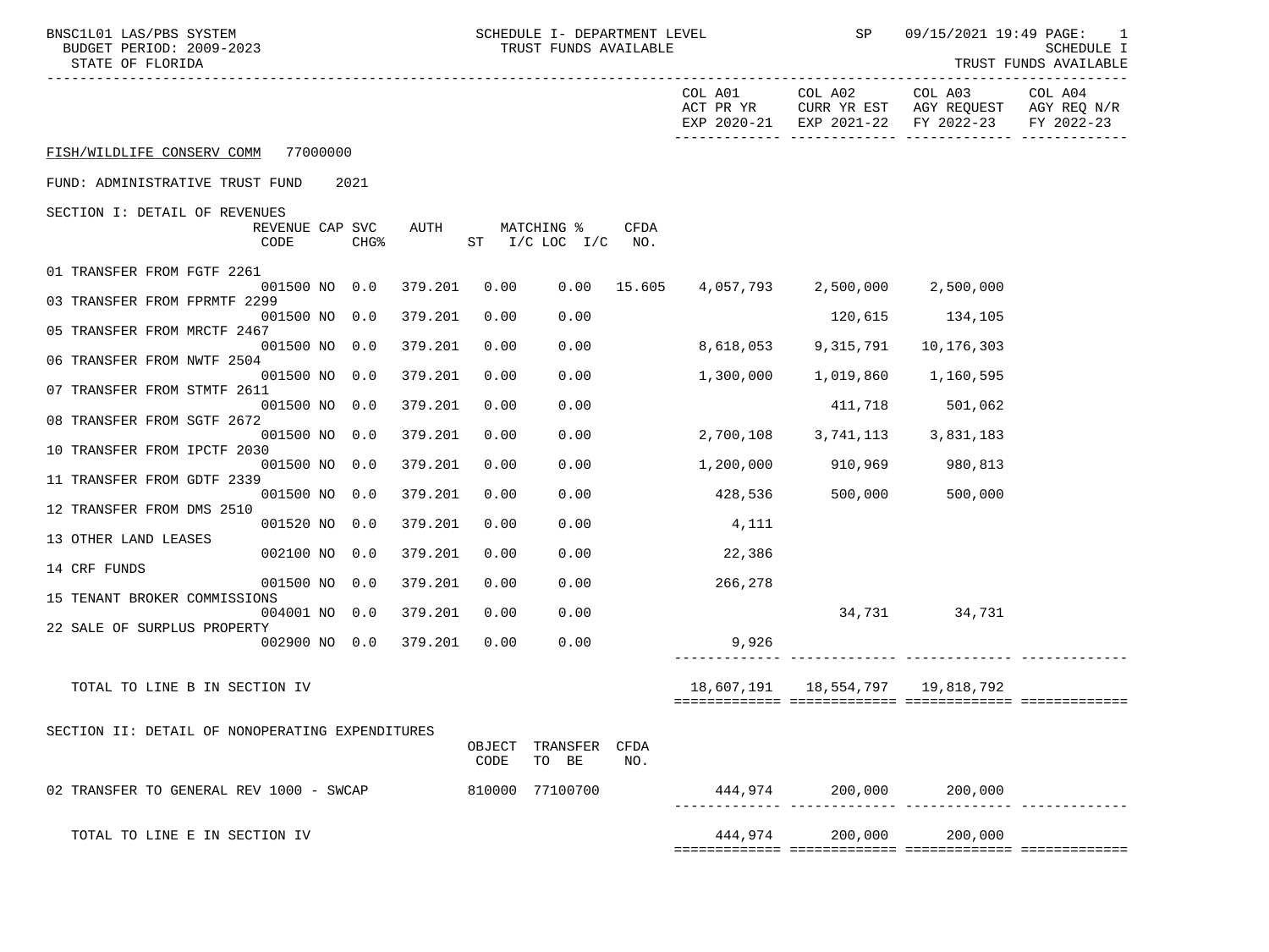| BNSC1L01 LAS/PBS SYSTEM<br>BUDGET PERIOD: 2009-2023<br>STATE OF FLORIDA |                         |                  |         |                | SCHEDULE I- DEPARTMENT LEVEL<br>TRUST FUNDS AVAILABLE |               |                      | <b>SP</b>                            | 09/15/2021 19:49 PAGE:                                                               | $\overline{\phantom{0}}$<br><b>SCHEDULE I</b><br>TRUST FUNDS AVAILABLE |
|-------------------------------------------------------------------------|-------------------------|------------------|---------|----------------|-------------------------------------------------------|---------------|----------------------|--------------------------------------|--------------------------------------------------------------------------------------|------------------------------------------------------------------------|
|                                                                         |                         |                  |         |                |                                                       |               | COL A01<br>ACT PR YR | COL A02                              | COL A03<br>CURR YR EST AGY REQUEST AGY REQ N/R<br>EXP 2020-21 EXP 2021-22 FY 2022-23 | COL A04<br>FY 2022-23                                                  |
| FISH/WILDLIFE CONSERV COMM 77000000                                     |                         |                  |         |                |                                                       |               |                      |                                      |                                                                                      |                                                                        |
| FUND: ADMINISTRATIVE TRUST FUND                                         |                         | 2021             |         |                |                                                       |               |                      |                                      |                                                                                      |                                                                        |
| SECTION I: DETAIL OF REVENUES                                           | REVENUE CAP SVC<br>CODE | CHG <sup>8</sup> | AUTH    |                | MATCHING %<br>ST I/C LOC I/C                          | CFDA<br>NO.   |                      |                                      |                                                                                      |                                                                        |
| 01 TRANSFER FROM FGTF 2261                                              | 001500 NO 0.0           |                  | 379.201 | 0.00           |                                                       | $0.00$ 15.605 |                      | 4,057,793 2,500,000 2,500,000        |                                                                                      |                                                                        |
| 03 TRANSFER FROM FPRMTF 2299                                            | 001500 NO 0.0           |                  | 379.201 | 0.00           | 0.00                                                  |               |                      | 120,615                              | 134,105                                                                              |                                                                        |
| 05 TRANSFER FROM MRCTF 2467                                             | 001500 NO 0.0           |                  | 379.201 | 0.00           | 0.00                                                  |               | 8,618,053            | 9,315,791                            | 10,176,303                                                                           |                                                                        |
| 06 TRANSFER FROM NWTF 2504                                              | 001500 NO 0.0           |                  | 379.201 | 0.00           | 0.00                                                  |               | 1,300,000            | 1,019,860                            | 1,160,595                                                                            |                                                                        |
| 07 TRANSFER FROM STMTF 2611                                             | 001500 NO 0.0           |                  | 379.201 | 0.00           | 0.00                                                  |               |                      | 411,718                              | 501,062                                                                              |                                                                        |
| 08 TRANSFER FROM SGTF 2672                                              | 001500 NO 0.0           |                  | 379.201 | 0.00           | 0.00                                                  |               | 2,700,108            | 3,741,113                            | 3,831,183                                                                            |                                                                        |
| 10 TRANSFER FROM IPCTF 2030                                             | 001500 NO 0.0           |                  | 379.201 | 0.00           | 0.00                                                  |               | 1,200,000            | 910,969                              | 980,813                                                                              |                                                                        |
| 11 TRANSFER FROM GDTF 2339                                              | 001500 NO 0.0           |                  | 379.201 | 0.00           | 0.00                                                  |               | 428,536              | 500,000                              | 500,000                                                                              |                                                                        |
| 12 TRANSFER FROM DMS 2510                                               | 001520 NO 0.0           |                  | 379.201 | 0.00           | 0.00                                                  |               | 4,111                |                                      |                                                                                      |                                                                        |
| 13 OTHER LAND LEASES                                                    | 002100 NO 0.0           |                  | 379.201 | 0.00           | 0.00                                                  |               | 22,386               |                                      |                                                                                      |                                                                        |
| 14 CRF FUNDS                                                            | 001500 NO 0.0           |                  | 379.201 | 0.00           | 0.00                                                  |               | 266,278              |                                      |                                                                                      |                                                                        |
| 15 TENANT BROKER COMMISSIONS                                            | 004001 NO 0.0           |                  | 379.201 | 0.00           | 0.00                                                  |               |                      |                                      | 34,731 34,731                                                                        |                                                                        |
| 22 SALE OF SURPLUS PROPERTY                                             | 002900 NO 0.0           |                  | 379.201 | 0.00           | 0.00                                                  |               | 9,926                |                                      |                                                                                      |                                                                        |
| TOTAL TO LINE B IN SECTION IV                                           |                         |                  |         |                |                                                       |               |                      | 18,607,191   18,554,797   19,818,792 |                                                                                      |                                                                        |
| SECTION II: DETAIL OF NONOPERATING EXPENDITURES                         |                         |                  |         | OBJECT<br>CODE | TRANSFER<br>TO BE                                     | CFDA<br>NO.   |                      |                                      |                                                                                      |                                                                        |
| 02 TRANSFER TO GENERAL REV 1000 - SWCAP                                 |                         |                  |         |                | 810000 77100700                                       |               | 444,974              | 200,000                              | 200,000                                                                              |                                                                        |
| TOTAL TO LINE E IN SECTION IV                                           |                         |                  |         |                |                                                       |               | 444,974              | 200,000                              | 200,000                                                                              |                                                                        |

============= ============= ============= =============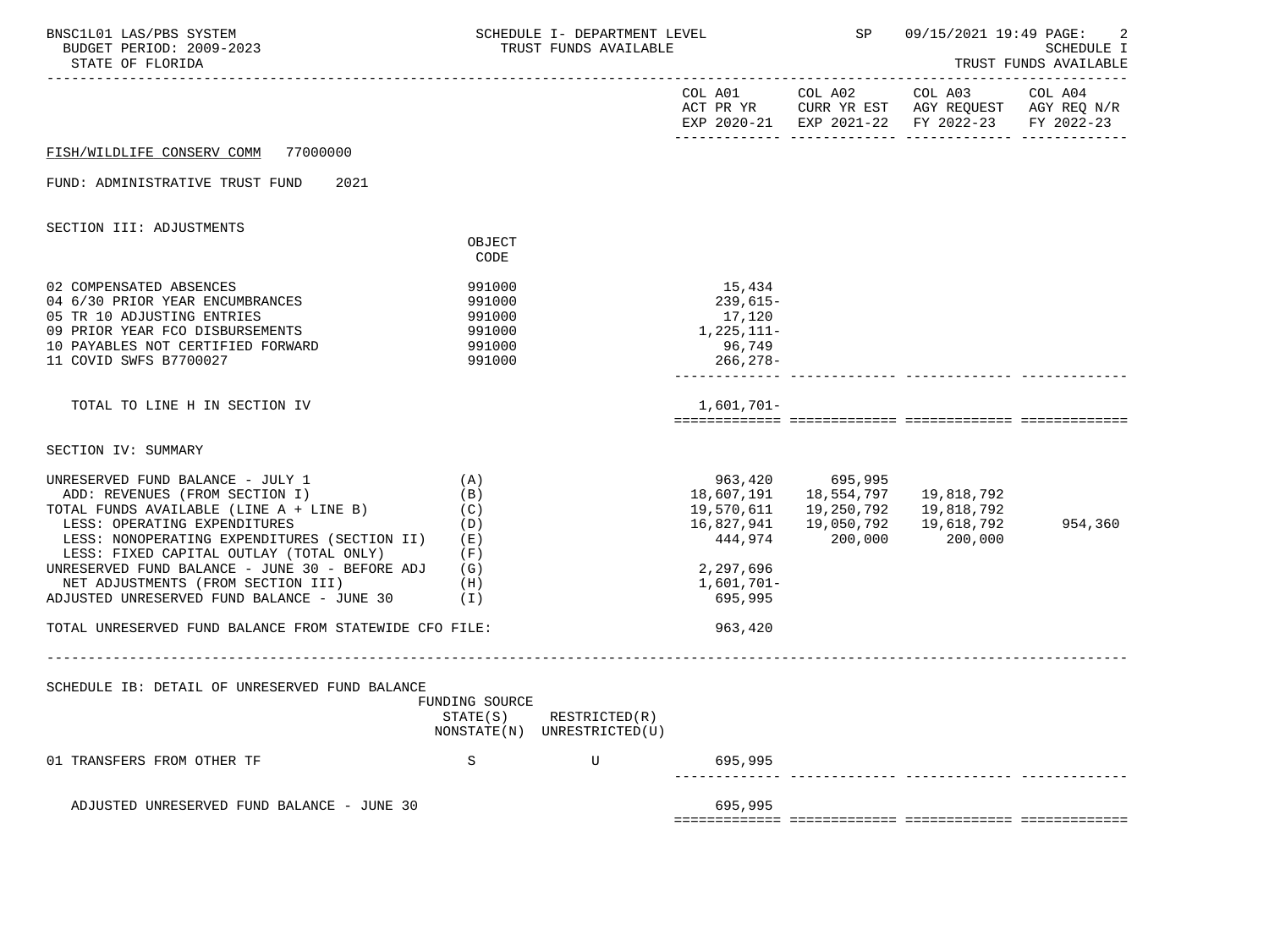| BNSC1L01 LAS/PBS SYSTEM<br>BUDGET PERIOD: 2009-2023<br>STATE OF FLORIDA                                                                                                                                                                                                                                                                                                                                                                                             |                                                          | SCHEDULE I- DEPARTMENT LEVEL SP<br>TRUST FUNDS AVAILABLE |                                                                                                      |                                                                      | 09/15/2021 19:49 PAGE:                                                                                                                                                                                                                                                                             | -2<br><b>SCHEDULE I</b><br>TRUST FUNDS AVAILABLE |
|---------------------------------------------------------------------------------------------------------------------------------------------------------------------------------------------------------------------------------------------------------------------------------------------------------------------------------------------------------------------------------------------------------------------------------------------------------------------|----------------------------------------------------------|----------------------------------------------------------|------------------------------------------------------------------------------------------------------|----------------------------------------------------------------------|----------------------------------------------------------------------------------------------------------------------------------------------------------------------------------------------------------------------------------------------------------------------------------------------------|--------------------------------------------------|
|                                                                                                                                                                                                                                                                                                                                                                                                                                                                     |                                                          |                                                          |                                                                                                      |                                                                      | $\begin{tabular}{lllllllllll} \multicolumn{2}{l}{{\text{COL A01}}} & \multicolumn{2}{c}{\text{COL A02}} & \multicolumn{2}{c}{\text{COL A03}} & \multicolumn{2}{c}{\text{COL A04}} \end{tabular}$<br>ACT PR YR CURR YR EST AGY REQUEST AGY REQ N/R<br>EXP 2020-21 EXP 2021-22 FY 2022-23 FY 2022-23 |                                                  |
| FISH/WILDLIFE CONSERV COMM 77000000                                                                                                                                                                                                                                                                                                                                                                                                                                 |                                                          |                                                          |                                                                                                      |                                                                      |                                                                                                                                                                                                                                                                                                    |                                                  |
| FUND: ADMINISTRATIVE TRUST FUND<br>2021                                                                                                                                                                                                                                                                                                                                                                                                                             |                                                          |                                                          |                                                                                                      |                                                                      |                                                                                                                                                                                                                                                                                                    |                                                  |
| SECTION III: ADJUSTMENTS                                                                                                                                                                                                                                                                                                                                                                                                                                            |                                                          |                                                          |                                                                                                      |                                                                      |                                                                                                                                                                                                                                                                                                    |                                                  |
|                                                                                                                                                                                                                                                                                                                                                                                                                                                                     | OBJECT<br>CODE                                           |                                                          |                                                                                                      |                                                                      |                                                                                                                                                                                                                                                                                                    |                                                  |
| 02 COMPENSATED ABSENCES<br>04 6/30 PRIOR YEAR ENCUMBRANCES<br>05 TR 10 ADJUSTING ENTRIES<br>09 PRIOR YEAR FCO DISBURSEMENTS<br>10 PAYABLES NOT CERTIFIED FORWARD<br>11 COVID SWFS B7700027                                                                                                                                                                                                                                                                          | 991000<br>991000<br>991000<br>991000<br>991000<br>991000 |                                                          | 15,434<br>239,615-<br>17,120<br>1,225,111-<br>96,749<br>266,278-                                     |                                                                      |                                                                                                                                                                                                                                                                                                    |                                                  |
| TOTAL TO LINE H IN SECTION IV                                                                                                                                                                                                                                                                                                                                                                                                                                       |                                                          |                                                          | 1,601,701-                                                                                           |                                                                      |                                                                                                                                                                                                                                                                                                    |                                                  |
| SECTION IV: SUMMARY                                                                                                                                                                                                                                                                                                                                                                                                                                                 |                                                          |                                                          |                                                                                                      |                                                                      |                                                                                                                                                                                                                                                                                                    |                                                  |
| UNRESERVED FUND BALANCE - JULY 1<br>ADD: REVENUES (FROM SECTION I)<br>TOTAL FUNDS AVAILABLE (LINE A + LINE B) (C)<br>LESS: OPERATING EXPENDITURES<br>LESS: NONOPERATING EXPENDITURES (SECTION II) (E)<br>LESS: FIXED CAPITAL OUTLAY (TOTAL ONLY)<br>UNRESERVED FUND BALANCE - JUNE 30 - BEFORE ADJ $(G)$<br>NET ADJUSTMENTS (FROM SECTION III)<br>(H)<br>ADJUSTED UNRESERVED FUND BALANCE - JUNE 30 $(1)$<br>TOTAL UNRESERVED FUND BALANCE FROM STATEWIDE CFO FILE: | (A)<br>(B)<br>(D)<br>(F)                                 |                                                          | 18,607,191<br>19,570,611<br>16,827,941<br>444,974<br>2,297,696<br>$1,601,701-$<br>695,995<br>963,420 | 963,420 695,995<br>18,554,797<br>19,250,792<br>19,050,792<br>200,000 | 19,818,792<br>19,818,792<br>19,618,792<br>200,000                                                                                                                                                                                                                                                  | 954,360                                          |
|                                                                                                                                                                                                                                                                                                                                                                                                                                                                     |                                                          |                                                          |                                                                                                      |                                                                      |                                                                                                                                                                                                                                                                                                    |                                                  |
| SCHEDULE IB: DETAIL OF UNRESERVED FUND BALANCE                                                                                                                                                                                                                                                                                                                                                                                                                      | FUNDING SOURCE<br>STATE(S)                               | RESTRICTED(R)<br>NONSTATE(N) UNRESTRICTED(U)             |                                                                                                      |                                                                      |                                                                                                                                                                                                                                                                                                    |                                                  |
| 01 TRANSFERS FROM OTHER TF                                                                                                                                                                                                                                                                                                                                                                                                                                          | S                                                        | U                                                        | 695,995                                                                                              |                                                                      |                                                                                                                                                                                                                                                                                                    |                                                  |
| ADJUSTED UNRESERVED FUND BALANCE - JUNE 30                                                                                                                                                                                                                                                                                                                                                                                                                          |                                                          |                                                          | 695,995                                                                                              |                                                                      |                                                                                                                                                                                                                                                                                                    |                                                  |
|                                                                                                                                                                                                                                                                                                                                                                                                                                                                     |                                                          |                                                          |                                                                                                      |                                                                      |                                                                                                                                                                                                                                                                                                    |                                                  |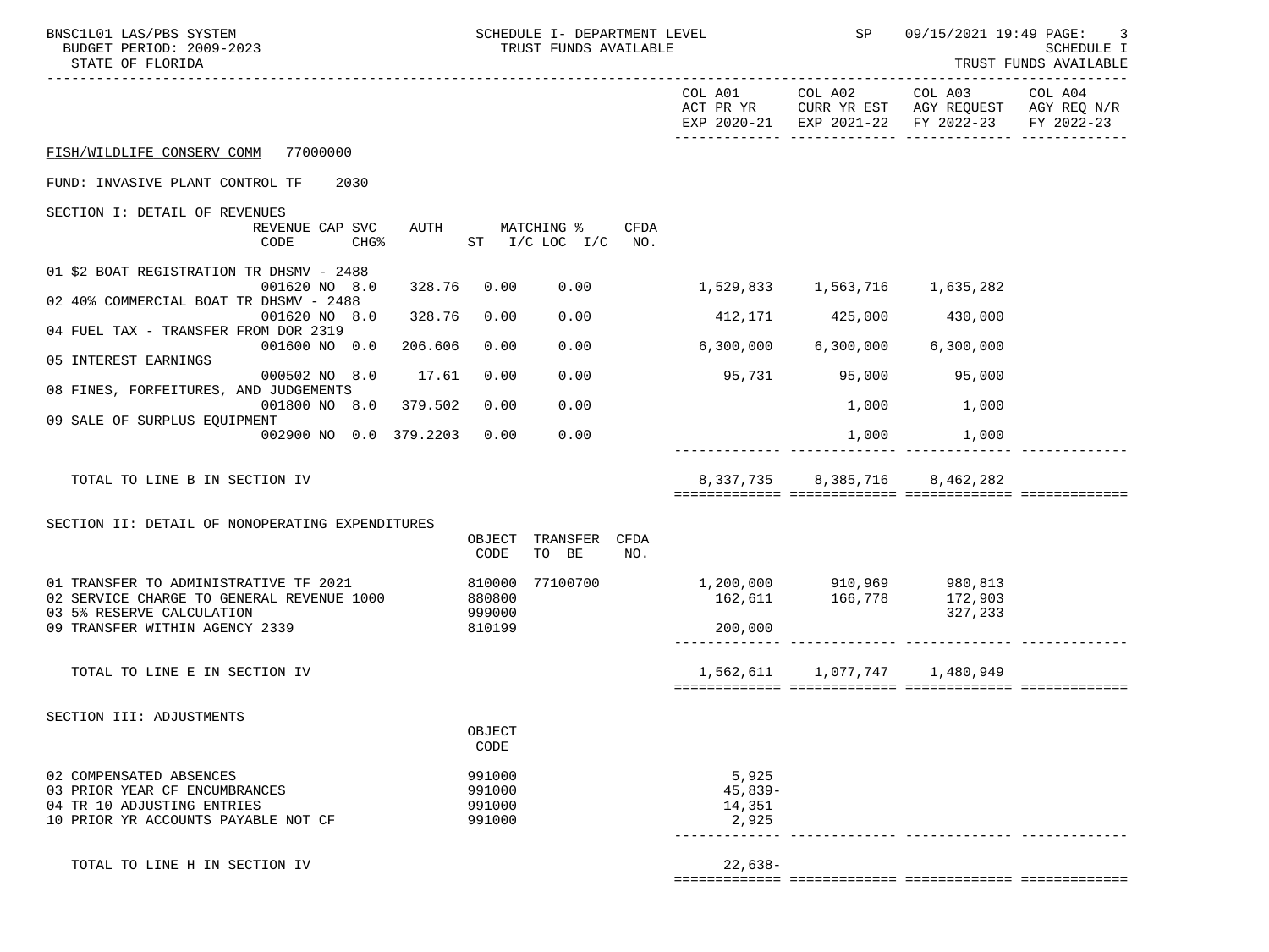| BNSC1L01 LAS/PBS SYSTEM<br>BUDGET PERIOD: 2009-2023<br>STATE OF FLORIDA | SCHEDULE I- DEPARTMENT LEVEL<br>TRUST FUNDS AVAILABLE |                                                      | <b>SP</b> SP                        | 09/15/2021 19:49 PAGE:<br>SCHEDULE I<br>TRUST FUNDS AVAILABLE                                                          |            |  |
|-------------------------------------------------------------------------|-------------------------------------------------------|------------------------------------------------------|-------------------------------------|------------------------------------------------------------------------------------------------------------------------|------------|--|
|                                                                         |                                                       |                                                      |                                     | COL A01 COL A02 COL A03 COL A04<br>ACT PR YR CURR YR EST AGY REQUEST AGY REQ N/R<br>EXP 2020-21 EXP 2021-22 FY 2022-23 | FY 2022-23 |  |
| FISH/WILDLIFE CONSERV COMM 77000000                                     |                                                       |                                                      |                                     |                                                                                                                        |            |  |
| FUND: INVASIVE PLANT CONTROL TF<br>2030                                 |                                                       |                                                      |                                     |                                                                                                                        |            |  |
| SECTION I: DETAIL OF REVENUES                                           |                                                       |                                                      |                                     |                                                                                                                        |            |  |
| REVENUE CAP SVC<br>CODE<br>$CHG\$                                       | AUTH MATCHING %<br>CFDA<br>ST $I/C$ LOC $I/C$ NO.     |                                                      |                                     |                                                                                                                        |            |  |
| 01 \$2 BOAT REGISTRATION TR DHSMV - 2488                                |                                                       |                                                      |                                     |                                                                                                                        |            |  |
| 001620 NO 8.0<br>328.76<br>02 40% COMMERCIAL BOAT TR DHSMV - 2488       | 0.00<br>0.00                                          |                                                      |                                     |                                                                                                                        |            |  |
| 328.76<br>001620 NO 8.0<br>04 FUEL TAX - TRANSFER FROM DOR 2319         | 0.00<br>0.00                                          |                                                      | 412,171 425,000 430,000             |                                                                                                                        |            |  |
| 206.606<br>001600 NO 0.0<br>05 INTEREST EARNINGS                        | 0.00<br>0.00                                          | $6,300,000$ $6,300,000$ $6,300,000$                  |                                     |                                                                                                                        |            |  |
| 000502 NO 8.0 17.61                                                     | 0.00<br>0.00                                          | 95,731 95,000 95,000                                 |                                     |                                                                                                                        |            |  |
| 08 FINES, FORFEITURES, AND JUDGEMENTS<br>001800 NO 8.0 379.502          | 0.00<br>0.00                                          |                                                      | 1,000                               | 1,000                                                                                                                  |            |  |
| 09 SALE OF SURPLUS EQUIPMENT<br>002900 NO 0.0 379.2203                  | 0.00<br>0.00                                          |                                                      | 1,000                               | 1,000                                                                                                                  |            |  |
|                                                                         |                                                       |                                                      |                                     |                                                                                                                        |            |  |
| TOTAL TO LINE B IN SECTION IV                                           |                                                       |                                                      | 8, 337, 735 8, 385, 716 8, 462, 282 |                                                                                                                        |            |  |
|                                                                         |                                                       |                                                      |                                     |                                                                                                                        |            |  |
| SECTION II: DETAIL OF NONOPERATING EXPENDITURES                         | TRANSFER CFDA<br>OBJECT                               |                                                      |                                     |                                                                                                                        |            |  |
|                                                                         | TO BE<br>CODE<br>NO.                                  |                                                      |                                     |                                                                                                                        |            |  |
| 01 TRANSFER TO ADMINISTRATIVE TF 2021                                   | 77100700<br>810000                                    | 1,200,000 910,969 980,813<br>162,611 166,778 172,903 |                                     |                                                                                                                        |            |  |
| 02 SERVICE CHARGE TO GENERAL REVENUE 1000<br>03 5% RESERVE CALCULATION  | 880800<br>999000                                      |                                                      |                                     | 327,233                                                                                                                |            |  |
| 09 TRANSFER WITHIN AGENCY 2339                                          | 810199                                                | 200,000                                              |                                     |                                                                                                                        |            |  |
| TOTAL TO LINE E IN SECTION IV                                           |                                                       |                                                      | 1,562,611 1,077,747 1,480,949       |                                                                                                                        |            |  |
|                                                                         |                                                       |                                                      |                                     |                                                                                                                        |            |  |
| SECTION III: ADJUSTMENTS                                                |                                                       |                                                      |                                     |                                                                                                                        |            |  |
|                                                                         | OBJECT<br>CODE                                        |                                                      |                                     |                                                                                                                        |            |  |
| 02 COMPENSATED ABSENCES                                                 | 991000                                                | 5,925                                                |                                     |                                                                                                                        |            |  |
| 03 PRIOR YEAR CF ENCUMBRANCES                                           | 991000                                                | $45,839-$                                            |                                     |                                                                                                                        |            |  |
| 04 TR 10 ADJUSTING ENTRIES<br>10 PRIOR YR ACCOUNTS PAYABLE NOT CF       | 991000<br>991000                                      | 14,351<br>2,925                                      |                                     |                                                                                                                        |            |  |
|                                                                         |                                                       |                                                      |                                     |                                                                                                                        |            |  |
| TOTAL TO LINE H IN SECTION IV                                           |                                                       | $22,638-$                                            |                                     |                                                                                                                        |            |  |
|                                                                         |                                                       |                                                      |                                     |                                                                                                                        |            |  |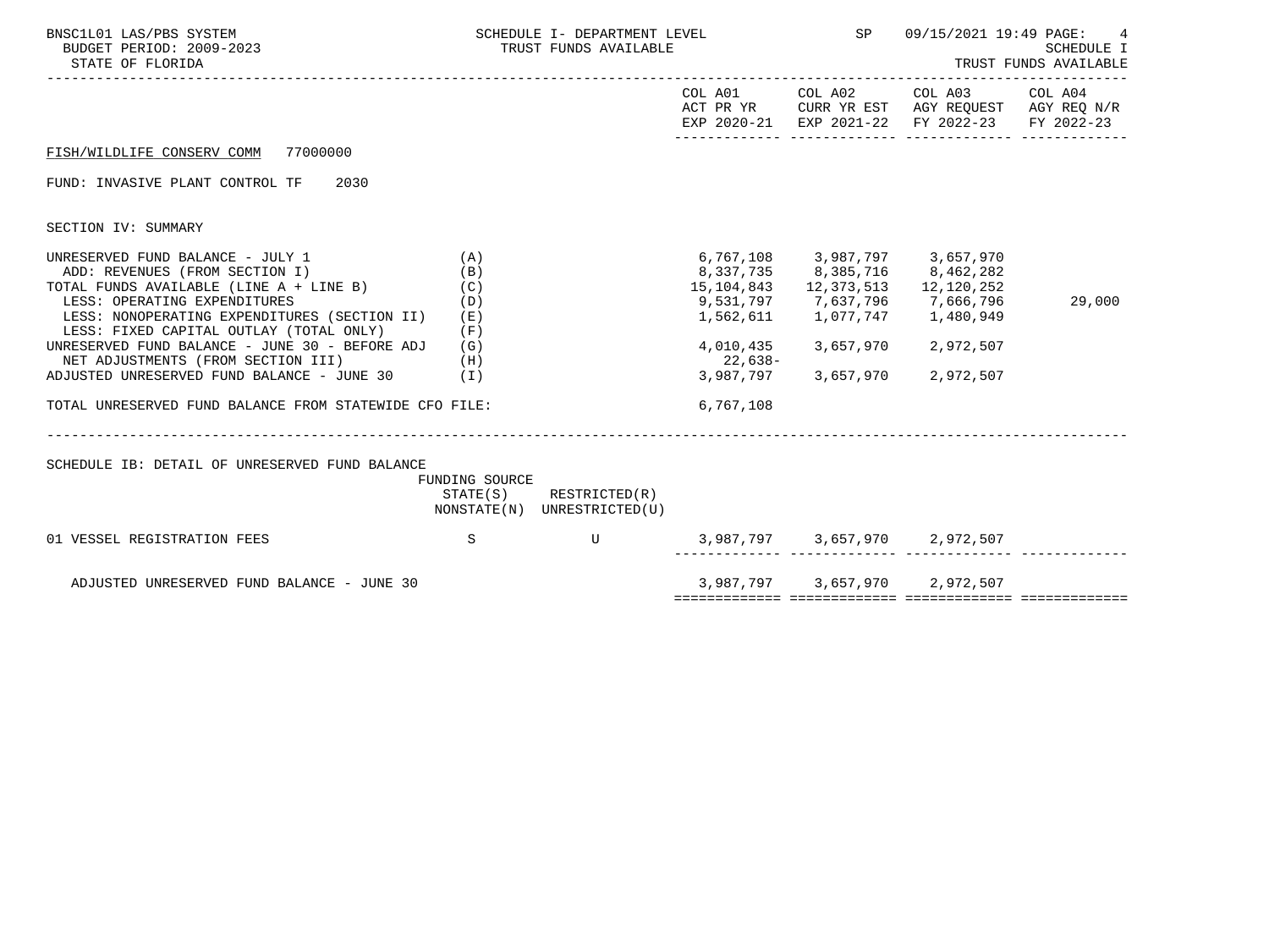| BNSC1L01 LAS/PBS SYSTEM<br>BUDGET PERIOD: 2009-2023<br>STATE OF FLORIDA                                                                                                                                                                                                                            | SCHEDULE I- DEPARTMENT LEVEL THE SPACE SP<br>TRUST FUNDS AVAILABLE |                                                            |            |                                                                       | 09/15/2021 19:49 PAGE:<br>4<br>SCHEDULE I<br>TRUST FUNDS AVAILABLE                                                     |            |  |
|----------------------------------------------------------------------------------------------------------------------------------------------------------------------------------------------------------------------------------------------------------------------------------------------------|--------------------------------------------------------------------|------------------------------------------------------------|------------|-----------------------------------------------------------------------|------------------------------------------------------------------------------------------------------------------------|------------|--|
|                                                                                                                                                                                                                                                                                                    |                                                                    |                                                            |            |                                                                       | COL A01 COL A02 COL A03 COL A04<br>ACT PR YR CURR YR EST AGY REQUEST AGY REQ N/R<br>EXP 2020-21 EXP 2021-22 FY 2022-23 | FY 2022-23 |  |
| FISH/WILDLIFE CONSERV COMM 77000000                                                                                                                                                                                                                                                                |                                                                    |                                                            |            |                                                                       |                                                                                                                        |            |  |
| FUND: INVASIVE PLANT CONTROL TF<br>2030                                                                                                                                                                                                                                                            |                                                                    |                                                            |            |                                                                       |                                                                                                                        |            |  |
| SECTION IV: SUMMARY                                                                                                                                                                                                                                                                                |                                                                    |                                                            |            |                                                                       |                                                                                                                        |            |  |
| UNRESERVED FUND BALANCE - JULY 1<br>ADD: REVENUES (FROM SECTION I)<br>TOTAL FUNDS AVAILABLE (LINE A + LINE B)<br>LESS: OPERATING EXPENDITURES<br>LESS: NONOPERATING EXPENDITURES (SECTION II) (E)<br>LESS: FIXED CAPITAL OUTLAY (TOTAL ONLY)<br>UNRESERVED FUND BALANCE - JUNE 30 - BEFORE ADJ (G) | (A)<br>(B)<br>(C)<br>(D)<br>(F)                                    |                                                            | 15,104,843 | 12,373,513<br>9,531,797        7,637,796<br>1,562,611       1,077,747 | 6,767,108 3,987,797 3,657,970<br>8, 337, 735 8, 385, 716 8, 462, 282<br>12,120,252<br>7,666,796<br>1,480,949           | 29,000     |  |
| NET ADJUSTMENTS (FROM SECTION III)<br>ADJUSTED UNRESERVED FUND BALANCE - JUNE 30 (I)                                                                                                                                                                                                               | (H)                                                                |                                                            | 22,638-    | 3,987,797 3,657,970                                                   | 4,010,435 3,657,970 2,972,507<br>2,972,507                                                                             |            |  |
| TOTAL UNRESERVED FUND BALANCE FROM STATEWIDE CFO FILE:                                                                                                                                                                                                                                             |                                                                    |                                                            | 6,767,108  |                                                                       |                                                                                                                        |            |  |
| SCHEDULE IB: DETAIL OF UNRESERVED FUND BALANCE                                                                                                                                                                                                                                                     |                                                                    |                                                            |            |                                                                       |                                                                                                                        |            |  |
|                                                                                                                                                                                                                                                                                                    | FUNDING SOURCE                                                     | $STATE(S)$ RESTRICTED $(R)$<br>NONSTATE(N) UNRESTRICTED(U) |            |                                                                       |                                                                                                                        |            |  |
| 01 VESSEL REGISTRATION FEES                                                                                                                                                                                                                                                                        | S.                                                                 | $\mathbf{U}$                                               |            | __________ ___                                                        | 3,987,797 3,657,970 2,972,507                                                                                          |            |  |
| ADJUSTED UNRESERVED FUND BALANCE - JUNE 30                                                                                                                                                                                                                                                         |                                                                    |                                                            |            |                                                                       | 3,987,797 3,657,970 2,972,507                                                                                          |            |  |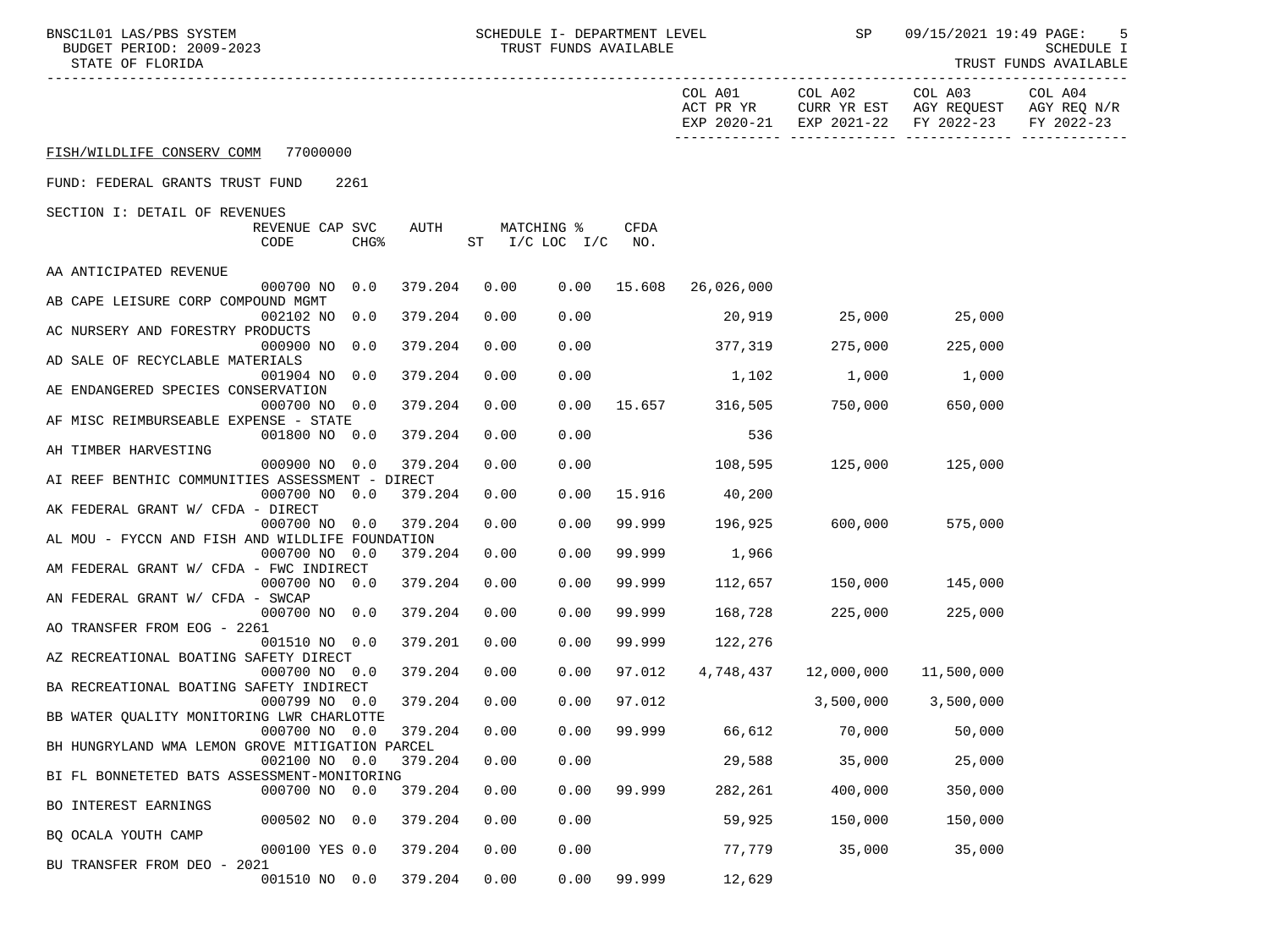| BNSC1L01 LAS/PBS SYSTEM |                  |                          | LEVEL<br>I- DEPARTMENT<br>SCHEDULE I | 09/15/2021 19:49 PAGE: |                       |  |
|-------------------------|------------------|--------------------------|--------------------------------------|------------------------|-----------------------|--|
|                         |                  | BUDGET PERIOD: 2009-2023 | FUNDS AVAILABLE<br>TRUST             |                        | SCHEDULE              |  |
|                         | STATE OF FLORIDA |                          |                                      |                        | TRUST FUNDS AVAILABLE |  |

SCILO1 LAS/PBS SYSTEM SOMENTILE SCHEDULE I- DEPARTMENT LEVEL SP O9/15/2021 19:49 PAGE: 5<br>SCHEDULE I (SCHEDULE I TRUST FUNDS AVAILABLE) SUNDGET PERIOD: 2009-2023 TRUST FUNDS AVAILABLE

|                                                                                             |             | COL A01<br>ACT PR YR     | COL A02                     | COL A03<br>CURR YR EST AGY REQUEST AGY REQ N/R<br>EXP 2020-21 EXP 2021-22 FY 2022-23 | COL A04<br>FY 2022-23 |
|---------------------------------------------------------------------------------------------|-------------|--------------------------|-----------------------------|--------------------------------------------------------------------------------------|-----------------------|
| FISH/WILDLIFE CONSERV COMM 77000000                                                         |             |                          |                             |                                                                                      |                       |
| FUND: FEDERAL GRANTS TRUST FUND<br>2261                                                     |             |                          |                             |                                                                                      |                       |
| SECTION I: DETAIL OF REVENUES                                                               |             |                          |                             |                                                                                      |                       |
| AUTH<br>MATCHING %<br>REVENUE CAP SVC<br>CHG <sup>8</sup><br>ST $I/C$ LOC $I/C$ NO.<br>CODE | <b>CFDA</b> |                          |                             |                                                                                      |                       |
| AA ANTICIPATED REVENUE                                                                      |             |                          |                             |                                                                                      |                       |
| 000700 NO 0.0<br>379.204<br>0.00                                                            |             | $0.00$ 15.608 26,026,000 |                             |                                                                                      |                       |
| AB CAPE LEISURE CORP COMPOUND MGMT<br>379.204<br>0.00<br>0.00<br>002102 NO 0.0              |             | 20,919                   |                             | 25,000 25,000                                                                        |                       |
| AC NURSERY AND FORESTRY PRODUCTS                                                            |             |                          |                             |                                                                                      |                       |
| 000900 NO 0.0<br>379.204<br>0.00<br>0.00                                                    |             | 377, 319                 |                             | 275,000 225,000                                                                      |                       |
| AD SALE OF RECYCLABLE MATERIALS                                                             |             |                          |                             |                                                                                      |                       |
| 379.204<br>0.00<br>001904 NO 0.0<br>0.00<br>AE ENDANGERED SPECIES CONSERVATION              |             | 1,102                    | 1,000                       | 1,000                                                                                |                       |
| 379.204<br>0.00<br>000700 NO 0.0                                                            |             |                          | 0.00 15.657 316,505 750,000 | 650,000                                                                              |                       |
| AF MISC REIMBURSEABLE EXPENSE - STATE                                                       |             |                          |                             |                                                                                      |                       |
| 379.204<br>0.00<br>0.00<br>001800 NO 0.0                                                    |             | 536                      |                             |                                                                                      |                       |
| AH TIMBER HARVESTING                                                                        |             |                          |                             |                                                                                      |                       |
| 379.204<br>0.00<br>0.00<br>000900 NO 0.0<br>AI REEF BENTHIC COMMUNITIES ASSESSMENT - DIRECT |             | 108,595                  | $125,000$ 125,000           |                                                                                      |                       |
| 0.00<br>000700 NO 0.0<br>379.204<br>0.00                                                    | 15.916      | 40,200                   |                             |                                                                                      |                       |
| AK FEDERAL GRANT W/ CFDA - DIRECT                                                           |             |                          |                             |                                                                                      |                       |
| 379.204<br>0.00<br>0.00<br>000700 NO 0.0                                                    |             | 99.999 196,925           | $600,000$ 575,000           |                                                                                      |                       |
| AL MOU - FYCCN AND FISH AND WILDLIFE FOUNDATION                                             |             |                          |                             |                                                                                      |                       |
| 379.204<br>0.00<br>000700 NO 0.0<br>0.00<br>AM FEDERAL GRANT W/ CFDA - FWC INDIRECT         | 99.999      | 1,966                    |                             |                                                                                      |                       |
| 379.204<br>0.00<br>0.00<br>000700 NO 0.0                                                    | 99.999      |                          | 112,657 150,000 145,000     |                                                                                      |                       |
| AN FEDERAL GRANT W/ CFDA - SWCAP                                                            |             |                          |                             |                                                                                      |                       |
| 379.204<br>0.00<br>0.00<br>000700 NO 0.0                                                    | 99.999      | 168,728                  | 225,000                     | 225,000                                                                              |                       |
| AO TRANSFER FROM EOG - 2261                                                                 |             |                          |                             |                                                                                      |                       |
| 379.201<br>0.00<br>0.00<br>001510 NO 0.0                                                    | 99.999      | 122,276                  |                             |                                                                                      |                       |
| AZ RECREATIONAL BOATING SAFETY DIRECT<br>379.204<br>0.00<br>0.00                            | 97.012      | 4,748,437                | 12,000,000                  |                                                                                      |                       |
| 000700 NO 0.0<br>BA RECREATIONAL BOATING SAFETY INDIRECT                                    |             |                          |                             | 11,500,000                                                                           |                       |
| 0.00<br>0.00<br>000799 NO 0.0<br>379.204                                                    | 97.012      |                          | $3,500,000$ $3,500,000$     |                                                                                      |                       |
| BB WATER OUALITY MONITORING LWR CHARLOTTE                                                   |             |                          |                             |                                                                                      |                       |
| 0.00<br>0.00<br>000700 NO 0.0<br>379.204                                                    |             | 99.999 66,612 70,000     |                             | 50,000                                                                               |                       |
| BH HUNGRYLAND WMA LEMON GROVE MITIGATION PARCEL                                             |             |                          |                             |                                                                                      |                       |
| 002100 NO 0.0 379.204 0.00<br>0.00<br>BI FL BONNETETED BATS ASSESSMENT-MONITORING           |             |                          | 29,588 35,000               | 25,000                                                                               |                       |
| 0.0<br>379.204<br>0.00<br>0.00<br>000700 NO                                                 | 99.999      | 282,261                  | 400,000                     | 350,000                                                                              |                       |
| BO INTEREST EARNINGS                                                                        |             |                          |                             |                                                                                      |                       |
| 379.204<br>000502 NO 0.0<br>0.00<br>0.00                                                    |             | 59,925                   | 150,000                     | 150,000                                                                              |                       |
| BQ OCALA YOUTH CAMP                                                                         |             |                          |                             |                                                                                      |                       |
| 000100 YES 0.0<br>379.204<br>0.00<br>0.00<br>BU TRANSFER FROM DEO - 2021                    |             | 77,779                   | 35,000                      | 35,000                                                                               |                       |
| 001510 NO 0.0<br>379.204<br>0.00<br>0.00                                                    | 99.999      | 12,629                   |                             |                                                                                      |                       |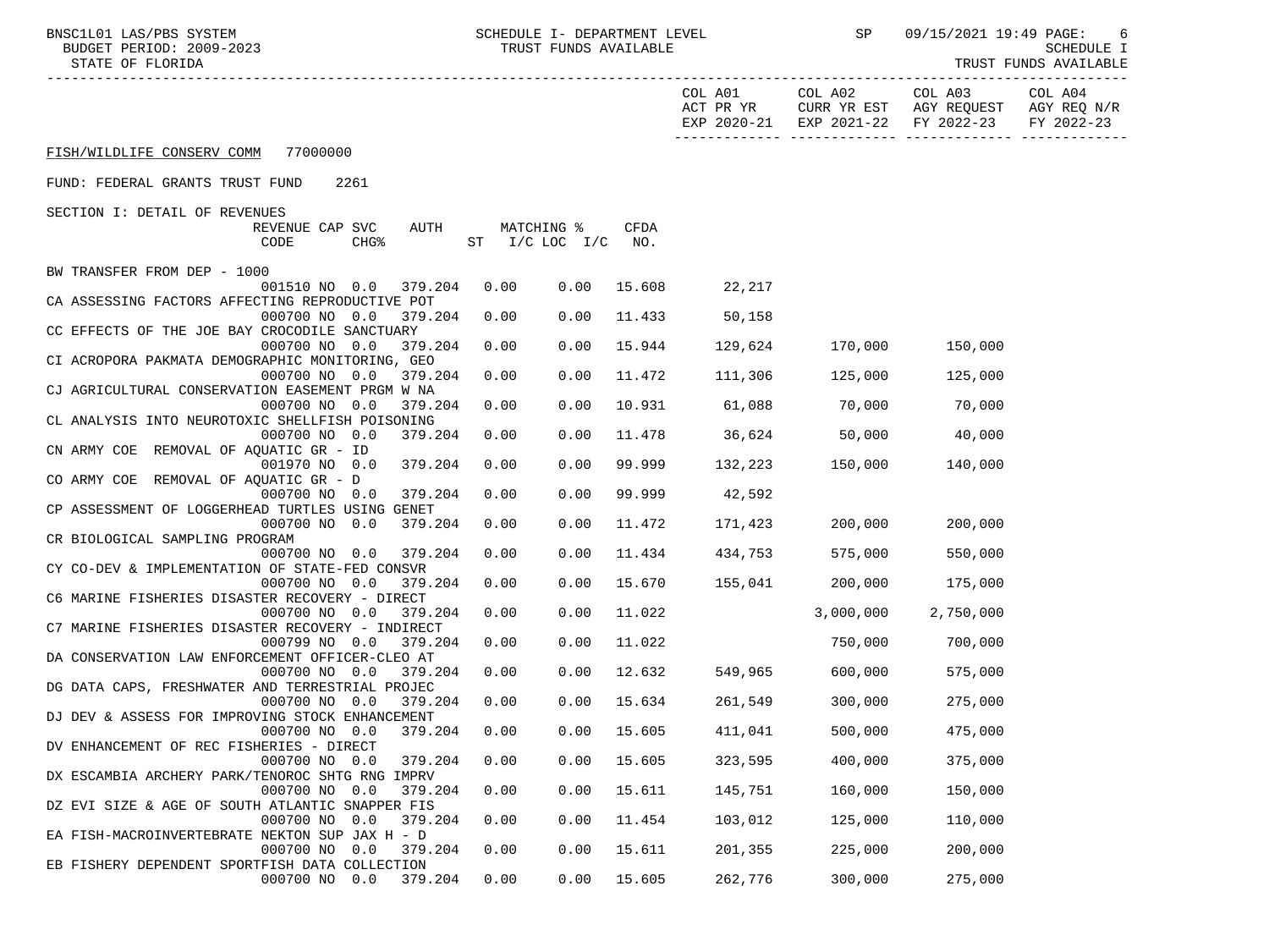BNSC1L01 LAS/PBS SYSTEM SCHEDULE I- DEPARTMENT LEVEL SP 09/15/2021 19:49 PAGE: 6<br>BUDGET PERIOD: 2009-2023 TRUST FUNDS AVAILABLE

TRUST FUNDS AVAILABLE

|                                                                               |      |                                  |        | COL A01        | COL A02         | COL A03<br>ACT PR YR CURR YR EST AGY REQUEST AGY REQ N/R<br>EXP 2020-21 EXP 2021-22 FY 2022-23 | COL A04<br>FY 2022-23 |
|-------------------------------------------------------------------------------|------|----------------------------------|--------|----------------|-----------------|------------------------------------------------------------------------------------------------|-----------------------|
| FISH/WILDLIFE CONSERV COMM 77000000                                           |      |                                  |        |                |                 |                                                                                                |                       |
| FUND: FEDERAL GRANTS TRUST FUND<br>2261                                       |      |                                  |        |                |                 |                                                                                                |                       |
| SECTION I: DETAIL OF REVENUES                                                 |      |                                  |        |                |                 |                                                                                                |                       |
| REVENUE CAP SVC<br>AUTH<br>CHG <sup>8</sup><br>CODE                           |      | MATCHING %<br>ST I/C LOC I/C NO. | CFDA   |                |                 |                                                                                                |                       |
| BW TRANSFER FROM DEP - 1000                                                   |      |                                  |        |                |                 |                                                                                                |                       |
| 001510 NO 0.0<br>379.204                                                      | 0.00 | 0.00                             | 15.608 | 22,217         |                 |                                                                                                |                       |
| CA ASSESSING FACTORS AFFECTING REPRODUCTIVE POT<br>000700 NO 0.0<br>379.204   | 0.00 | 0.00                             | 11.433 | 50,158         |                 |                                                                                                |                       |
| CC EFFECTS OF THE JOE BAY CROCODILE SANCTUARY                                 |      |                                  |        |                |                 |                                                                                                |                       |
| 379.204<br>000700 NO 0.0                                                      | 0.00 | 0.00                             | 15.944 | 129,624        | 170,000         | 150,000                                                                                        |                       |
| CI ACROPORA PAKMATA DEMOGRAPHIC MONITORING, GEO                               |      |                                  |        |                |                 |                                                                                                |                       |
| 000700 NO 0.0<br>379.204                                                      | 0.00 | 0.00                             | 11.472 | 111,306        | 125,000         | 125,000                                                                                        |                       |
| CJ AGRICULTURAL CONSERVATION EASEMENT PRGM W NA<br>000700 NO 0.0<br>379.204   | 0.00 | 0.00                             | 10.931 |                | 61,088 70,000   | 70,000                                                                                         |                       |
| CL ANALYSIS INTO NEUROTOXIC SHELLFISH POISONING                               |      |                                  |        |                |                 |                                                                                                |                       |
| 000700 NO 0.0<br>379.204                                                      | 0.00 | 0.00                             | 11.478 |                | 36,624 50,000   | 40,000                                                                                         |                       |
| CN ARMY COE REMOVAL OF AQUATIC GR - ID                                        |      |                                  |        |                |                 |                                                                                                |                       |
| 001970 NO 0.0 379.204                                                         | 0.00 | 0.00                             | 99.999 |                | 132,223 150,000 | 140,000                                                                                        |                       |
| CO ARMY COE REMOVAL OF AQUATIC GR - D                                         |      |                                  |        |                |                 |                                                                                                |                       |
| 379.204<br>000700 NO 0.0<br>CP ASSESSMENT OF LOGGERHEAD TURTLES USING GENET   | 0.00 | 0.00                             | 99.999 | 42,592         |                 |                                                                                                |                       |
| 000700 NO 0.0<br>379.204                                                      | 0.00 | 0.00                             | 11.472 | 171,423        | 200,000         | 200,000                                                                                        |                       |
| CR BIOLOGICAL SAMPLING PROGRAM                                                |      |                                  |        |                |                 |                                                                                                |                       |
| 000700 NO 0.0<br>379.204                                                      | 0.00 | 0.00                             | 11.434 | 434,753        | 575,000         | 550,000                                                                                        |                       |
| CY CO-DEV & IMPLEMENTATION OF STATE-FED CONSVR                                |      |                                  |        |                |                 |                                                                                                |                       |
| 379.204<br>000700 NO 0.0                                                      | 0.00 | 0.00                             | 15.670 |                | 155,041 200,000 | 175,000                                                                                        |                       |
| C6 MARINE FISHERIES DISASTER RECOVERY - DIRECT                                |      |                                  |        |                |                 |                                                                                                |                       |
| 000700 NO 0.0<br>379.204<br>C7 MARINE FISHERIES DISASTER RECOVERY - INDIRECT  | 0.00 | 0.00                             | 11.022 |                | 3,000,000       | 2,750,000                                                                                      |                       |
| 000799 NO 0.0<br>379.204                                                      | 0.00 | 0.00                             | 11.022 |                | 750,000         | 700,000                                                                                        |                       |
| DA CONSERVATION LAW ENFORCEMENT OFFICER-CLEO AT                               |      |                                  |        |                |                 |                                                                                                |                       |
| 000700 NO 0.0<br>379.204                                                      | 0.00 | 0.00                             | 12.632 | 549,965        | 600,000         | 575,000                                                                                        |                       |
| DG DATA CAPS, FRESHWATER AND TERRESTRIAL PROJEC                               |      |                                  |        |                |                 |                                                                                                |                       |
| 000700 NO 0.0<br>379.204                                                      | 0.00 | 0.00                             |        | 15.634 261,549 | 300,000         | 275,000                                                                                        |                       |
| DJ DEV & ASSESS FOR IMPROVING STOCK ENHANCEMENT                               |      |                                  |        | 411,041        |                 |                                                                                                |                       |
| 000700 NO 0.0<br>379.204<br>DV ENHANCEMENT OF REC FISHERIES - DIRECT          | 0.00 | 0.00                             | 15.605 |                | 500,000         | 475,000                                                                                        |                       |
| 000700 NO 0.0 379.204 0.00 0.00 15.605                                        |      |                                  |        | 323,595        | 400,000         | 375,000                                                                                        |                       |
| DX ESCAMBIA ARCHERY PARK/TENOROC SHTG RNG IMPRV                               |      |                                  |        |                |                 |                                                                                                |                       |
| 000700 NO<br>0.0<br>379.204                                                   | 0.00 | 0.00                             | 15.611 | 145,751        | 160,000         | 150,000                                                                                        |                       |
| DZ EVI SIZE & AGE OF SOUTH ATLANTIC SNAPPER FIS                               |      |                                  |        |                |                 |                                                                                                |                       |
| 000700 NO 0.0<br>379.204                                                      | 0.00 | 0.00                             | 11.454 | 103,012        | 125,000         | 110,000                                                                                        |                       |
| EA FISH-MACROINVERTEBRATE NEKTON SUP JAX H - D<br>000700 NO<br>0.0<br>379.204 | 0.00 | 0.00                             | 15.611 | 201,355        | 225,000         | 200,000                                                                                        |                       |
| EB FISHERY DEPENDENT SPORTFISH DATA COLLECTION                                |      |                                  |        |                |                 |                                                                                                |                       |
| 379.204<br>000700 NO 0.0                                                      | 0.00 | 0.00                             | 15.605 | 262,776        | 300,000         | 275,000                                                                                        |                       |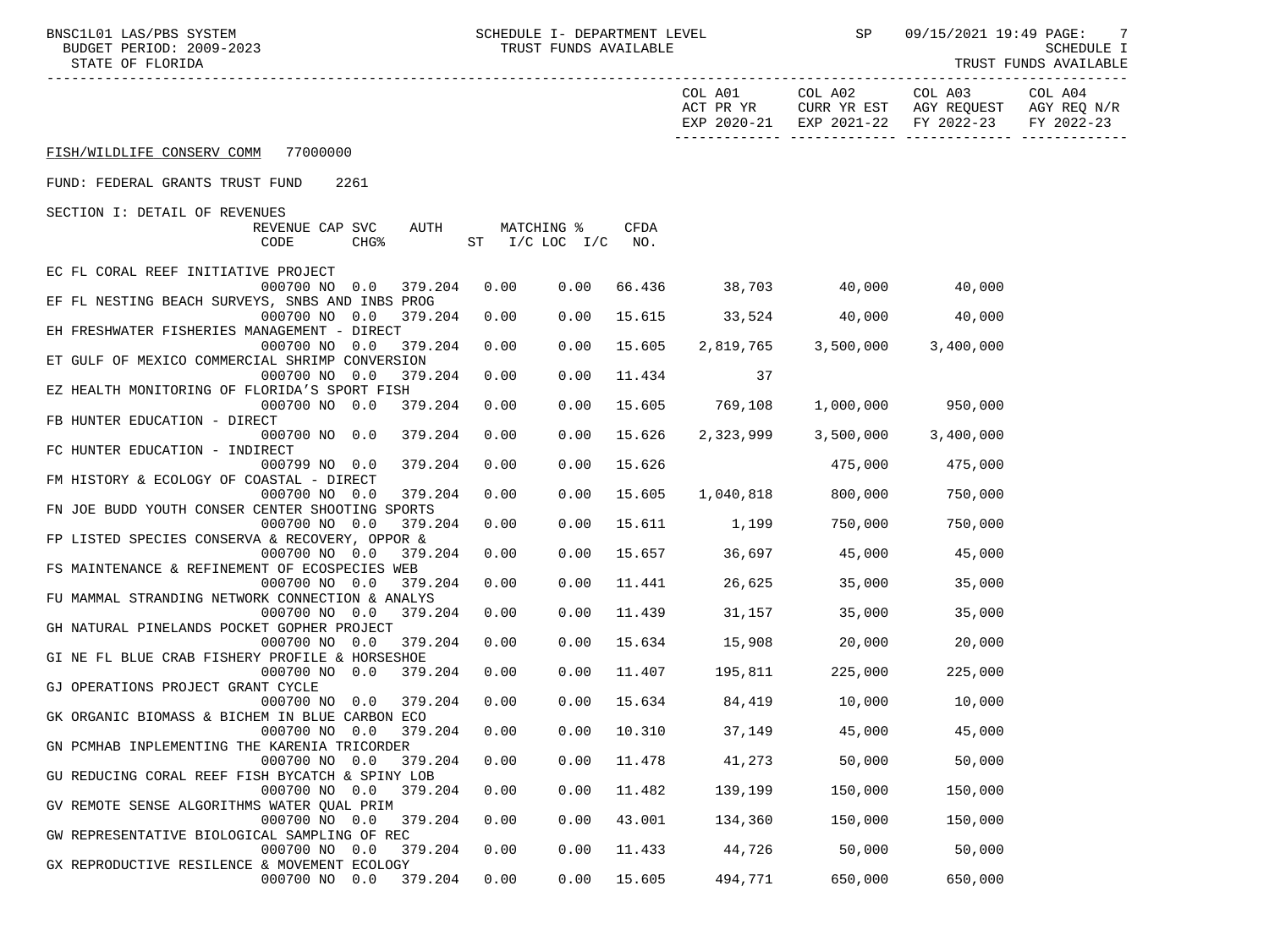BNSC1L01 LAS/PBS SYSTEM SCHEDULE I- DEPARTMENT LEVEL SP 09/15/2021 19:49 PAGE: 7<br>BUDGET PERIOD: 2009-2023 TRUST FUNDS AVAILABLE

STATE OF FLORIDA AND INTERNATIONAL STATE OF FUNDS AVAILABLE

| ACT PR YR $\,$ CURR YR EST $\,$ AGY REQUEST $\,$ AGY REQ $\,$ N/R $\,$<br>EXP 2020-21 EXP 2021-22 FY 2022-23<br>FY 2022-23<br>FISH/WILDLIFE CONSERV COMM 77000000<br>FUND: FEDERAL GRANTS TRUST FUND<br>2261<br>SECTION I: DETAIL OF REVENUES<br>AUTH<br>MATCHING %<br>CFDA<br>REVENUE CAP SVC<br>ST I/C LOC I/C<br>CODE<br>CHG <sup>8</sup><br>NO.<br>EC FL CORAL REEF INITIATIVE PROJECT<br>66.436 38,703 40,000<br>000700 NO 0.0 379.204<br>0.00<br>0.00<br>40,000<br>EF FL NESTING BEACH SURVEYS, SNBS AND INBS PROG<br>0.00<br>15.615 33,524<br>40,000<br>40,000<br>000700 NO 0.0<br>379.204<br>0.00<br>EH FRESHWATER FISHERIES MANAGEMENT - DIRECT<br>0.00<br>0.00<br>15.605 2,819,765 3,500,000<br>000700 NO 0.0<br>379.204<br>3,400,000<br>ET GULF OF MEXICO COMMERCIAL SHRIMP CONVERSION<br>000700 NO 0.0<br>379.204<br>0.00<br>11.434<br>0.00<br>37<br>EZ HEALTH MONITORING OF FLORIDA'S SPORT FISH<br>000700 NO 0.0<br>379.204<br>0.00<br>0.00<br>15.605<br>769,108<br>1,000,000 950,000<br>FB HUNTER EDUCATION - DIRECT<br>000700 NO 0.0<br>379.204<br>0.00<br>0.00<br>15.626<br>2,323,999<br>3,500,000<br>3,400,000<br>FC HUNTER EDUCATION - INDIRECT<br>0.00<br>15.626<br>475,000<br>000799 NO 0.0<br>379.204<br>0.00<br>475,000<br>FM HISTORY & ECOLOGY OF COASTAL - DIRECT<br>379.204<br>0.00<br>0.00<br>15.605<br>1,040,818 800,000<br>750,000<br>000700 NO 0.0<br>FN JOE BUDD YOUTH CONSER CENTER SHOOTING SPORTS<br>000700 NO 0.0<br>0.00<br>15.611 1,199<br>750,000<br>750,000<br>379.204<br>0.00<br>FP LISTED SPECIES CONSERVA & RECOVERY, OPPOR &<br>0.00<br>15.657<br>36,697 45,000<br>000700 NO 0.0<br>379.204<br>0.00<br>45,000<br>FS MAINTENANCE & REFINEMENT OF ECOSPECIES WEB<br>0.00<br>26,625<br>35,000<br>000700 NO 0.0<br>379.204<br>0.00<br>11.441<br>35,000<br>FU MAMMAL STRANDING NETWORK CONNECTION & ANALYS<br>31,157<br>35,000<br>35,000<br>000700 NO 0.0<br>379.204<br>0.00<br>0.00<br>11.439<br>GH NATURAL PINELANDS POCKET GOPHER PROJECT<br>0.00<br>15.634<br>20,000<br>000700 NO 0.0<br>379.204<br>0.00<br>15,908<br>20,000<br>GI NE FL BLUE CRAB FISHERY PROFILE & HORSESHOE<br>0.00<br>11.407<br>225,000<br>000700 NO 0.0<br>379.204<br>0.00<br>195,811<br>225,000<br>GJ OPERATIONS PROJECT GRANT CYCLE<br>000700 NO 0.0<br>0.00<br>15.634 84,419 10,000<br>379.204<br>0.00<br>10,000<br>GK ORGANIC BIOMASS & BICHEM IN BLUE CARBON ECO<br>0.00<br>45,000<br>379.204<br>0.00<br>10.310<br>37,149<br>45,000<br>000700 NO 0.0<br>GN PCMHAB INPLEMENTING THE KARENIA TRICORDER<br>000700 NO 0.0 379.204 0.00 0.00 11.478 41,273<br>50,000<br>50,000<br>GU REDUCING CORAL REEF FISH BYCATCH & SPINY LOB<br>379.204<br>0.00<br>11.482<br>139,199<br>150,000<br>150,000<br>000700 NO 0.0<br>0.00<br>GV REMOTE SENSE ALGORITHMS WATER QUAL PRIM<br>0.00<br>0.00<br>43.001<br>134,360<br>150,000<br>150,000<br>000700 NO 0.0<br>379.204<br>GW REPRESENTATIVE BIOLOGICAL SAMPLING OF REC<br>50,000<br>000700 NO<br>0.00<br>0.00<br>11.433<br>44,726<br>50,000<br>0.0<br>379.204<br>GX REPRODUCTIVE RESILENCE & MOVEMENT ECOLOGY |                          |      |      |        |         | COL A01 COL A02 | COL A03 | COL A04 |
|---------------------------------------------------------------------------------------------------------------------------------------------------------------------------------------------------------------------------------------------------------------------------------------------------------------------------------------------------------------------------------------------------------------------------------------------------------------------------------------------------------------------------------------------------------------------------------------------------------------------------------------------------------------------------------------------------------------------------------------------------------------------------------------------------------------------------------------------------------------------------------------------------------------------------------------------------------------------------------------------------------------------------------------------------------------------------------------------------------------------------------------------------------------------------------------------------------------------------------------------------------------------------------------------------------------------------------------------------------------------------------------------------------------------------------------------------------------------------------------------------------------------------------------------------------------------------------------------------------------------------------------------------------------------------------------------------------------------------------------------------------------------------------------------------------------------------------------------------------------------------------------------------------------------------------------------------------------------------------------------------------------------------------------------------------------------------------------------------------------------------------------------------------------------------------------------------------------------------------------------------------------------------------------------------------------------------------------------------------------------------------------------------------------------------------------------------------------------------------------------------------------------------------------------------------------------------------------------------------------------------------------------------------------------------------------------------------------------------------------------------------------------------------------------------------------------------------------------------------------------------------------------------------------------------------------------------------------------------------------------------------------------------------------------------------------------|--------------------------|------|------|--------|---------|-----------------|---------|---------|
|                                                                                                                                                                                                                                                                                                                                                                                                                                                                                                                                                                                                                                                                                                                                                                                                                                                                                                                                                                                                                                                                                                                                                                                                                                                                                                                                                                                                                                                                                                                                                                                                                                                                                                                                                                                                                                                                                                                                                                                                                                                                                                                                                                                                                                                                                                                                                                                                                                                                                                                                                                                                                                                                                                                                                                                                                                                                                                                                                                                                                                                                     |                          |      |      |        |         |                 |         |         |
|                                                                                                                                                                                                                                                                                                                                                                                                                                                                                                                                                                                                                                                                                                                                                                                                                                                                                                                                                                                                                                                                                                                                                                                                                                                                                                                                                                                                                                                                                                                                                                                                                                                                                                                                                                                                                                                                                                                                                                                                                                                                                                                                                                                                                                                                                                                                                                                                                                                                                                                                                                                                                                                                                                                                                                                                                                                                                                                                                                                                                                                                     |                          |      |      |        |         |                 |         |         |
|                                                                                                                                                                                                                                                                                                                                                                                                                                                                                                                                                                                                                                                                                                                                                                                                                                                                                                                                                                                                                                                                                                                                                                                                                                                                                                                                                                                                                                                                                                                                                                                                                                                                                                                                                                                                                                                                                                                                                                                                                                                                                                                                                                                                                                                                                                                                                                                                                                                                                                                                                                                                                                                                                                                                                                                                                                                                                                                                                                                                                                                                     |                          |      |      |        |         |                 |         |         |
|                                                                                                                                                                                                                                                                                                                                                                                                                                                                                                                                                                                                                                                                                                                                                                                                                                                                                                                                                                                                                                                                                                                                                                                                                                                                                                                                                                                                                                                                                                                                                                                                                                                                                                                                                                                                                                                                                                                                                                                                                                                                                                                                                                                                                                                                                                                                                                                                                                                                                                                                                                                                                                                                                                                                                                                                                                                                                                                                                                                                                                                                     |                          |      |      |        |         |                 |         |         |
|                                                                                                                                                                                                                                                                                                                                                                                                                                                                                                                                                                                                                                                                                                                                                                                                                                                                                                                                                                                                                                                                                                                                                                                                                                                                                                                                                                                                                                                                                                                                                                                                                                                                                                                                                                                                                                                                                                                                                                                                                                                                                                                                                                                                                                                                                                                                                                                                                                                                                                                                                                                                                                                                                                                                                                                                                                                                                                                                                                                                                                                                     |                          |      |      |        |         |                 |         |         |
|                                                                                                                                                                                                                                                                                                                                                                                                                                                                                                                                                                                                                                                                                                                                                                                                                                                                                                                                                                                                                                                                                                                                                                                                                                                                                                                                                                                                                                                                                                                                                                                                                                                                                                                                                                                                                                                                                                                                                                                                                                                                                                                                                                                                                                                                                                                                                                                                                                                                                                                                                                                                                                                                                                                                                                                                                                                                                                                                                                                                                                                                     |                          |      |      |        |         |                 |         |         |
|                                                                                                                                                                                                                                                                                                                                                                                                                                                                                                                                                                                                                                                                                                                                                                                                                                                                                                                                                                                                                                                                                                                                                                                                                                                                                                                                                                                                                                                                                                                                                                                                                                                                                                                                                                                                                                                                                                                                                                                                                                                                                                                                                                                                                                                                                                                                                                                                                                                                                                                                                                                                                                                                                                                                                                                                                                                                                                                                                                                                                                                                     |                          |      |      |        |         |                 |         |         |
|                                                                                                                                                                                                                                                                                                                                                                                                                                                                                                                                                                                                                                                                                                                                                                                                                                                                                                                                                                                                                                                                                                                                                                                                                                                                                                                                                                                                                                                                                                                                                                                                                                                                                                                                                                                                                                                                                                                                                                                                                                                                                                                                                                                                                                                                                                                                                                                                                                                                                                                                                                                                                                                                                                                                                                                                                                                                                                                                                                                                                                                                     |                          |      |      |        |         |                 |         |         |
|                                                                                                                                                                                                                                                                                                                                                                                                                                                                                                                                                                                                                                                                                                                                                                                                                                                                                                                                                                                                                                                                                                                                                                                                                                                                                                                                                                                                                                                                                                                                                                                                                                                                                                                                                                                                                                                                                                                                                                                                                                                                                                                                                                                                                                                                                                                                                                                                                                                                                                                                                                                                                                                                                                                                                                                                                                                                                                                                                                                                                                                                     |                          |      |      |        |         |                 |         |         |
|                                                                                                                                                                                                                                                                                                                                                                                                                                                                                                                                                                                                                                                                                                                                                                                                                                                                                                                                                                                                                                                                                                                                                                                                                                                                                                                                                                                                                                                                                                                                                                                                                                                                                                                                                                                                                                                                                                                                                                                                                                                                                                                                                                                                                                                                                                                                                                                                                                                                                                                                                                                                                                                                                                                                                                                                                                                                                                                                                                                                                                                                     |                          |      |      |        |         |                 |         |         |
|                                                                                                                                                                                                                                                                                                                                                                                                                                                                                                                                                                                                                                                                                                                                                                                                                                                                                                                                                                                                                                                                                                                                                                                                                                                                                                                                                                                                                                                                                                                                                                                                                                                                                                                                                                                                                                                                                                                                                                                                                                                                                                                                                                                                                                                                                                                                                                                                                                                                                                                                                                                                                                                                                                                                                                                                                                                                                                                                                                                                                                                                     |                          |      |      |        |         |                 |         |         |
|                                                                                                                                                                                                                                                                                                                                                                                                                                                                                                                                                                                                                                                                                                                                                                                                                                                                                                                                                                                                                                                                                                                                                                                                                                                                                                                                                                                                                                                                                                                                                                                                                                                                                                                                                                                                                                                                                                                                                                                                                                                                                                                                                                                                                                                                                                                                                                                                                                                                                                                                                                                                                                                                                                                                                                                                                                                                                                                                                                                                                                                                     |                          |      |      |        |         |                 |         |         |
|                                                                                                                                                                                                                                                                                                                                                                                                                                                                                                                                                                                                                                                                                                                                                                                                                                                                                                                                                                                                                                                                                                                                                                                                                                                                                                                                                                                                                                                                                                                                                                                                                                                                                                                                                                                                                                                                                                                                                                                                                                                                                                                                                                                                                                                                                                                                                                                                                                                                                                                                                                                                                                                                                                                                                                                                                                                                                                                                                                                                                                                                     |                          |      |      |        |         |                 |         |         |
|                                                                                                                                                                                                                                                                                                                                                                                                                                                                                                                                                                                                                                                                                                                                                                                                                                                                                                                                                                                                                                                                                                                                                                                                                                                                                                                                                                                                                                                                                                                                                                                                                                                                                                                                                                                                                                                                                                                                                                                                                                                                                                                                                                                                                                                                                                                                                                                                                                                                                                                                                                                                                                                                                                                                                                                                                                                                                                                                                                                                                                                                     |                          |      |      |        |         |                 |         |         |
|                                                                                                                                                                                                                                                                                                                                                                                                                                                                                                                                                                                                                                                                                                                                                                                                                                                                                                                                                                                                                                                                                                                                                                                                                                                                                                                                                                                                                                                                                                                                                                                                                                                                                                                                                                                                                                                                                                                                                                                                                                                                                                                                                                                                                                                                                                                                                                                                                                                                                                                                                                                                                                                                                                                                                                                                                                                                                                                                                                                                                                                                     |                          |      |      |        |         |                 |         |         |
|                                                                                                                                                                                                                                                                                                                                                                                                                                                                                                                                                                                                                                                                                                                                                                                                                                                                                                                                                                                                                                                                                                                                                                                                                                                                                                                                                                                                                                                                                                                                                                                                                                                                                                                                                                                                                                                                                                                                                                                                                                                                                                                                                                                                                                                                                                                                                                                                                                                                                                                                                                                                                                                                                                                                                                                                                                                                                                                                                                                                                                                                     |                          |      |      |        |         |                 |         |         |
|                                                                                                                                                                                                                                                                                                                                                                                                                                                                                                                                                                                                                                                                                                                                                                                                                                                                                                                                                                                                                                                                                                                                                                                                                                                                                                                                                                                                                                                                                                                                                                                                                                                                                                                                                                                                                                                                                                                                                                                                                                                                                                                                                                                                                                                                                                                                                                                                                                                                                                                                                                                                                                                                                                                                                                                                                                                                                                                                                                                                                                                                     |                          |      |      |        |         |                 |         |         |
|                                                                                                                                                                                                                                                                                                                                                                                                                                                                                                                                                                                                                                                                                                                                                                                                                                                                                                                                                                                                                                                                                                                                                                                                                                                                                                                                                                                                                                                                                                                                                                                                                                                                                                                                                                                                                                                                                                                                                                                                                                                                                                                                                                                                                                                                                                                                                                                                                                                                                                                                                                                                                                                                                                                                                                                                                                                                                                                                                                                                                                                                     |                          |      |      |        |         |                 |         |         |
|                                                                                                                                                                                                                                                                                                                                                                                                                                                                                                                                                                                                                                                                                                                                                                                                                                                                                                                                                                                                                                                                                                                                                                                                                                                                                                                                                                                                                                                                                                                                                                                                                                                                                                                                                                                                                                                                                                                                                                                                                                                                                                                                                                                                                                                                                                                                                                                                                                                                                                                                                                                                                                                                                                                                                                                                                                                                                                                                                                                                                                                                     |                          |      |      |        |         |                 |         |         |
|                                                                                                                                                                                                                                                                                                                                                                                                                                                                                                                                                                                                                                                                                                                                                                                                                                                                                                                                                                                                                                                                                                                                                                                                                                                                                                                                                                                                                                                                                                                                                                                                                                                                                                                                                                                                                                                                                                                                                                                                                                                                                                                                                                                                                                                                                                                                                                                                                                                                                                                                                                                                                                                                                                                                                                                                                                                                                                                                                                                                                                                                     |                          |      |      |        |         |                 |         |         |
|                                                                                                                                                                                                                                                                                                                                                                                                                                                                                                                                                                                                                                                                                                                                                                                                                                                                                                                                                                                                                                                                                                                                                                                                                                                                                                                                                                                                                                                                                                                                                                                                                                                                                                                                                                                                                                                                                                                                                                                                                                                                                                                                                                                                                                                                                                                                                                                                                                                                                                                                                                                                                                                                                                                                                                                                                                                                                                                                                                                                                                                                     |                          |      |      |        |         |                 |         |         |
|                                                                                                                                                                                                                                                                                                                                                                                                                                                                                                                                                                                                                                                                                                                                                                                                                                                                                                                                                                                                                                                                                                                                                                                                                                                                                                                                                                                                                                                                                                                                                                                                                                                                                                                                                                                                                                                                                                                                                                                                                                                                                                                                                                                                                                                                                                                                                                                                                                                                                                                                                                                                                                                                                                                                                                                                                                                                                                                                                                                                                                                                     |                          |      |      |        |         |                 |         |         |
|                                                                                                                                                                                                                                                                                                                                                                                                                                                                                                                                                                                                                                                                                                                                                                                                                                                                                                                                                                                                                                                                                                                                                                                                                                                                                                                                                                                                                                                                                                                                                                                                                                                                                                                                                                                                                                                                                                                                                                                                                                                                                                                                                                                                                                                                                                                                                                                                                                                                                                                                                                                                                                                                                                                                                                                                                                                                                                                                                                                                                                                                     |                          |      |      |        |         |                 |         |         |
|                                                                                                                                                                                                                                                                                                                                                                                                                                                                                                                                                                                                                                                                                                                                                                                                                                                                                                                                                                                                                                                                                                                                                                                                                                                                                                                                                                                                                                                                                                                                                                                                                                                                                                                                                                                                                                                                                                                                                                                                                                                                                                                                                                                                                                                                                                                                                                                                                                                                                                                                                                                                                                                                                                                                                                                                                                                                                                                                                                                                                                                                     |                          |      |      |        |         |                 |         |         |
|                                                                                                                                                                                                                                                                                                                                                                                                                                                                                                                                                                                                                                                                                                                                                                                                                                                                                                                                                                                                                                                                                                                                                                                                                                                                                                                                                                                                                                                                                                                                                                                                                                                                                                                                                                                                                                                                                                                                                                                                                                                                                                                                                                                                                                                                                                                                                                                                                                                                                                                                                                                                                                                                                                                                                                                                                                                                                                                                                                                                                                                                     |                          |      |      |        |         |                 |         |         |
|                                                                                                                                                                                                                                                                                                                                                                                                                                                                                                                                                                                                                                                                                                                                                                                                                                                                                                                                                                                                                                                                                                                                                                                                                                                                                                                                                                                                                                                                                                                                                                                                                                                                                                                                                                                                                                                                                                                                                                                                                                                                                                                                                                                                                                                                                                                                                                                                                                                                                                                                                                                                                                                                                                                                                                                                                                                                                                                                                                                                                                                                     |                          |      |      |        |         |                 |         |         |
|                                                                                                                                                                                                                                                                                                                                                                                                                                                                                                                                                                                                                                                                                                                                                                                                                                                                                                                                                                                                                                                                                                                                                                                                                                                                                                                                                                                                                                                                                                                                                                                                                                                                                                                                                                                                                                                                                                                                                                                                                                                                                                                                                                                                                                                                                                                                                                                                                                                                                                                                                                                                                                                                                                                                                                                                                                                                                                                                                                                                                                                                     |                          |      |      |        |         |                 |         |         |
|                                                                                                                                                                                                                                                                                                                                                                                                                                                                                                                                                                                                                                                                                                                                                                                                                                                                                                                                                                                                                                                                                                                                                                                                                                                                                                                                                                                                                                                                                                                                                                                                                                                                                                                                                                                                                                                                                                                                                                                                                                                                                                                                                                                                                                                                                                                                                                                                                                                                                                                                                                                                                                                                                                                                                                                                                                                                                                                                                                                                                                                                     |                          |      |      |        |         |                 |         |         |
|                                                                                                                                                                                                                                                                                                                                                                                                                                                                                                                                                                                                                                                                                                                                                                                                                                                                                                                                                                                                                                                                                                                                                                                                                                                                                                                                                                                                                                                                                                                                                                                                                                                                                                                                                                                                                                                                                                                                                                                                                                                                                                                                                                                                                                                                                                                                                                                                                                                                                                                                                                                                                                                                                                                                                                                                                                                                                                                                                                                                                                                                     |                          |      |      |        |         |                 |         |         |
|                                                                                                                                                                                                                                                                                                                                                                                                                                                                                                                                                                                                                                                                                                                                                                                                                                                                                                                                                                                                                                                                                                                                                                                                                                                                                                                                                                                                                                                                                                                                                                                                                                                                                                                                                                                                                                                                                                                                                                                                                                                                                                                                                                                                                                                                                                                                                                                                                                                                                                                                                                                                                                                                                                                                                                                                                                                                                                                                                                                                                                                                     |                          |      |      |        |         |                 |         |         |
|                                                                                                                                                                                                                                                                                                                                                                                                                                                                                                                                                                                                                                                                                                                                                                                                                                                                                                                                                                                                                                                                                                                                                                                                                                                                                                                                                                                                                                                                                                                                                                                                                                                                                                                                                                                                                                                                                                                                                                                                                                                                                                                                                                                                                                                                                                                                                                                                                                                                                                                                                                                                                                                                                                                                                                                                                                                                                                                                                                                                                                                                     |                          |      |      |        |         |                 |         |         |
|                                                                                                                                                                                                                                                                                                                                                                                                                                                                                                                                                                                                                                                                                                                                                                                                                                                                                                                                                                                                                                                                                                                                                                                                                                                                                                                                                                                                                                                                                                                                                                                                                                                                                                                                                                                                                                                                                                                                                                                                                                                                                                                                                                                                                                                                                                                                                                                                                                                                                                                                                                                                                                                                                                                                                                                                                                                                                                                                                                                                                                                                     |                          |      |      |        |         |                 |         |         |
|                                                                                                                                                                                                                                                                                                                                                                                                                                                                                                                                                                                                                                                                                                                                                                                                                                                                                                                                                                                                                                                                                                                                                                                                                                                                                                                                                                                                                                                                                                                                                                                                                                                                                                                                                                                                                                                                                                                                                                                                                                                                                                                                                                                                                                                                                                                                                                                                                                                                                                                                                                                                                                                                                                                                                                                                                                                                                                                                                                                                                                                                     |                          |      |      |        |         |                 |         |         |
|                                                                                                                                                                                                                                                                                                                                                                                                                                                                                                                                                                                                                                                                                                                                                                                                                                                                                                                                                                                                                                                                                                                                                                                                                                                                                                                                                                                                                                                                                                                                                                                                                                                                                                                                                                                                                                                                                                                                                                                                                                                                                                                                                                                                                                                                                                                                                                                                                                                                                                                                                                                                                                                                                                                                                                                                                                                                                                                                                                                                                                                                     |                          |      |      |        |         |                 |         |         |
|                                                                                                                                                                                                                                                                                                                                                                                                                                                                                                                                                                                                                                                                                                                                                                                                                                                                                                                                                                                                                                                                                                                                                                                                                                                                                                                                                                                                                                                                                                                                                                                                                                                                                                                                                                                                                                                                                                                                                                                                                                                                                                                                                                                                                                                                                                                                                                                                                                                                                                                                                                                                                                                                                                                                                                                                                                                                                                                                                                                                                                                                     |                          |      |      |        |         |                 |         |         |
|                                                                                                                                                                                                                                                                                                                                                                                                                                                                                                                                                                                                                                                                                                                                                                                                                                                                                                                                                                                                                                                                                                                                                                                                                                                                                                                                                                                                                                                                                                                                                                                                                                                                                                                                                                                                                                                                                                                                                                                                                                                                                                                                                                                                                                                                                                                                                                                                                                                                                                                                                                                                                                                                                                                                                                                                                                                                                                                                                                                                                                                                     |                          |      |      |        |         |                 |         |         |
|                                                                                                                                                                                                                                                                                                                                                                                                                                                                                                                                                                                                                                                                                                                                                                                                                                                                                                                                                                                                                                                                                                                                                                                                                                                                                                                                                                                                                                                                                                                                                                                                                                                                                                                                                                                                                                                                                                                                                                                                                                                                                                                                                                                                                                                                                                                                                                                                                                                                                                                                                                                                                                                                                                                                                                                                                                                                                                                                                                                                                                                                     |                          |      |      |        |         |                 |         |         |
|                                                                                                                                                                                                                                                                                                                                                                                                                                                                                                                                                                                                                                                                                                                                                                                                                                                                                                                                                                                                                                                                                                                                                                                                                                                                                                                                                                                                                                                                                                                                                                                                                                                                                                                                                                                                                                                                                                                                                                                                                                                                                                                                                                                                                                                                                                                                                                                                                                                                                                                                                                                                                                                                                                                                                                                                                                                                                                                                                                                                                                                                     |                          |      |      |        |         |                 |         |         |
|                                                                                                                                                                                                                                                                                                                                                                                                                                                                                                                                                                                                                                                                                                                                                                                                                                                                                                                                                                                                                                                                                                                                                                                                                                                                                                                                                                                                                                                                                                                                                                                                                                                                                                                                                                                                                                                                                                                                                                                                                                                                                                                                                                                                                                                                                                                                                                                                                                                                                                                                                                                                                                                                                                                                                                                                                                                                                                                                                                                                                                                                     |                          |      |      |        |         |                 |         |         |
|                                                                                                                                                                                                                                                                                                                                                                                                                                                                                                                                                                                                                                                                                                                                                                                                                                                                                                                                                                                                                                                                                                                                                                                                                                                                                                                                                                                                                                                                                                                                                                                                                                                                                                                                                                                                                                                                                                                                                                                                                                                                                                                                                                                                                                                                                                                                                                                                                                                                                                                                                                                                                                                                                                                                                                                                                                                                                                                                                                                                                                                                     |                          |      |      |        |         |                 |         |         |
|                                                                                                                                                                                                                                                                                                                                                                                                                                                                                                                                                                                                                                                                                                                                                                                                                                                                                                                                                                                                                                                                                                                                                                                                                                                                                                                                                                                                                                                                                                                                                                                                                                                                                                                                                                                                                                                                                                                                                                                                                                                                                                                                                                                                                                                                                                                                                                                                                                                                                                                                                                                                                                                                                                                                                                                                                                                                                                                                                                                                                                                                     |                          |      |      |        |         |                 |         |         |
|                                                                                                                                                                                                                                                                                                                                                                                                                                                                                                                                                                                                                                                                                                                                                                                                                                                                                                                                                                                                                                                                                                                                                                                                                                                                                                                                                                                                                                                                                                                                                                                                                                                                                                                                                                                                                                                                                                                                                                                                                                                                                                                                                                                                                                                                                                                                                                                                                                                                                                                                                                                                                                                                                                                                                                                                                                                                                                                                                                                                                                                                     |                          |      |      |        |         |                 |         |         |
|                                                                                                                                                                                                                                                                                                                                                                                                                                                                                                                                                                                                                                                                                                                                                                                                                                                                                                                                                                                                                                                                                                                                                                                                                                                                                                                                                                                                                                                                                                                                                                                                                                                                                                                                                                                                                                                                                                                                                                                                                                                                                                                                                                                                                                                                                                                                                                                                                                                                                                                                                                                                                                                                                                                                                                                                                                                                                                                                                                                                                                                                     |                          |      |      |        |         |                 |         |         |
|                                                                                                                                                                                                                                                                                                                                                                                                                                                                                                                                                                                                                                                                                                                                                                                                                                                                                                                                                                                                                                                                                                                                                                                                                                                                                                                                                                                                                                                                                                                                                                                                                                                                                                                                                                                                                                                                                                                                                                                                                                                                                                                                                                                                                                                                                                                                                                                                                                                                                                                                                                                                                                                                                                                                                                                                                                                                                                                                                                                                                                                                     |                          |      |      |        |         |                 |         |         |
|                                                                                                                                                                                                                                                                                                                                                                                                                                                                                                                                                                                                                                                                                                                                                                                                                                                                                                                                                                                                                                                                                                                                                                                                                                                                                                                                                                                                                                                                                                                                                                                                                                                                                                                                                                                                                                                                                                                                                                                                                                                                                                                                                                                                                                                                                                                                                                                                                                                                                                                                                                                                                                                                                                                                                                                                                                                                                                                                                                                                                                                                     |                          |      |      |        |         |                 |         |         |
|                                                                                                                                                                                                                                                                                                                                                                                                                                                                                                                                                                                                                                                                                                                                                                                                                                                                                                                                                                                                                                                                                                                                                                                                                                                                                                                                                                                                                                                                                                                                                                                                                                                                                                                                                                                                                                                                                                                                                                                                                                                                                                                                                                                                                                                                                                                                                                                                                                                                                                                                                                                                                                                                                                                                                                                                                                                                                                                                                                                                                                                                     | 379.204<br>000700 NO 0.0 | 0.00 | 0.00 | 15.605 | 494,771 | 650,000         | 650,000 |         |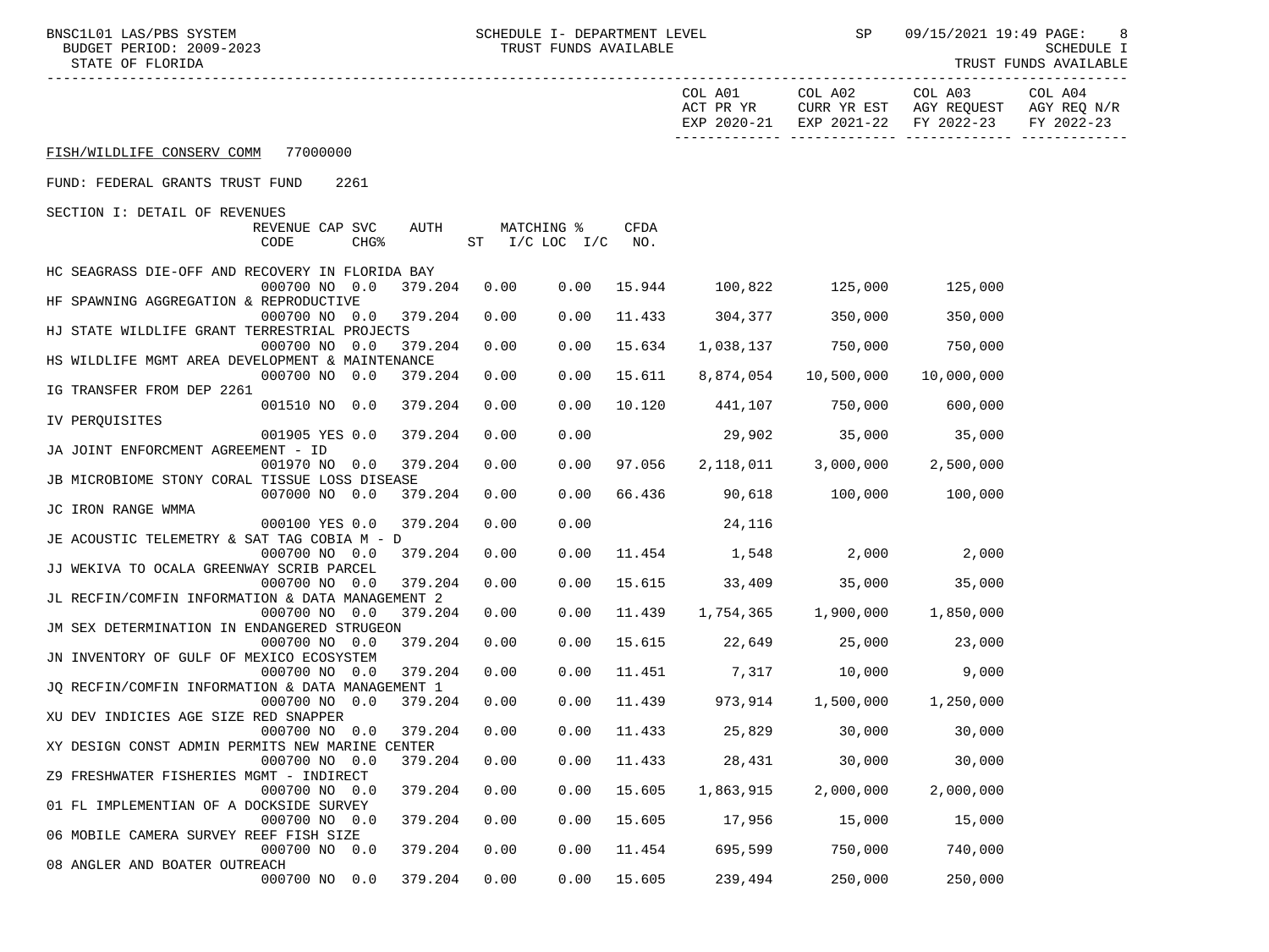BUDGET PERIOD: 2009-2023<br>STATE OF FLORIDA

BNSC1L01 LAS/PBS SYSTEM SCHEDULE I- DEPARTMENT LEVEL SP 09/15/2021 19:49 PAGE: 8

TRUST FUNDS AVAILABLE

|                                                                                                                          |      |                                  |               | COL A01        | COL A02                                   | COL A03<br>ACT PR YR CURR YR EST AGY REQUEST AGY REQ N/R<br>EXP 2020-21 EXP 2021-22 FY 2022-23 | COL A04<br>FY 2022-23 |
|--------------------------------------------------------------------------------------------------------------------------|------|----------------------------------|---------------|----------------|-------------------------------------------|------------------------------------------------------------------------------------------------|-----------------------|
| FISH/WILDLIFE CONSERV COMM 77000000                                                                                      |      |                                  |               |                |                                           |                                                                                                |                       |
| FUND: FEDERAL GRANTS TRUST FUND<br>2261                                                                                  |      |                                  |               |                |                                           |                                                                                                |                       |
| SECTION I: DETAIL OF REVENUES                                                                                            |      |                                  |               |                |                                           |                                                                                                |                       |
| AUTH<br>REVENUE CAP SVC<br>CODE<br>CHG <sup>8</sup>                                                                      |      | MATCHING %<br>ST I/C LOC I/C NO. | CFDA          |                |                                           |                                                                                                |                       |
| HC SEAGRASS DIE-OFF AND RECOVERY IN FLORIDA BAY<br>000700 NO 0.0<br>379.204                                              | 0.00 |                                  |               |                | $0.00$ 15.944 100,822 125,000 125,000     |                                                                                                |                       |
| HF SPAWNING AGGREGATION & REPRODUCTIVE<br>000700 NO 0.0<br>379.204                                                       | 0.00 | 0.00                             |               | 11.433 304,377 | 350,000                                   | 350,000                                                                                        |                       |
| HJ STATE WILDLIFE GRANT TERRESTRIAL PROJECTS<br>000700 NO 0.0<br>379.204                                                 | 0.00 |                                  | $0.00$ 15.634 |                | 1,038,137 750,000                         | 750,000                                                                                        |                       |
| HS WILDLIFE MGMT AREA DEVELOPMENT & MAINTENANCE                                                                          |      |                                  |               |                |                                           |                                                                                                |                       |
| 000700 NO 0.0<br>379.204<br>IG TRANSFER FROM DEP 2261                                                                    | 0.00 | 0.00                             | 15.611        |                | 8,874,054 10,500,000                      | 10,000,000                                                                                     |                       |
| 001510 NO 0.0<br>379.204<br>IV PERQUISITES                                                                               | 0.00 | 0.00                             |               |                | 10.120  441,107  750,000                  | 600,000                                                                                        |                       |
| 001905 YES 0.0<br>379.204<br>JA JOINT ENFORCMENT AGREEMENT - ID                                                          | 0.00 | 0.00                             |               |                | 29,902 35,000                             | 35,000                                                                                         |                       |
| 001970 NO 0.0<br>379.204<br>JB MICROBIOME STONY CORAL TISSUE LOSS DISEASE                                                | 0.00 | 0.00                             | 97.056        |                | 2,118,011 3,000,000                       | 2,500,000                                                                                      |                       |
| 007000 NO 0.0<br>379.204                                                                                                 | 0.00 | 0.00                             |               |                | 66.436 90,618 100,000 100,000             |                                                                                                |                       |
| JC IRON RANGE WMMA<br>000100 YES 0.0<br>379.204                                                                          | 0.00 | 0.00                             |               | 24,116         |                                           |                                                                                                |                       |
| JE ACOUSTIC TELEMETRY & SAT TAG COBIA M - D<br>000700 NO 0.0<br>379.204                                                  | 0.00 | 0.00                             |               |                | $11.454$ $1,548$ $2,000$ $2,000$          |                                                                                                |                       |
| JJ WEKIVA TO OCALA GREENWAY SCRIB PARCEL<br>379.204<br>000700 NO 0.0                                                     | 0.00 |                                  |               |                | $0.00$ 15.615 33,409 35,000 35,000        |                                                                                                |                       |
| JL RECFIN/COMFIN INFORMATION & DATA MANAGEMENT 2                                                                         |      |                                  |               |                |                                           |                                                                                                |                       |
| 000700 NO 0.0<br>379.204<br>JM SEX DETERMINATION IN ENDANGERED STRUGEON                                                  | 0.00 | 0.00                             |               |                | 11.439 1,754,365 1,900,000 1,850,000      |                                                                                                |                       |
| 000700 NO 0.0<br>379.204<br>JN INVENTORY OF GULF OF MEXICO ECOSYSTEM                                                     | 0.00 | 0.00                             |               |                | 15.615 22,649 25,000                      | 23,000                                                                                         |                       |
| 379.204<br>000700 NO 0.0<br>JQ RECFIN/COMFIN INFORMATION & DATA MANAGEMENT 1                                             | 0.00 | 0.00                             |               |                | 11.451 7,317 10,000                       | 9,000                                                                                          |                       |
| 000700 NO 0.0<br>379.204                                                                                                 | 0.00 |                                  |               |                | $0.00$ 11.439 973,914 1,500,000 1,250,000 |                                                                                                |                       |
| XU DEV INDICIES AGE SIZE RED SNAPPER<br>000700 NO 0.0<br>379.204                                                         | 0.00 |                                  |               |                | $0.00$ 11.433 25,829 30,000               | 30,000                                                                                         |                       |
| XY DESIGN CONST ADMIN PERMITS NEW MARINE CENTER<br>$0.00700$ NO $0.0$ $379.204$ $0.00$ $0.00$ $11.433$ $28.431$ $30.000$ |      |                                  |               |                |                                           | 30,000                                                                                         |                       |
| Z9 FRESHWATER FISHERIES MGMT - INDIRECT<br>000700 NO 0.0<br>379.204                                                      | 0.00 | 0.00                             | 15.605        | 1,863,915      | 2,000,000                                 | 2,000,000                                                                                      |                       |
| 01 FL IMPLEMENTIAN OF A DOCKSIDE SURVEY<br>000700 NO 0.0<br>379.204                                                      | 0.00 | 0.00                             | 15.605        | 17,956         | 15,000                                    | 15,000                                                                                         |                       |
| 06 MOBILE CAMERA SURVEY REEF FISH SIZE                                                                                   |      |                                  |               |                |                                           |                                                                                                |                       |
| 000700 NO 0.0<br>379.204<br>08 ANGLER AND BOATER OUTREACH                                                                | 0.00 | 0.00                             | 11.454        | 695,599        | 750,000                                   | 740,000                                                                                        |                       |
| 000700 NO 0.0<br>379.204                                                                                                 | 0.00 | 0.00                             | 15.605        | 239,494        | 250,000                                   | 250,000                                                                                        |                       |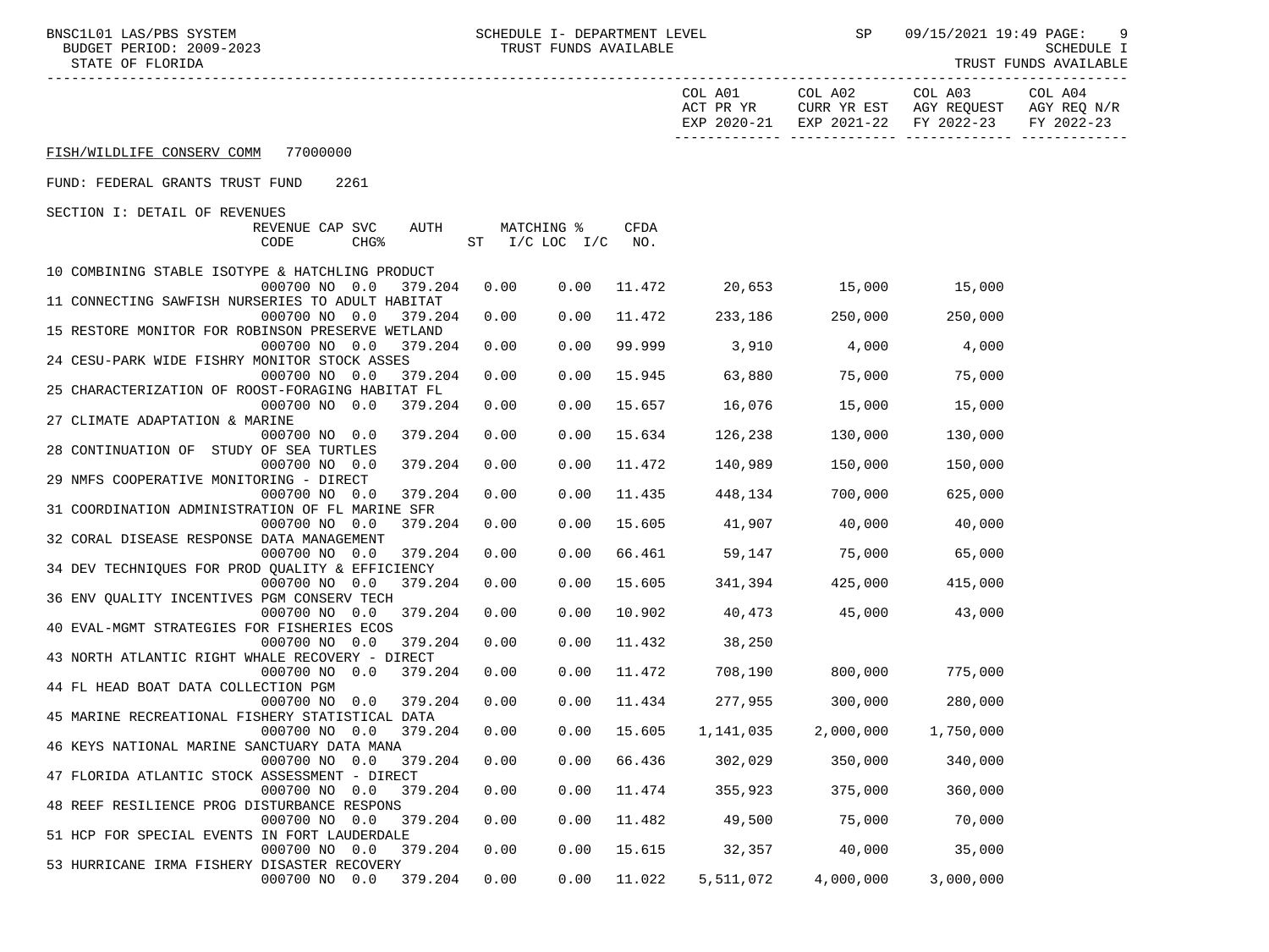-----------------------------------------------------------------------------------------------------------------------------------

TRUST FUNDS AVAILABLE

|                                                                                                                             |             | COL A01<br>ACT PR YR<br>EXP 2020-21 | COL A02<br>CURR YR EST<br>EXP 2021-22 | COL A03<br>AGY REQUEST<br>FY 2022-23 | COL A04<br>AGY REQ N/R<br>FY 2022-23 |
|-----------------------------------------------------------------------------------------------------------------------------|-------------|-------------------------------------|---------------------------------------|--------------------------------------|--------------------------------------|
| FISH/WILDLIFE CONSERV COMM<br>77000000                                                                                      |             |                                     |                                       |                                      |                                      |
| FUND: FEDERAL GRANTS TRUST FUND<br>2261                                                                                     |             |                                     |                                       |                                      |                                      |
| SECTION I: DETAIL OF REVENUES<br>REVENUE CAP SVC<br>MATCHING %<br>AUTH<br>CODE<br>CHG <sup>8</sup><br>ST<br>$I/C$ LOC $I/C$ | CFDA<br>NO. |                                     |                                       |                                      |                                      |
| 10 COMBINING STABLE ISOTYPE & HATCHLING PRODUCT<br>000700 NO 0.0<br>379.204<br>0.00<br>0.00                                 | 11.472      | 20,653                              | 15,000                                | 15,000                               |                                      |
| 11 CONNECTING SAWFISH NURSERIES TO ADULT HABITAT<br>000700 NO 0.0<br>379.204<br>0.00<br>0.00                                | 11.472      | 233,186                             | 250,000                               | 250,000                              |                                      |
| 15 RESTORE MONITOR FOR ROBINSON PRESERVE WETLAND<br>0.00<br>000700 NO 0.0<br>379.204<br>0.00                                | 99.999      | 3,910                               | 4,000                                 | 4,000                                |                                      |
| 24 CESU-PARK WIDE FISHRY MONITOR STOCK ASSES<br>000700 NO 0.0<br>379.204<br>0.00<br>0.00                                    | 15.945      | 63,880                              | 75,000                                | 75,000                               |                                      |
| 25 CHARACTERIZATION OF ROOST-FORAGING HABITAT FL                                                                            |             |                                     |                                       |                                      |                                      |
| 000700 NO 0.0<br>379.204<br>0.00<br>0.00<br>27 CLIMATE ADAPTATION & MARINE                                                  | 15.657      | 16,076                              | 15,000                                | 15,000                               |                                      |
| 000700 NO 0.0<br>379.204<br>0.00<br>0.00<br>28 CONTINUATION OF STUDY OF SEA TURTLES                                         | 15.634      | 126,238                             | 130,000                               | 130,000                              |                                      |
| 000700 NO 0.0<br>379.204<br>0.00<br>0.00<br>29 NMFS COOPERATIVE MONITORING - DIRECT                                         | 11.472      | 140,989                             | 150,000                               | 150,000                              |                                      |
| 0.00<br>000700 NO 0.0<br>379.204<br>0.00<br>31 COORDINATION ADMINISTRATION OF FL MARINE SFR                                 | 11.435      | 448,134                             | 700,000                               | 625,000                              |                                      |
| 000700 NO 0.0<br>379.204<br>0.00<br>0.00<br>32 CORAL DISEASE RESPONSE DATA MANAGEMENT                                       | 15.605      | 41,907                              | 40,000                                | 40,000                               |                                      |
| 000700 NO 0.0<br>379.204<br>0.00<br>0.00                                                                                    | 66.461      | 59,147                              | 75,000                                | 65,000                               |                                      |
| 34 DEV TECHNIQUES FOR PROD QUALITY & EFFICIENCY<br>000700 NO 0.0<br>379.204<br>0.00<br>0.00                                 | 15.605      | 341,394                             | 425,000                               | 415,000                              |                                      |
| 36 ENV QUALITY INCENTIVES PGM CONSERV TECH<br>000700 NO 0.0<br>379.204<br>0.00<br>0.00                                      | 10.902      | 40,473                              | 45,000                                | 43,000                               |                                      |
| 40 EVAL-MGMT STRATEGIES FOR FISHERIES ECOS<br>000700 NO 0.0<br>379.204<br>0.00<br>0.00                                      | 11.432      | 38,250                              |                                       |                                      |                                      |
| 43 NORTH ATLANTIC RIGHT WHALE RECOVERY - DIRECT<br>000700 NO 0.0<br>379.204<br>0.00<br>0.00                                 | 11.472      | 708,190                             | 800,000                               | 775,000                              |                                      |
| 44 FL HEAD BOAT DATA COLLECTION PGM                                                                                         |             |                                     |                                       |                                      |                                      |
| 379.204<br>0.00<br>0.00<br>000700 NO 0.0<br>45 MARINE RECREATIONAL FISHERY STATISTICAL DATA                                 | 11.434      | 277,955                             | 300,000                               | 280,000                              |                                      |
| 379.204<br>0.00<br>000700 NO 0.0<br>0.00<br>46 KEYS NATIONAL MARINE SANCTUARY DATA MANA                                     | 15.605      | 1,141,035                           | 2,000,000                             | 1,750,000                            |                                      |
| 000700 NO 0.0<br>0.00<br>0.00<br>379.204<br>47 FLORIDA ATLANTIC STOCK ASSESSMENT - DIRECT                                   | 66.436      | 302,029                             | 350,000                               | 340,000                              |                                      |
| 000700 NO 0.0<br>379.204<br>0.00<br>0.00<br>48 REEF RESILIENCE PROG DISTURBANCE RESPONS                                     | 11.474      | 355,923                             | 375,000                               | 360,000                              |                                      |
| 0.00<br>000700 NO 0.0<br>379.204<br>0.00                                                                                    | 11.482      | 49,500                              | 75,000                                | 70,000                               |                                      |
| 51 HCP FOR SPECIAL EVENTS IN FORT LAUDERDALE<br>0.00<br>000700 NO 0.0<br>379.204<br>0.00                                    | 15.615      | 32,357                              | 40,000                                | 35,000                               |                                      |
| 53 HURRICANE IRMA FISHERY DISASTER RECOVERY<br>000700 NO 0.0<br>379.204<br>0.00<br>0.00                                     | 11.022      | 5,511,072                           | 4,000,000                             | 3,000,000                            |                                      |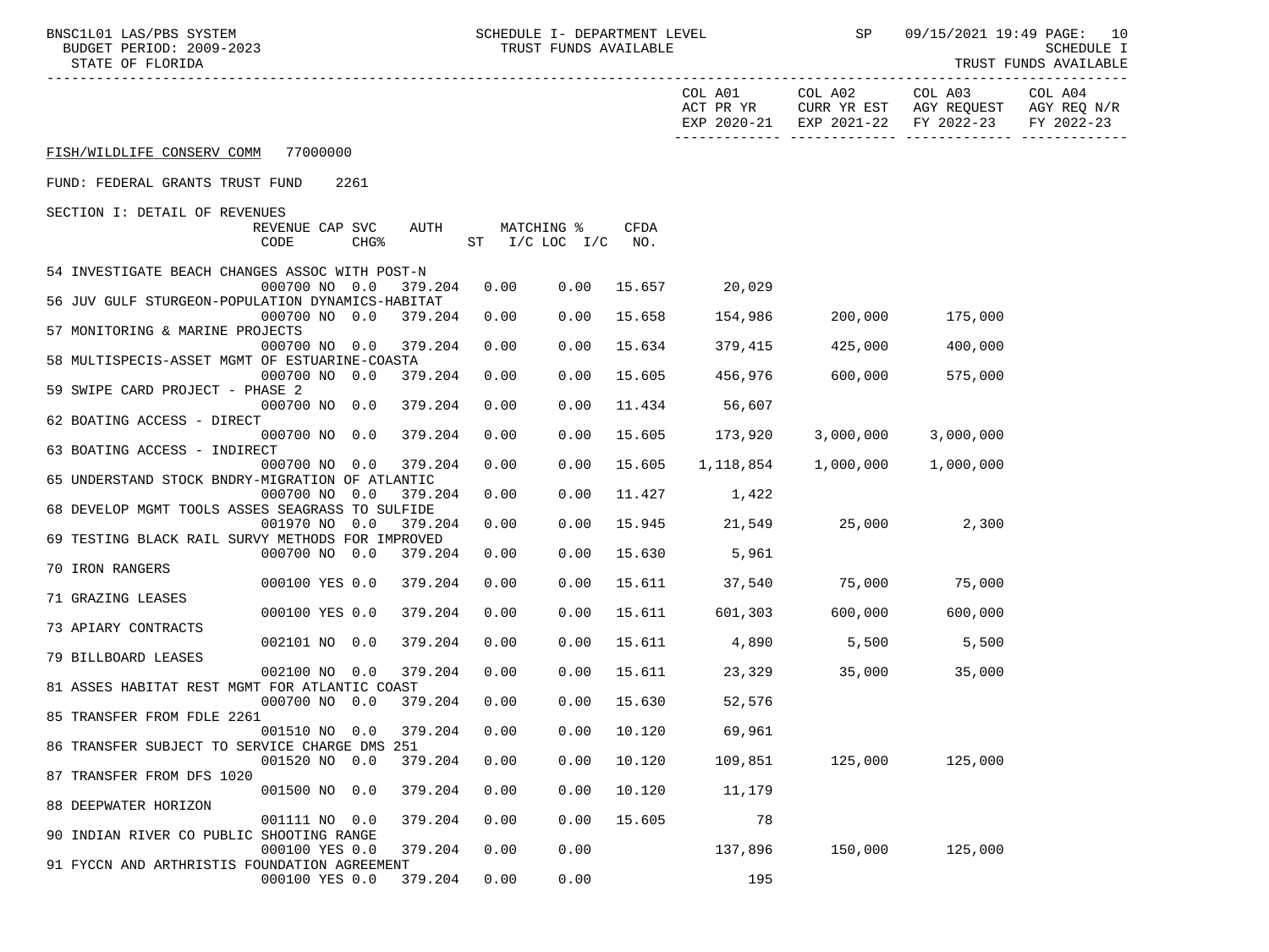BUDGET PERIOD: 2009-2023

BNSC1L01 LAS/PBS SYSTEM SCHEDULE I- DEPARTMENT LEVEL SP 09/15/2021 19:49 PAGE: 10<br>BUDGET PERIOD: 2009-2023 TRUST FUNDS AVAILABLE

-----------------------------------------------------------------------------------------------------------------------------------

STATE OF FLORIDA TRUST FUNDS AVAILABLE

|                                                  |                         |                  |                |      |                               |                    | COL A01<br>ACT PR YR<br>EXP 2020-21 | COL A02<br>CURR YR EST<br>EXP 2021-22 | COL A03<br>AGY REQUEST<br>FY 2022-23 | COL A04<br>AGY REQ N/R<br>FY 2022-23 |
|--------------------------------------------------|-------------------------|------------------|----------------|------|-------------------------------|--------------------|-------------------------------------|---------------------------------------|--------------------------------------|--------------------------------------|
| FISH/WILDLIFE CONSERV COMM                       | 77000000                |                  |                |      |                               |                    |                                     |                                       |                                      |                                      |
| FUND: FEDERAL GRANTS TRUST FUND                  |                         | 2261             |                |      |                               |                    |                                     |                                       |                                      |                                      |
| SECTION I: DETAIL OF REVENUES                    |                         |                  |                |      |                               |                    |                                     |                                       |                                      |                                      |
|                                                  | REVENUE CAP SVC<br>CODE | CHG <sup>8</sup> | AUTH           | ST   | MATCHING %<br>$I/C$ LOC $I/C$ | <b>CFDA</b><br>NO. |                                     |                                       |                                      |                                      |
| 54 INVESTIGATE BEACH CHANGES ASSOC WITH POST-N   | 000700 NO 0.0           |                  | 379.204        | 0.00 | 0.00                          | 15.657             | 20,029                              |                                       |                                      |                                      |
| 56 JUV GULF STURGEON-POPULATION DYNAMICS-HABITAT | 000700 NO 0.0           |                  | 379.204        | 0.00 | 0.00                          | 15.658             | 154,986                             | 200,000                               | 175,000                              |                                      |
| 57 MONITORING & MARINE PROJECTS                  |                         |                  |                |      |                               |                    |                                     |                                       |                                      |                                      |
| 58 MULTISPECIS-ASSET MGMT OF ESTUARINE-COASTA    | 000700 NO 0.0           |                  | 379.204        | 0.00 | 0.00                          | 15.634             | 379,415                             | 425,000                               | 400,000                              |                                      |
|                                                  | 000700 NO 0.0           |                  | 379.204        | 0.00 | 0.00                          | 15.605             | 456,976                             | 600,000                               | 575,000                              |                                      |
| 59 SWIPE CARD PROJECT - PHASE 2                  |                         |                  |                |      |                               |                    |                                     |                                       |                                      |                                      |
| 62 BOATING ACCESS - DIRECT                       | 000700 NO 0.0           |                  | 379.204        | 0.00 | 0.00                          | 11.434             | 56,607                              |                                       |                                      |                                      |
|                                                  | 000700 NO 0.0           |                  | 379.204        | 0.00 | 0.00                          | 15.605             | 173,920                             | 3,000,000                             | 3,000,000                            |                                      |
| 63 BOATING ACCESS - INDIRECT                     | 000700 NO 0.0           |                  | 379.204        | 0.00 | 0.00                          | 15.605             | 1,118,854                           | 1,000,000                             | 1,000,000                            |                                      |
| 65 UNDERSTAND STOCK BNDRY-MIGRATION OF ATLANTIC  |                         |                  |                |      |                               |                    |                                     |                                       |                                      |                                      |
| 68 DEVELOP MGMT TOOLS ASSES SEAGRASS TO SULFIDE  | 000700 NO               | 0.0              | 379.204        | 0.00 | 0.00                          | 11.427             | 1,422                               |                                       |                                      |                                      |
|                                                  | 001970 NO               | 0.0              | 379.204        | 0.00 | 0.00                          | 15.945             | 21,549                              | 25,000                                | 2,300                                |                                      |
| 69 TESTING BLACK RAIL SURVY METHODS FOR IMPROVED |                         |                  |                |      |                               |                    |                                     |                                       |                                      |                                      |
| 70 IRON RANGERS                                  | 000700 NO 0.0           |                  | 379.204        | 0.00 | 0.00                          | 15.630             | 5,961                               |                                       |                                      |                                      |
|                                                  | 000100 YES 0.0          |                  | 379.204        | 0.00 | 0.00                          | 15.611             | 37,540                              | 75,000                                | 75,000                               |                                      |
| 71 GRAZING LEASES                                | 000100 YES 0.0          |                  | 379.204        | 0.00 | 0.00                          | 15.611             | 601,303                             | 600,000                               | 600,000                              |                                      |
| 73 APIARY CONTRACTS                              |                         |                  |                |      |                               |                    |                                     |                                       |                                      |                                      |
| 79 BILLBOARD LEASES                              | 002101 NO 0.0           |                  | 379.204        | 0.00 | 0.00                          | 15.611             | 4,890                               | 5,500                                 | 5,500                                |                                      |
|                                                  | 002100 NO 0.0           |                  | 379.204        | 0.00 | 0.00                          | 15.611             | 23,329                              | 35,000                                | 35,000                               |                                      |
| 81 ASSES HABITAT REST MGMT FOR ATLANTIC COAST    |                         |                  |                |      |                               |                    |                                     |                                       |                                      |                                      |
| 85 TRANSFER FROM FDLE 2261                       | 000700 NO 0.0           |                  | 379.204        | 0.00 | 0.00                          | 15.630             | 52,576                              |                                       |                                      |                                      |
|                                                  | 001510 NO 0.0           |                  | 379.204        | 0.00 | 0.00                          | 10.120             | 69,961                              |                                       |                                      |                                      |
| 86 TRANSFER SUBJECT TO SERVICE CHARGE DMS        | 001520 NO 0.0           |                  | 251<br>379.204 | 0.00 | 0.00                          | 10.120             | 109,851                             | 125,000                               | 125,000                              |                                      |
| 87 TRANSFER FROM DFS 1020                        |                         |                  |                |      |                               |                    |                                     |                                       |                                      |                                      |
|                                                  | 001500 NO 0.0           |                  | 379.204        | 0.00 | 0.00                          | 10.120             | 11,179                              |                                       |                                      |                                      |
| 88 DEEPWATER HORIZON                             | 001111 NO 0.0           |                  | 379.204        | 0.00 | 0.00                          | 15.605             | 78                                  |                                       |                                      |                                      |
| 90 INDIAN RIVER CO PUBLIC SHOOTING RANGE         |                         |                  |                |      |                               |                    |                                     |                                       |                                      |                                      |
| 91 FYCCN AND ARTHRISTIS FOUNDATION AGREEMENT     | 000100 YES 0.0          |                  | 379.204        | 0.00 | 0.00                          |                    | 137,896                             | 150,000                               | 125,000                              |                                      |
|                                                  | 000100 YES 0.0          |                  | 379.204        | 0.00 | 0.00                          |                    | 195                                 |                                       |                                      |                                      |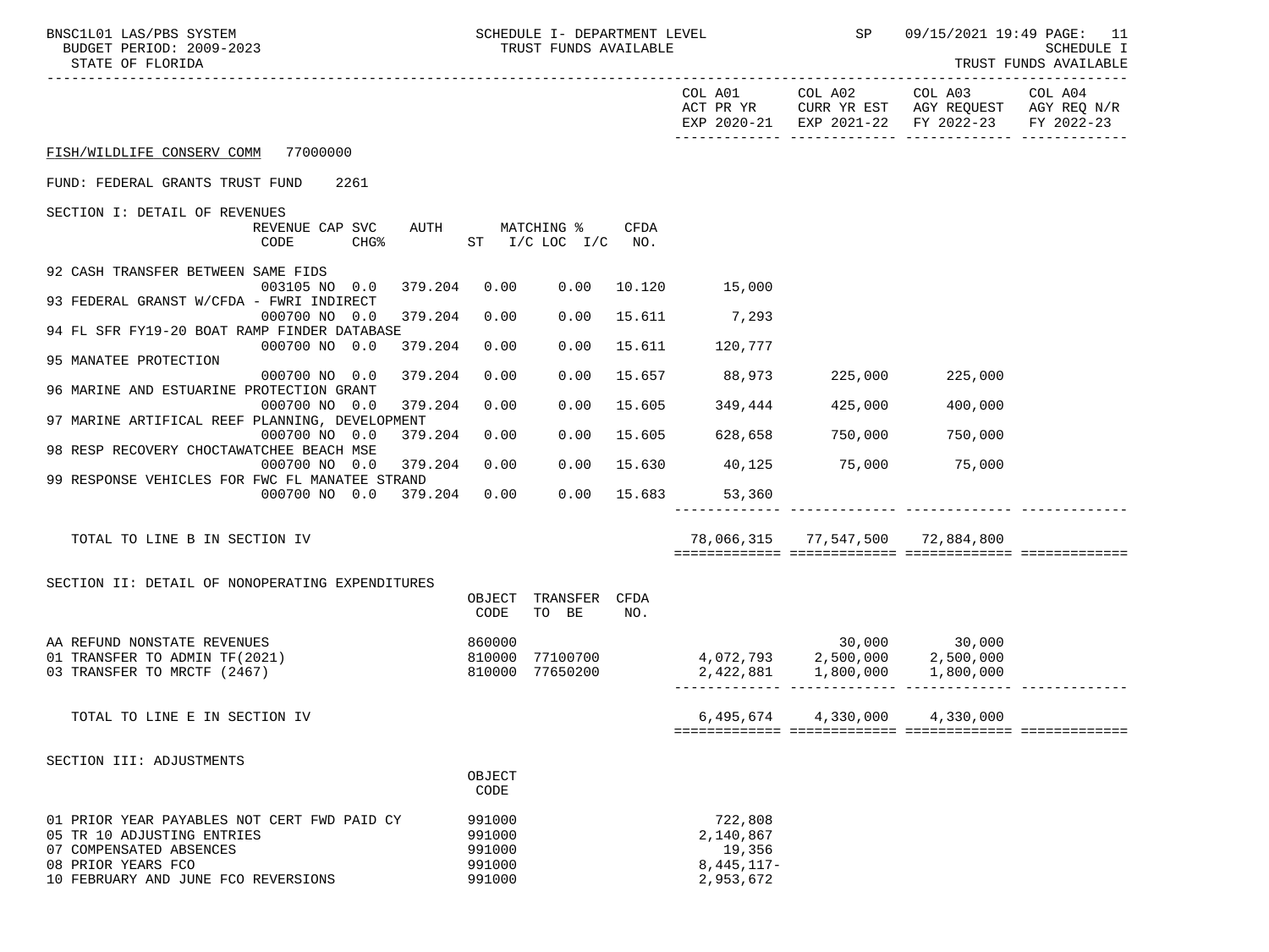| BNSC1L01 LAS/PBS SYSTEM<br>BUDGET PERIOD: 2009-2023<br>STATE OF FLORIDA                              |                                       | SCHEDULE I- DEPARTMENT LEVEL<br>TRUST FUNDS AVAILABLE |               |                                                                      | <b>SP</b> SP                     | 09/15/2021 19:49 PAGE: 11                                                                              | <b>SCHEDULE I</b><br>TRUST FUNDS AVAILABLE |
|------------------------------------------------------------------------------------------------------|---------------------------------------|-------------------------------------------------------|---------------|----------------------------------------------------------------------|----------------------------------|--------------------------------------------------------------------------------------------------------|--------------------------------------------|
| ----------------------                                                                               |                                       |                                                       |               | COL A01                                                              | COL A02                          | COL A03 COL A04<br>ACT PR YR CURR YR EST AGY REQUEST AGY REQ N/R<br>EXP 2020-21 EXP 2021-22 FY 2022-23 | FY 2022-23                                 |
| FISH/WILDLIFE CONSERV COMM 77000000                                                                  |                                       |                                                       |               |                                                                      |                                  |                                                                                                        |                                            |
| FUND: FEDERAL GRANTS TRUST FUND<br>2261                                                              |                                       |                                                       |               |                                                                      |                                  |                                                                                                        |                                            |
| SECTION I: DETAIL OF REVENUES                                                                        |                                       |                                                       |               |                                                                      |                                  |                                                                                                        |                                            |
| REVENUE CAP SVC<br>CODE<br>CHG <sup>8</sup>                                                          | AUTH MATCHING %<br>ST I/C LOC I/C NO. |                                                       | CFDA          |                                                                      |                                  |                                                                                                        |                                            |
| 92 CASH TRANSFER BETWEEN SAME FIDS<br>003105 NO 0.0<br>379.204                                       | 0.00                                  | 0.00                                                  |               | 10.120 15,000                                                        |                                  |                                                                                                        |                                            |
| 93 FEDERAL GRANST W/CFDA - FWRI INDIRECT                                                             |                                       |                                                       |               |                                                                      |                                  |                                                                                                        |                                            |
| 000700 NO 0.0<br>379.204<br>94 FL SFR FY19-20 BOAT RAMP FINDER DATABASE                              | 0.00                                  | 0.00                                                  |               | 15.611 7,293                                                         |                                  |                                                                                                        |                                            |
| 000700 NO 0.0<br>379.204<br>95 MANATEE PROTECTION                                                    | 0.00                                  | 0.00                                                  |               | 15.611 120,777                                                       |                                  |                                                                                                        |                                            |
| 000700 NO 0.0<br>379.204                                                                             | 0.00                                  | 0.00                                                  | 15.657        | 88,973                                                               |                                  | 225,000 225,000                                                                                        |                                            |
| 96 MARINE AND ESTUARINE PROTECTION GRANT<br>000700 NO 0.0<br>379.204                                 | 0.00                                  | 0.00                                                  | 15.605        | 349,444                                                              | 425,000                          | 400,000                                                                                                |                                            |
| 97 MARINE ARTIFICAL REEF PLANNING, DEVELOPMENT<br>000700 NO 0.0<br>379.204                           | 0.00                                  | 0.00                                                  | 15.605        | 628,658                                                              | 750,000                          | 750,000                                                                                                |                                            |
| 98 RESP RECOVERY CHOCTAWATCHEE BEACH MSE                                                             |                                       |                                                       |               |                                                                      |                                  |                                                                                                        |                                            |
| 000700 NO 0.0<br>379.204<br>99 RESPONSE VEHICLES FOR FWC FL MANATEE STRAND                           | 0.00                                  | 0.00                                                  |               | 15.630 40,125                                                        | 75,000                           | 75,000                                                                                                 |                                            |
| 000700 NO 0.0<br>379.204                                                                             | 0.00                                  |                                                       | $0.00$ 15.683 | 53,360                                                               |                                  |                                                                                                        |                                            |
| TOTAL TO LINE B IN SECTION IV                                                                        |                                       |                                                       |               |                                                                      | 78,066,315 77,547,500 72,884,800 |                                                                                                        |                                            |
| SECTION II: DETAIL OF NONOPERATING EXPENDITURES                                                      |                                       |                                                       |               |                                                                      |                                  |                                                                                                        |                                            |
|                                                                                                      | CODE                                  | OBJECT TRANSFER CFDA<br>TO BE                         | NO.           |                                                                      |                                  |                                                                                                        |                                            |
| AA REFUND NONSTATE REVENUES<br>01 TRANSFER TO ADMIN TF(2021)<br>03 TRANSFER TO MRCTF (2467)          | 860000                                | 810000 77100700<br>810000 77650200                    |               | $4,072,793$ $2,500,000$ $2,500,000$<br>2,422,881 1,800,000 1,800,000 |                                  | 30,000 30,000                                                                                          |                                            |
| TOTAL TO LINE E IN SECTION IV                                                                        |                                       |                                                       |               |                                                                      |                                  | $6,495,674$ $4,330,000$ $4,330,000$                                                                    |                                            |
|                                                                                                      |                                       |                                                       |               |                                                                      |                                  |                                                                                                        |                                            |
| SECTION III: ADJUSTMENTS                                                                             | OBJECT<br>CODE                        |                                                       |               |                                                                      |                                  |                                                                                                        |                                            |
| 01 PRIOR YEAR PAYABLES NOT CERT FWD PAID CY<br>05 TR 10 ADJUSTING ENTRIES<br>07 COMPENSATED ABSENCES | 991000<br>991000<br>991000            |                                                       |               | 722,808<br>2,140,867<br>19,356                                       |                                  |                                                                                                        |                                            |
| 08 PRIOR YEARS FCO<br>10 FEBRUARY AND JUNE FCO REVERSIONS                                            | 991000<br>991000                      |                                                       |               | $8,445,117-$<br>2,953,672                                            |                                  |                                                                                                        |                                            |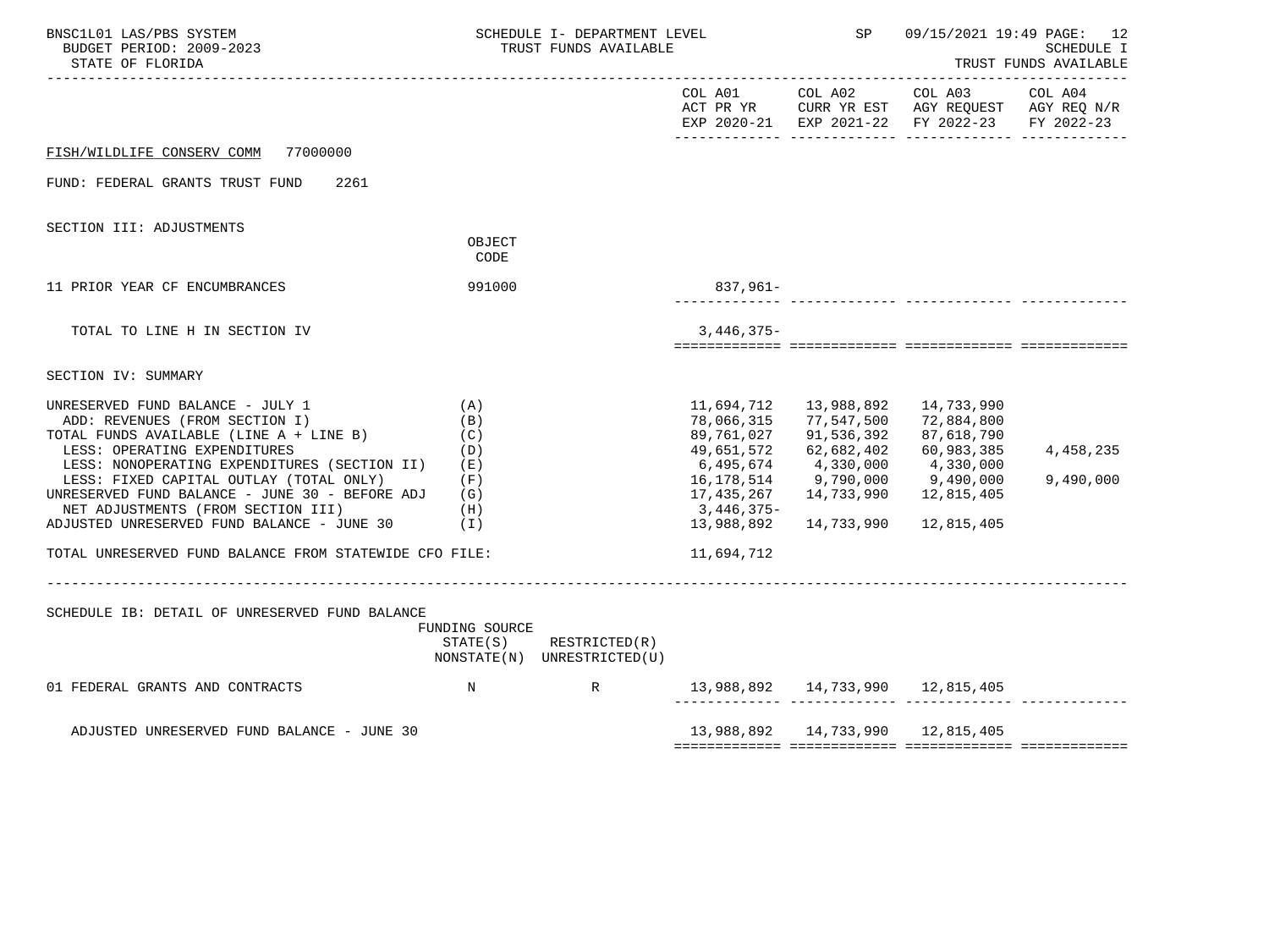| BNSC1L01 LAS/PBS SYSTEM<br>BUDGET PERIOD: 2009-2023<br>STATE OF FLORIDA                                                                                                                                                                                                                                                                                                        | SCHEDULE I- DEPARTMENT LEVEL<br>TRUST FUNDS AVAILABLE                   |                                                            |                                                                                                                           | <b>SP</b>                                                                                                  | 09/15/2021 19:49 PAGE: 12<br>SCHEDULE I<br>TRUST FUNDS AVAILABLE                                           |                        |  |
|--------------------------------------------------------------------------------------------------------------------------------------------------------------------------------------------------------------------------------------------------------------------------------------------------------------------------------------------------------------------------------|-------------------------------------------------------------------------|------------------------------------------------------------|---------------------------------------------------------------------------------------------------------------------------|------------------------------------------------------------------------------------------------------------|------------------------------------------------------------------------------------------------------------|------------------------|--|
|                                                                                                                                                                                                                                                                                                                                                                                |                                                                         |                                                            | COL A01                                                                                                                   | COL A02                                                                                                    | COL A03<br>ACT PR YR CURR YR EST AGY REQUEST AGY REQ N/R<br>EXP 2020-21 EXP 2021-22 FY 2022-23             | COL A04<br>FY 2022-23  |  |
| FISH/WILDLIFE CONSERV COMM 77000000                                                                                                                                                                                                                                                                                                                                            |                                                                         |                                                            |                                                                                                                           |                                                                                                            |                                                                                                            |                        |  |
| FUND: FEDERAL GRANTS TRUST FUND<br>2261                                                                                                                                                                                                                                                                                                                                        |                                                                         |                                                            |                                                                                                                           |                                                                                                            |                                                                                                            |                        |  |
| SECTION III: ADJUSTMENTS                                                                                                                                                                                                                                                                                                                                                       | OBJECT<br>CODE                                                          |                                                            |                                                                                                                           |                                                                                                            |                                                                                                            |                        |  |
| 11 PRIOR YEAR CF ENCUMBRANCES                                                                                                                                                                                                                                                                                                                                                  | 991000                                                                  |                                                            | 837,961-                                                                                                                  |                                                                                                            |                                                                                                            |                        |  |
| TOTAL TO LINE H IN SECTION IV                                                                                                                                                                                                                                                                                                                                                  |                                                                         |                                                            | $3,446,375-$                                                                                                              |                                                                                                            |                                                                                                            |                        |  |
| SECTION IV: SUMMARY                                                                                                                                                                                                                                                                                                                                                            |                                                                         |                                                            |                                                                                                                           |                                                                                                            |                                                                                                            |                        |  |
| UNRESERVED FUND BALANCE - JULY 1<br>ADD: REVENUES (FROM SECTION I)<br>TOTAL FUNDS AVAILABLE (LINE A + LINE B)<br>LESS: OPERATING EXPENDITURES<br>LESS: NONOPERATING EXPENDITURES (SECTION II)<br>LESS: FIXED CAPITAL OUTLAY (TOTAL ONLY)<br>UNRESERVED FUND BALANCE - JUNE 30 - BEFORE ADJ<br>NET ADJUSTMENTS (FROM SECTION III)<br>ADJUSTED UNRESERVED FUND BALANCE - JUNE 30 | (A)<br>(B)<br>(C)<br>(D)<br>( E )<br>(F)<br>(G)<br>(H)<br>$(\lrcorner)$ |                                                            | 11,694,712<br>78,066,315<br>89,761,027<br>49,651,572<br>6,495,674<br>16,178,514<br>17,435,267<br>3,446,375-<br>13,988,892 | 13,988,892<br>77,547,500<br>91,536,392<br>62,682,402<br>4,330,000<br>9,790,000<br>14,733,990<br>14,733,990 | 14,733,990<br>72,884,800<br>87,618,790<br>60,983,385<br>4,330,000<br>9,490,000<br>12,815,405<br>12,815,405 | 4,458,235<br>9,490,000 |  |
| TOTAL UNRESERVED FUND BALANCE FROM STATEWIDE CFO FILE:                                                                                                                                                                                                                                                                                                                         |                                                                         |                                                            | 11,694,712                                                                                                                |                                                                                                            |                                                                                                            |                        |  |
| SCHEDULE IB: DETAIL OF UNRESERVED FUND BALANCE                                                                                                                                                                                                                                                                                                                                 | FUNDING SOURCE                                                          | $STATE(S)$ RESTRICTED $(R)$<br>NONSTATE(N) UNRESTRICTED(U) |                                                                                                                           |                                                                                                            |                                                                                                            |                        |  |
| 01 FEDERAL GRANTS AND CONTRACTS<br>$\mathbb N$                                                                                                                                                                                                                                                                                                                                 |                                                                         | R                                                          | 13,988,892  14,733,990  12,815,405                                                                                        |                                                                                                            |                                                                                                            |                        |  |
| ADJUSTED UNRESERVED FUND BALANCE - JUNE 30                                                                                                                                                                                                                                                                                                                                     |                                                                         |                                                            |                                                                                                                           |                                                                                                            | 13,988,892  14,733,990  12,815,405                                                                         |                        |  |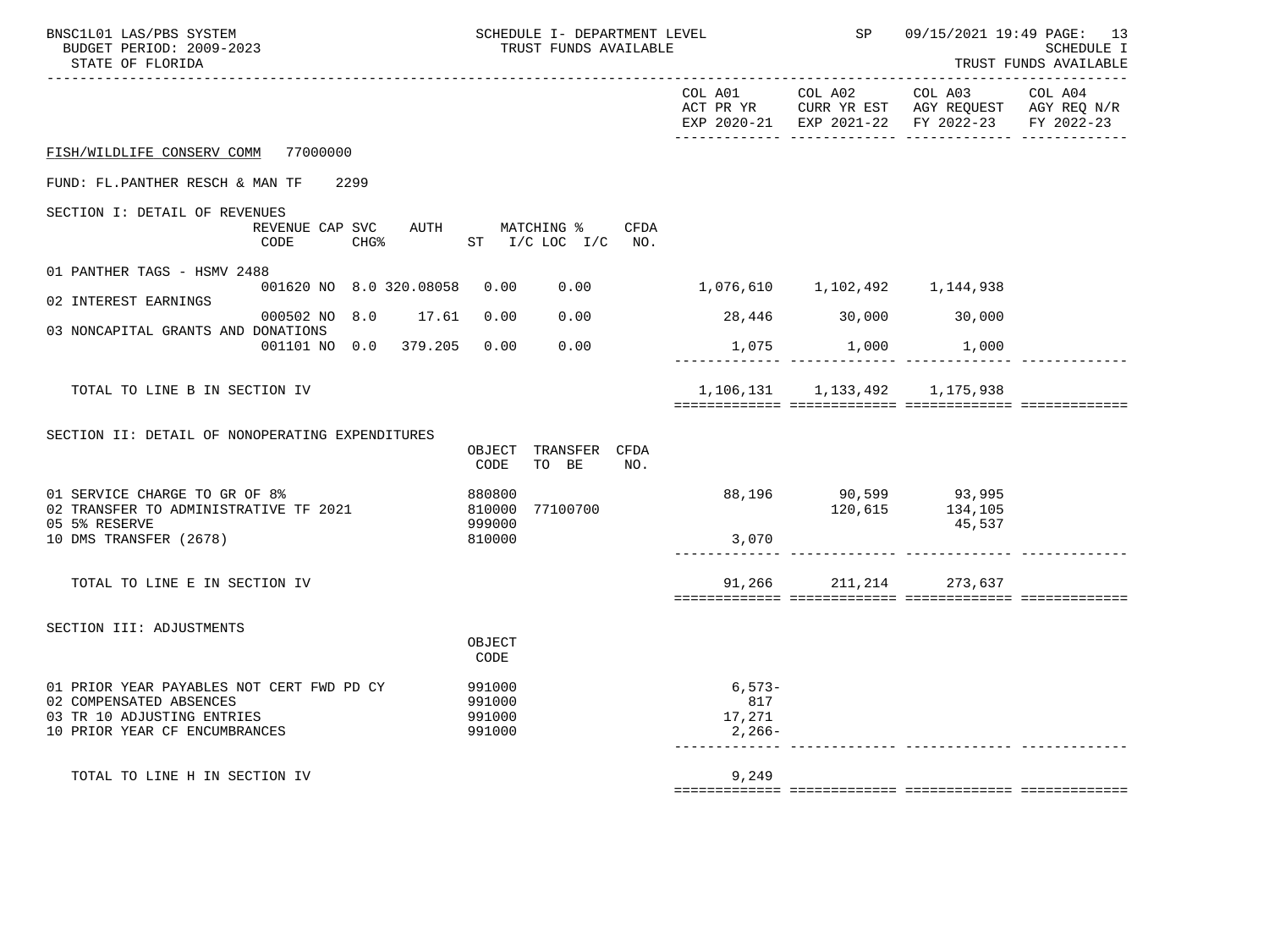| BNSC1L01 LAS/PBS SYSTEM<br>BUDGET PERIOD: 2009-2023<br>STATE OF FLORIDA                                                             |                                         | SCHEDULE I- DEPARTMENT LEVEL<br>TRUST FUNDS AVAILABLE |                                     | SP                                                                                                                             | 09/15/2021 19:49 PAGE: 13<br><b>SCHEDULE I</b><br>TRUST FUNDS AVAILABLE |         |  |
|-------------------------------------------------------------------------------------------------------------------------------------|-----------------------------------------|-------------------------------------------------------|-------------------------------------|--------------------------------------------------------------------------------------------------------------------------------|-------------------------------------------------------------------------|---------|--|
|                                                                                                                                     |                                         |                                                       | COL A01                             | COL A02<br>ACT PR YR $\,$ CURR YR EST $\,$ AGY REQUEST $\,$ AGY REQ $\rm N/R$<br>EXP 2020-21 EXP 2021-22 FY 2022-23 FY 2022-23 | COL A03                                                                 | COL A04 |  |
| FISH/WILDLIFE CONSERV COMM 77000000                                                                                                 |                                         |                                                       |                                     |                                                                                                                                |                                                                         |         |  |
| FUND: FL.PANTHER RESCH & MAN TF                                                                                                     | 2299                                    |                                                       |                                     |                                                                                                                                |                                                                         |         |  |
| SECTION I: DETAIL OF REVENUES                                                                                                       | REVENUE CAP SVC AUTH MATCHING %<br>CODE | CHG% $ST$ I/C LOC I/C NO.                             | CFDA                                |                                                                                                                                |                                                                         |         |  |
| 01 PANTHER TAGS - HSMV 2488                                                                                                         | 001620 NO 8.0 320.08058 0.00 0.00       |                                                       | 1,076,610 1,102,492 1,144,938       |                                                                                                                                |                                                                         |         |  |
| 02 INTEREST EARNINGS                                                                                                                | 000502 NO 8.0 17.61 0.00                | 0.00                                                  | 28,446 30,000 30,000                |                                                                                                                                |                                                                         |         |  |
| 03 NONCAPITAL GRANTS AND DONATIONS                                                                                                  | 001101 NO 0.0 379.205 0.00              | 0.00                                                  |                                     | $1,075$ $1,000$ $1,000$                                                                                                        |                                                                         |         |  |
| TOTAL TO LINE B IN SECTION IV                                                                                                       |                                         |                                                       |                                     | 1, 106, 131 1, 133, 492 1, 175, 938                                                                                            |                                                                         |         |  |
| SECTION II: DETAIL OF NONOPERATING EXPENDITURES                                                                                     |                                         | OBJECT TRANSFER CFDA<br>TO BE<br>CODE                 | NO.                                 |                                                                                                                                |                                                                         |         |  |
| 01 SERVICE CHARGE TO GR OF 8%<br>02 TRANSFER TO ADMINISTRATIVE TF 2021<br>05 5% RESERVE                                             |                                         | 880800<br>810000<br>77100700<br>999000                |                                     | 88,196 90,599 93,995<br>120,615 134,105                                                                                        | 45,537                                                                  |         |  |
| 10 DMS TRANSFER (2678)                                                                                                              |                                         | 810000                                                | 3,070                               |                                                                                                                                |                                                                         |         |  |
| TOTAL TO LINE E IN SECTION IV                                                                                                       |                                         |                                                       |                                     | 91,266 211,214 273,637                                                                                                         |                                                                         |         |  |
| SECTION III: ADJUSTMENTS                                                                                                            |                                         | OBJECT<br>CODE                                        |                                     |                                                                                                                                |                                                                         |         |  |
| 01 PRIOR YEAR PAYABLES NOT CERT FWD PD CY<br>02 COMPENSATED ABSENCES<br>03 TR 10 ADJUSTING ENTRIES<br>10 PRIOR YEAR CF ENCUMBRANCES |                                         | 991000<br>991000<br>991000<br>991000                  | $6,573-$<br>817<br>17,271<br>2,266- |                                                                                                                                |                                                                         |         |  |
| TOTAL TO LINE H IN SECTION IV                                                                                                       |                                         |                                                       | 9,249                               |                                                                                                                                |                                                                         |         |  |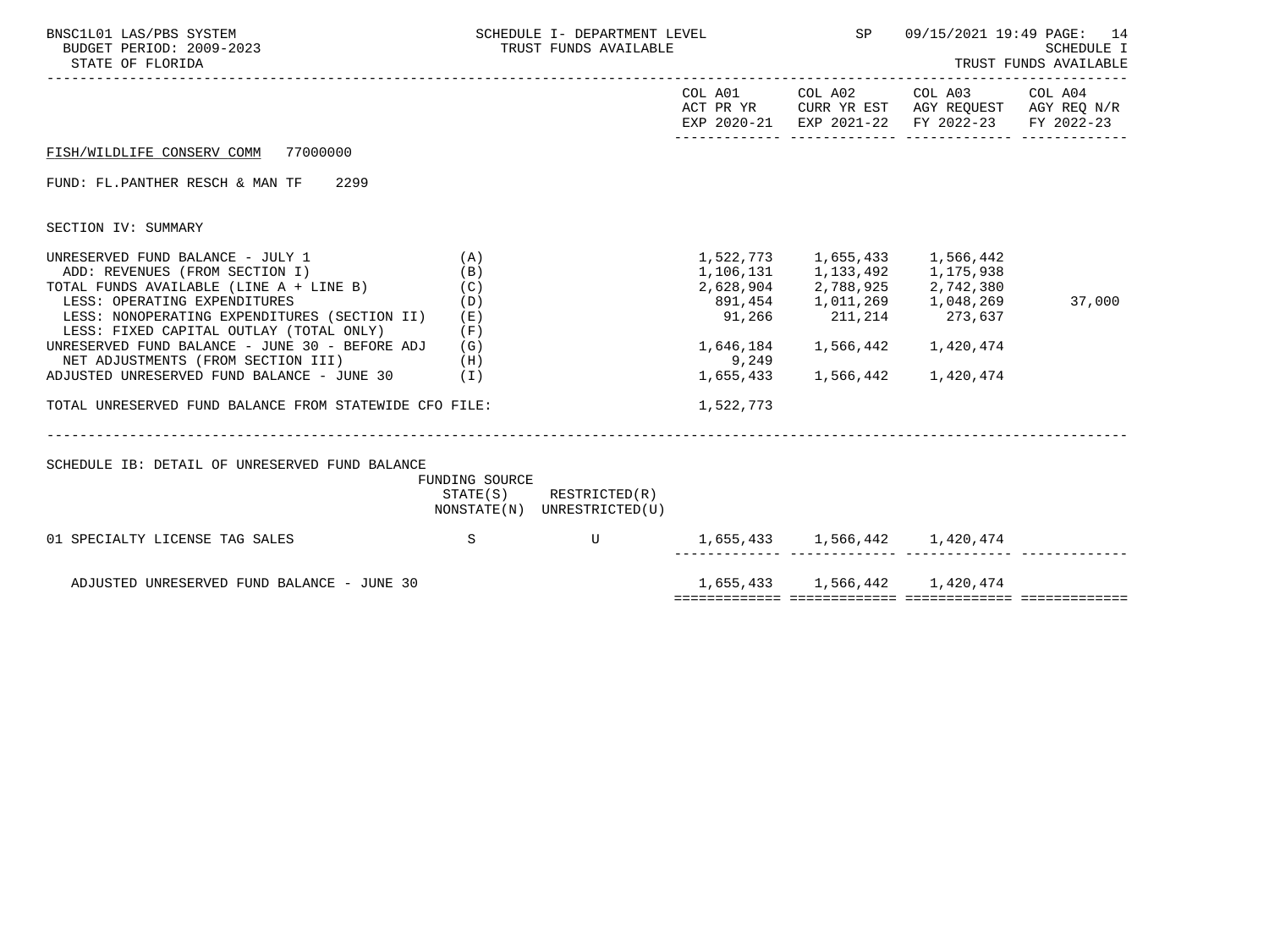| BNSC1L01 LAS/PBS SYSTEM<br>BUDGET PERIOD: 2009-2023<br>STATE OF FLORIDA                                                                                                                                                                                                                                                                                                                          |                                 | SCHEDULE I- DEPARTMENT LEVEL<br>TRUST FUNDS AVAILABLE      |                               | <b>SP</b>                                                      | 09/15/2021 19:49 PAGE: 14<br>SCHEDULE I<br>TRUST FUNDS AVAILABLE                                                                                                                                                                |        |  |
|--------------------------------------------------------------------------------------------------------------------------------------------------------------------------------------------------------------------------------------------------------------------------------------------------------------------------------------------------------------------------------------------------|---------------------------------|------------------------------------------------------------|-------------------------------|----------------------------------------------------------------|---------------------------------------------------------------------------------------------------------------------------------------------------------------------------------------------------------------------------------|--------|--|
|                                                                                                                                                                                                                                                                                                                                                                                                  |                                 |                                                            |                               | COL A01 COL A02                                                | COL A03 COL A04<br>ACT PR YR CURR YR EST AGY REQUEST AGY REQ $\rm N/R$<br>EXP 2020-21 EXP 2021-22 FY 2022-23 FY 2022-23                                                                                                         |        |  |
| FISH/WILDLIFE CONSERV COMM 77000000                                                                                                                                                                                                                                                                                                                                                              |                                 |                                                            |                               |                                                                |                                                                                                                                                                                                                                 |        |  |
| FUND: FL.PANTHER RESCH & MAN TF 2299                                                                                                                                                                                                                                                                                                                                                             |                                 |                                                            |                               |                                                                |                                                                                                                                                                                                                                 |        |  |
| SECTION IV: SUMMARY                                                                                                                                                                                                                                                                                                                                                                              |                                 |                                                            |                               |                                                                |                                                                                                                                                                                                                                 |        |  |
| UNRESERVED FUND BALANCE - JULY 1<br>ADD: REVENUES (FROM SECTION I)<br>TOTAL FUNDS AVAILABLE (LINE A + LINE B)<br>LESS: OPERATING EXPENDITURES<br>LESS: NONOPERATING EXPENDITURES (SECTION II) (E)<br>LESS: FIXED CAPITAL OUTLAY (TOTAL ONLY)<br>UNRESERVED FUND BALANCE - JUNE 30 - BEFORE ADJ $(G)$<br>NET ADJUSTMENTS (FROM SECTION III) (H)<br>ADJUSTED UNRESERVED FUND BALANCE - JUNE 30 (I) | (A)<br>(B)<br>(C)<br>(D)<br>(F) |                                                            | 9,249                         | 1,522,773 1,655,433 1,566,442<br>1,655,433 1,566,442 1,420,474 | $\begin{array}{cccc} 1,106\,, 131 & 1\,, 133\,, 492 & 1\,, 175\,, 938 \\ 2,628\,, 904 & 2\,, 788\,, 925 & 2\,, 742\,, 380 \\ 891\,, 454 & 1\,, 011\,, 269 & 1\,, 048\,, 269 \\ 91\,, 266 & 211\,, 214 & 273\,, 637 \end{array}$ | 37,000 |  |
| TOTAL UNRESERVED FUND BALANCE FROM STATEWIDE CFO FILE:                                                                                                                                                                                                                                                                                                                                           |                                 |                                                            | 1,522,773                     |                                                                |                                                                                                                                                                                                                                 |        |  |
| SCHEDULE IB: DETAIL OF UNRESERVED FUND BALANCE                                                                                                                                                                                                                                                                                                                                                   | FUNDING SOURCE                  | $STATE(S)$ RESTRICTED $(R)$<br>NONSTATE(N) UNRESTRICTED(U) |                               |                                                                |                                                                                                                                                                                                                                 |        |  |
| 01 SPECIALTY LICENSE TAG SALES                                                                                                                                                                                                                                                                                                                                                                   | $\mathbf S$                     | $\mathbf{U}$                                               | 1,655,433 1,566,442 1,420,474 |                                                                |                                                                                                                                                                                                                                 |        |  |
| ADJUSTED UNRESERVED FUND BALANCE - JUNE 30                                                                                                                                                                                                                                                                                                                                                       |                                 |                                                            |                               |                                                                | 1,655,433 1,566,442 1,420,474                                                                                                                                                                                                   |        |  |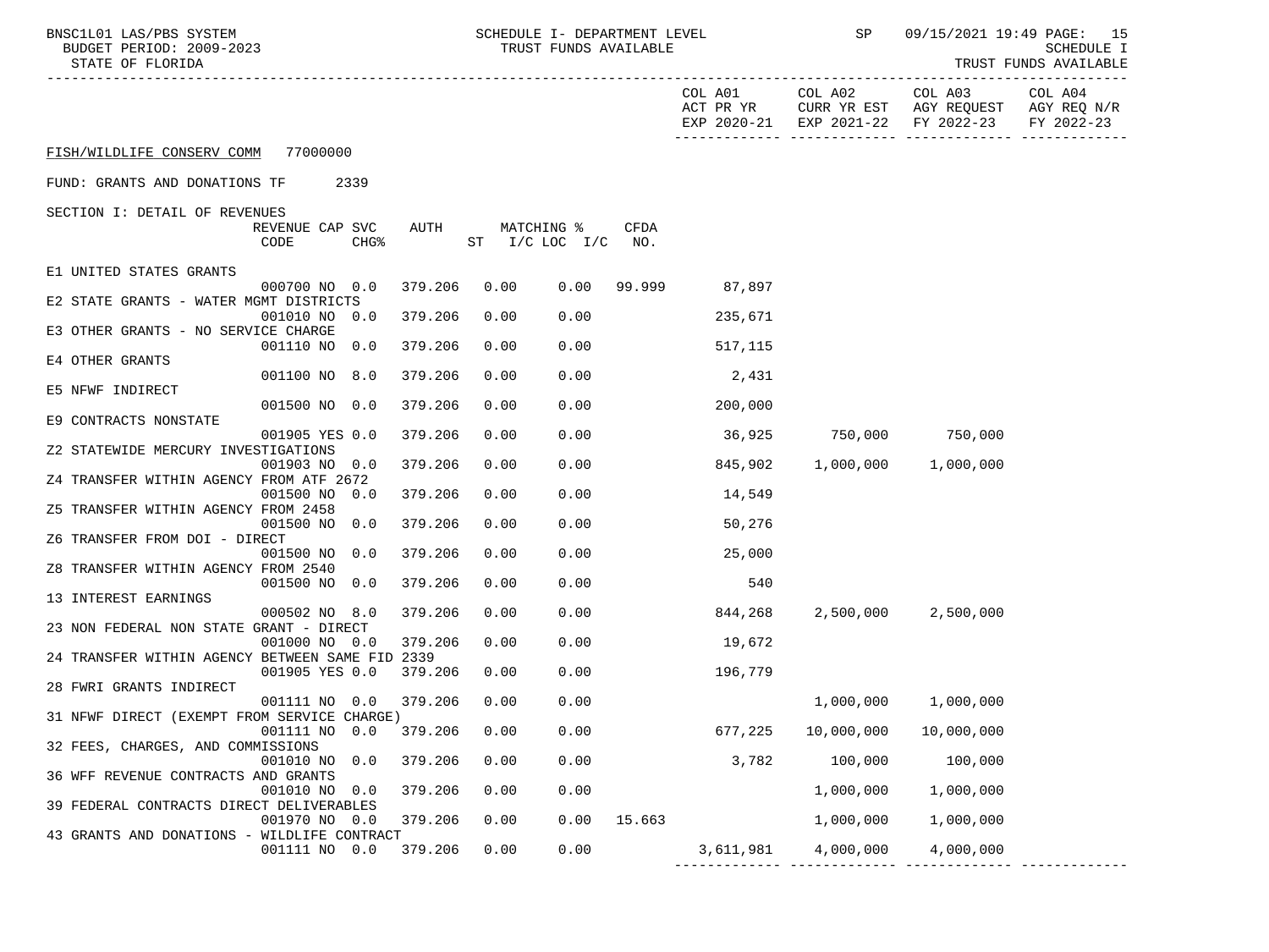| BNSC1L01 LAS/PBS SYSTEM |                   |                          |
|-------------------------|-------------------|--------------------------|
|                         |                   | BUDGET PERIOD: 2009-2023 |
|                         | גחדסת זה הם הידים |                          |

SCILO1 LAS/PBS SYSTEM SOMEDULE I- DEPARTMENT LEVEL SOMED SP 09/15/2021 19:49 PAGE: 15<br>SCHEDULE I (SCHEDULE I TRUST FUNDS AVAILABLE) SUNDGET PERIOD: 2009-2023 TRUST FUNDS AVAILABLE

STATE OF FLORIDA NAILLABLE STATE OF FUNDS AVAILABLE

|                                                 |                 |                  |         |      |                        |               | COL A01   | COL A02<br>ACT PR YR CURR YR EST AGY REQUEST AGY REQ N/R<br>EXP 2020-21 EXP 2021-22 FY 2022-23 | COL A03             | COL A04<br>FY 2022-23 |
|-------------------------------------------------|-----------------|------------------|---------|------|------------------------|---------------|-----------|------------------------------------------------------------------------------------------------|---------------------|-----------------------|
| FISH/WILDLIFE CONSERV COMM 77000000             |                 |                  |         |      |                        |               |           |                                                                                                |                     |                       |
| FUND: GRANTS AND DONATIONS TF                   | 2339            |                  |         |      |                        |               |           |                                                                                                |                     |                       |
| SECTION I: DETAIL OF REVENUES                   |                 |                  |         |      |                        |               |           |                                                                                                |                     |                       |
|                                                 | REVENUE CAP SVC |                  | AUTH    |      | MATCHING %             | CFDA          |           |                                                                                                |                     |                       |
|                                                 | CODE            | CHG <sup>8</sup> |         |      | $ST$ $I/C$ $LOC$ $I/C$ | NO.           |           |                                                                                                |                     |                       |
| E1 UNITED STATES GRANTS                         |                 |                  |         |      |                        |               |           |                                                                                                |                     |                       |
|                                                 | 000700 NO 0.0   |                  | 379.206 | 0.00 | 0.00                   | 99.999        | 87,897    |                                                                                                |                     |                       |
| E2 STATE GRANTS - WATER MGMT DISTRICTS          |                 |                  |         |      |                        |               |           |                                                                                                |                     |                       |
|                                                 | 001010 NO 0.0   |                  | 379.206 | 0.00 | 0.00                   |               | 235,671   |                                                                                                |                     |                       |
| E3 OTHER GRANTS - NO SERVICE CHARGE             |                 |                  |         |      |                        |               |           |                                                                                                |                     |                       |
|                                                 | 001110 NO 0.0   |                  | 379.206 | 0.00 | 0.00                   |               | 517,115   |                                                                                                |                     |                       |
| E4 OTHER GRANTS                                 |                 |                  |         |      |                        |               |           |                                                                                                |                     |                       |
|                                                 | 001100 NO 8.0   |                  | 379.206 | 0.00 | 0.00                   |               | 2,431     |                                                                                                |                     |                       |
| E5 NFWF INDIRECT                                |                 |                  |         |      |                        |               |           |                                                                                                |                     |                       |
|                                                 | 001500 NO 0.0   |                  | 379.206 | 0.00 | 0.00                   |               | 200,000   |                                                                                                |                     |                       |
| E9 CONTRACTS NONSTATE                           |                 |                  |         |      |                        |               |           |                                                                                                |                     |                       |
|                                                 | 001905 YES 0.0  |                  | 379.206 | 0.00 | 0.00                   |               | 36,925    | 750,000 750,000                                                                                |                     |                       |
| Z2 STATEWIDE MERCURY INVESTIGATIONS             |                 |                  |         |      |                        |               |           |                                                                                                |                     |                       |
|                                                 | 001903 NO 0.0   |                  | 379.206 | 0.00 | 0.00                   |               | 845,902   |                                                                                                | 1,000,000 1,000,000 |                       |
| Z4 TRANSFER WITHIN AGENCY FROM ATF 2672         |                 |                  |         |      |                        |               |           |                                                                                                |                     |                       |
|                                                 | 001500 NO 0.0   |                  | 379.206 | 0.00 | 0.00                   |               | 14,549    |                                                                                                |                     |                       |
| Z5 TRANSFER WITHIN AGENCY FROM 2458             |                 |                  |         |      |                        |               |           |                                                                                                |                     |                       |
|                                                 | 001500 NO 0.0   |                  | 379.206 | 0.00 | 0.00                   |               | 50,276    |                                                                                                |                     |                       |
| Z6 TRANSFER FROM DOI - DIRECT                   |                 |                  |         |      |                        |               |           |                                                                                                |                     |                       |
|                                                 | 001500 NO 0.0   |                  | 379.206 | 0.00 | 0.00                   |               | 25,000    |                                                                                                |                     |                       |
| Z8 TRANSFER WITHIN AGENCY FROM 2540             |                 |                  |         |      |                        |               |           |                                                                                                |                     |                       |
|                                                 | 001500 NO 0.0   |                  | 379.206 | 0.00 | 0.00                   |               | 540       |                                                                                                |                     |                       |
|                                                 |                 |                  |         |      |                        |               |           |                                                                                                |                     |                       |
| 13 INTEREST EARNINGS                            |                 |                  |         |      |                        |               |           |                                                                                                |                     |                       |
|                                                 | 000502 NO 8.0   |                  | 379.206 | 0.00 | 0.00                   |               | 844,268   |                                                                                                | 2,500,000 2,500,000 |                       |
| 23 NON FEDERAL NON STATE GRANT - DIRECT         |                 |                  |         |      |                        |               |           |                                                                                                |                     |                       |
|                                                 | 001000 NO 0.0   |                  | 379.206 | 0.00 | 0.00                   |               | 19,672    |                                                                                                |                     |                       |
| 24 TRANSFER WITHIN AGENCY BETWEEN SAME FID 2339 |                 |                  |         |      |                        |               |           |                                                                                                |                     |                       |
|                                                 | 001905 YES 0.0  |                  | 379.206 | 0.00 | 0.00                   |               | 196,779   |                                                                                                |                     |                       |
| 28 FWRI GRANTS INDIRECT                         |                 |                  |         |      |                        |               |           |                                                                                                |                     |                       |
|                                                 | 001111 NO 0.0   |                  | 379.206 | 0.00 | 0.00                   |               |           | 1,000,000                                                                                      | 1,000,000           |                       |
| 31 NFWF DIRECT (EXEMPT FROM SERVICE CHARGE)     |                 |                  |         |      |                        |               |           |                                                                                                |                     |                       |
|                                                 | 001111 NO 0.0   |                  | 379.206 | 0.00 | 0.00                   |               | 677,225   | 10,000,000                                                                                     | 10,000,000          |                       |
| 32 FEES, CHARGES, AND COMMISSIONS               |                 |                  |         |      |                        |               |           |                                                                                                |                     |                       |
|                                                 | 001010 NO 0.0   |                  | 379.206 | 0.00 | 0.00                   |               | 3,782     | 100,000                                                                                        | 100,000             |                       |
| 36 WFF REVENUE CONTRACTS AND GRANTS             |                 |                  |         |      |                        |               |           |                                                                                                |                     |                       |
|                                                 | 001010 NO 0.0   |                  | 379.206 | 0.00 | 0.00                   |               |           | 1,000,000                                                                                      | 1,000,000           |                       |
| 39 FEDERAL CONTRACTS DIRECT DELIVERABLES        |                 |                  |         |      |                        |               |           |                                                                                                |                     |                       |
|                                                 | 001970 NO 0.0   |                  | 379.206 | 0.00 |                        | $0.00$ 15.663 |           | 1,000,000                                                                                      | 1,000,000           |                       |
| 43 GRANTS AND DONATIONS - WILDLIFE CONTRACT     |                 |                  |         |      |                        |               |           |                                                                                                |                     |                       |
|                                                 | 001111 NO 0.0   |                  | 379.206 | 0.00 | 0.00                   |               | 3,611,981 | 4,000,000                                                                                      | 4,000,000           |                       |

------------- ------------- ------------- -------------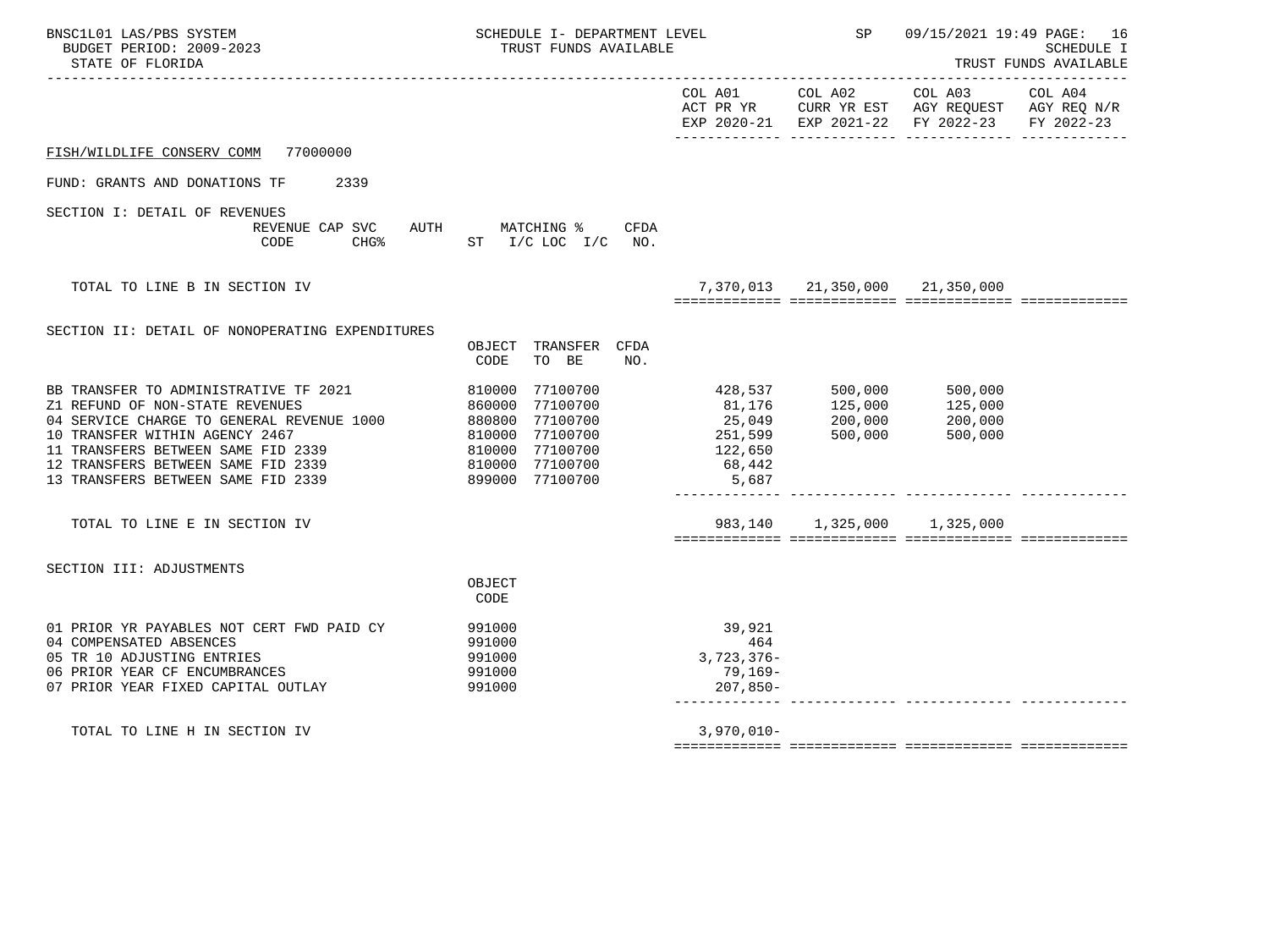| BNSC1L01 LAS/PBS SYSTEM<br>BUDGET PERIOD: 2009-2023<br>STATE OF FLORIDA                                                                                                                                                                                                   | SCHEDULE I- DEPARTMENT LEVEL<br>TRUST FUNDS AVAILABLE                                                                             |                                                      | SP                                                      | 09/15/2021 19:49 PAGE: 16<br><b>SCHEDULE I</b><br>TRUST FUNDS AVAILABLE                        |                       |  |
|---------------------------------------------------------------------------------------------------------------------------------------------------------------------------------------------------------------------------------------------------------------------------|-----------------------------------------------------------------------------------------------------------------------------------|------------------------------------------------------|---------------------------------------------------------|------------------------------------------------------------------------------------------------|-----------------------|--|
|                                                                                                                                                                                                                                                                           |                                                                                                                                   | COL A01                                              | COL A02                                                 | COL A03<br>ACT PR YR CURR YR EST AGY REQUEST AGY REQ N/R<br>EXP 2020-21 EXP 2021-22 FY 2022-23 | COL A04<br>FY 2022-23 |  |
| FISH/WILDLIFE CONSERV COMM 77000000                                                                                                                                                                                                                                       |                                                                                                                                   |                                                      |                                                         |                                                                                                |                       |  |
| FUND: GRANTS AND DONATIONS TF<br>2339                                                                                                                                                                                                                                     |                                                                                                                                   |                                                      |                                                         |                                                                                                |                       |  |
| SECTION I: DETAIL OF REVENUES<br>REVENUE CAP SVC AUTH MATCHING %<br>CODE                                                                                                                                                                                                  | CFDA<br>CHG% ST I/C LOC I/C NO.                                                                                                   |                                                      |                                                         |                                                                                                |                       |  |
| TOTAL TO LINE B IN SECTION IV                                                                                                                                                                                                                                             |                                                                                                                                   |                                                      | 7,370,013 21,350,000 21,350,000                         |                                                                                                |                       |  |
| SECTION II: DETAIL OF NONOPERATING EXPENDITURES                                                                                                                                                                                                                           | OBJECT TRANSFER CFDA<br>TO BE<br>CODE<br>NO.                                                                                      |                                                      |                                                         |                                                                                                |                       |  |
| BB TRANSFER TO ADMINISTRATIVE TF 2021<br>Z1 REFUND OF NON-STATE REVENUES<br>04 SERVICE CHARGE TO GENERAL REVENUE 1000<br>10 TRANSFER WITHIN AGENCY 2467<br>11 TRANSFERS BETWEEN SAME FID 2339<br>12 TRANSFERS BETWEEN SAME FID 2339<br>13 TRANSFERS BETWEEN SAME FID 2339 | 810000 77100700<br>860000 77100700<br>880800 77100700<br>810000 77100700<br>810000 77100700<br>810000 77100700<br>899000 77100700 | 25,049<br>251,599<br>122,650<br>68,442<br>5,687      | 428,537 500,000<br>81,176 125,000<br>200,000<br>500,000 | 500,000<br>125,000<br>200,000<br>500,000                                                       |                       |  |
| TOTAL TO LINE E IN SECTION IV                                                                                                                                                                                                                                             |                                                                                                                                   |                                                      | 983,140 1,325,000 1,325,000                             |                                                                                                |                       |  |
| SECTION III: ADJUSTMENTS                                                                                                                                                                                                                                                  | OBJECT<br>CODE                                                                                                                    |                                                      |                                                         |                                                                                                |                       |  |
| 01 PRIOR YR PAYABLES NOT CERT FWD PAID CY<br>04 COMPENSATED ABSENCES<br>05 TR 10 ADJUSTING ENTRIES<br>06 PRIOR YEAR CF ENCUMBRANCES<br>07 PRIOR YEAR FIXED CAPITAL OUTLAY                                                                                                 | 991000<br>991000<br>991000<br>991000<br>991000                                                                                    | 39,921<br>464<br>$3,723,376-$<br>79,169-<br>207,850- |                                                         |                                                                                                |                       |  |
| TOTAL TO LINE H IN SECTION IV                                                                                                                                                                                                                                             |                                                                                                                                   | $3,970,010 -$                                        |                                                         |                                                                                                |                       |  |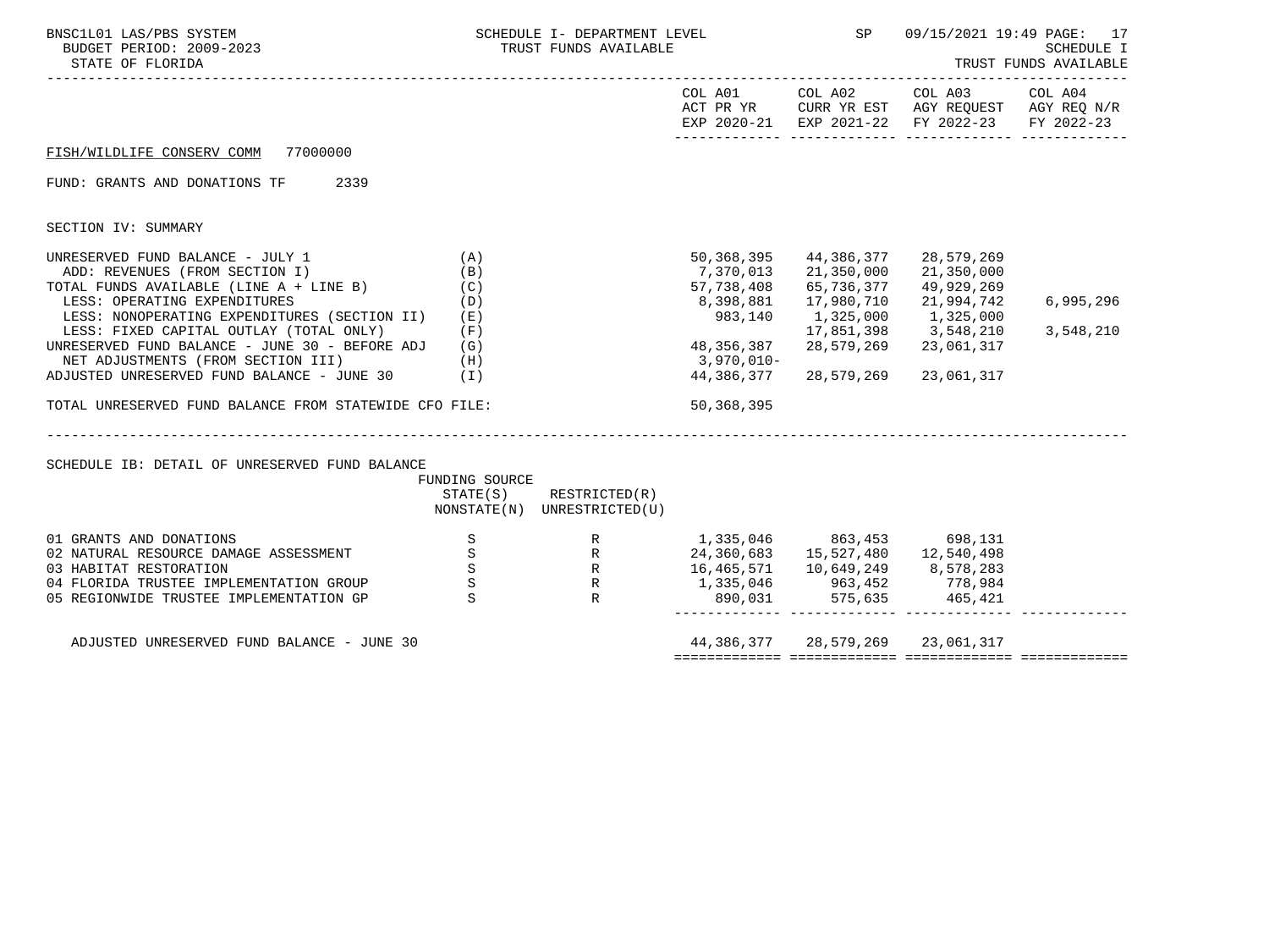| BNSC1L01 LAS/PBS SYSTEM<br>BUDGET PERIOD: 2009-2023<br>STATE OF FLORIDA                                                                                                                              |                                                               | TRUST FUNDS AVAILABLE                                                                                                                                            |                                                  |                                                                | 09/15/2021 19:49 PAGE: 17<br>SCHEDULE I<br>TRUST FUNDS AVAILABLE                                                               |           |  |
|------------------------------------------------------------------------------------------------------------------------------------------------------------------------------------------------------|---------------------------------------------------------------|------------------------------------------------------------------------------------------------------------------------------------------------------------------|--------------------------------------------------|----------------------------------------------------------------|--------------------------------------------------------------------------------------------------------------------------------|-----------|--|
|                                                                                                                                                                                                      |                                                               |                                                                                                                                                                  |                                                  |                                                                | COL A01 COL A02 COL A03 COL A04<br>ACT PR YR CURR YR EST AGY REQUEST AGY REQ N/R EXP 2020-21 EXP 2021-22 FY 2022-23 FY 2022-23 |           |  |
| FISH/WILDLIFE CONSERV COMM 77000000                                                                                                                                                                  |                                                               |                                                                                                                                                                  |                                                  |                                                                |                                                                                                                                |           |  |
| FUND: GRANTS AND DONATIONS TF 2339                                                                                                                                                                   |                                                               |                                                                                                                                                                  |                                                  |                                                                |                                                                                                                                |           |  |
| SECTION IV: SUMMARY                                                                                                                                                                                  |                                                               |                                                                                                                                                                  |                                                  |                                                                |                                                                                                                                |           |  |
| UNRESERVED FUND BALANCE - JULY 1<br>(A)<br>ADD: REVENUES (FROM SECTION I)<br>TOTAL FUNDS AVAILABLE (LINE A + LINE B)<br>LESS: OPERATING EXPENDITURES<br>LESS: NONOPERATING EXPENDITURES (SECTION II) | (B)<br>(C)<br>(D)<br>(E)                                      |                                                                                                                                                                  | 50,368,395<br>57,738,408<br>8,398,881<br>983,140 | 44,386,377 28,579,269<br>65,736,377<br>17,980,710<br>1,325,000 | 21,350,000<br>49,929,269<br>21,994,742<br>1,325,000                                                                            | 6,995,296 |  |
| LESS: FIXED CAPITAL OUTLAY (TOTAL ONLY)<br>UNRESERVED FUND BALANCE - JUNE 30 - BEFORE ADJ (G)<br>NET ADJUSTMENTS (FROM SECTION III) (H)<br>ADJUSTED UNRESERVED FUND BALANCE - JUNE 30 $(1)$          | (F)                                                           |                                                                                                                                                                  | 48, 356, 387<br>3,970,010-                       | 28,579,269<br>44, 386, 377 28, 579, 269 23, 061, 317           | 17,851,398 3,548,210<br>23,061,317                                                                                             | 3,548,210 |  |
| TOTAL UNRESERVED FUND BALANCE FROM STATEWIDE CFO FILE:                                                                                                                                               |                                                               |                                                                                                                                                                  | 50,368,395                                       |                                                                |                                                                                                                                |           |  |
|                                                                                                                                                                                                      |                                                               |                                                                                                                                                                  |                                                  |                                                                |                                                                                                                                |           |  |
| SCHEDULE IB: DETAIL OF UNRESERVED FUND BALANCE                                                                                                                                                       | FUNDING SOURCE                                                | $STATE(S)$ RESTRICTED $(R)$<br>NONSTATE(N) UNRESTRICTED(U)                                                                                                       |                                                  |                                                                |                                                                                                                                |           |  |
| 01 GRANTS AND DONATIONS<br>02 NATURAL RESOURCE DAMAGE ASSESSMENT<br>03 HABITAT RESTORATION<br>04 FLORIDA TRUSTEE IMPLEMENTATION GROUP<br>05 REGIONWIDE TRUSTEE IMPLEMENTATION GP                     | $\mathbf S$<br>S<br>$\mathbf S$<br>$\mathbf S$<br>$\mathbf S$ | R<br>R<br>24,360,683<br>15,527,480<br>24,360,683<br>15,527,480<br>12,540,498<br>R<br>16,465,571<br>10,649,249<br>8,578,283<br>R<br>890,031<br>575,635<br>465,421 | 1,335,046 863,453 698,131                        |                                                                | $890,031$ $575,635$ $465,421$                                                                                                  |           |  |
| ADJUSTED UNRESERVED FUND BALANCE - JUNE 30                                                                                                                                                           |                                                               |                                                                                                                                                                  |                                                  | 44,386,377 28,579,269 23,061,317                               |                                                                                                                                |           |  |
|                                                                                                                                                                                                      |                                                               |                                                                                                                                                                  |                                                  |                                                                |                                                                                                                                |           |  |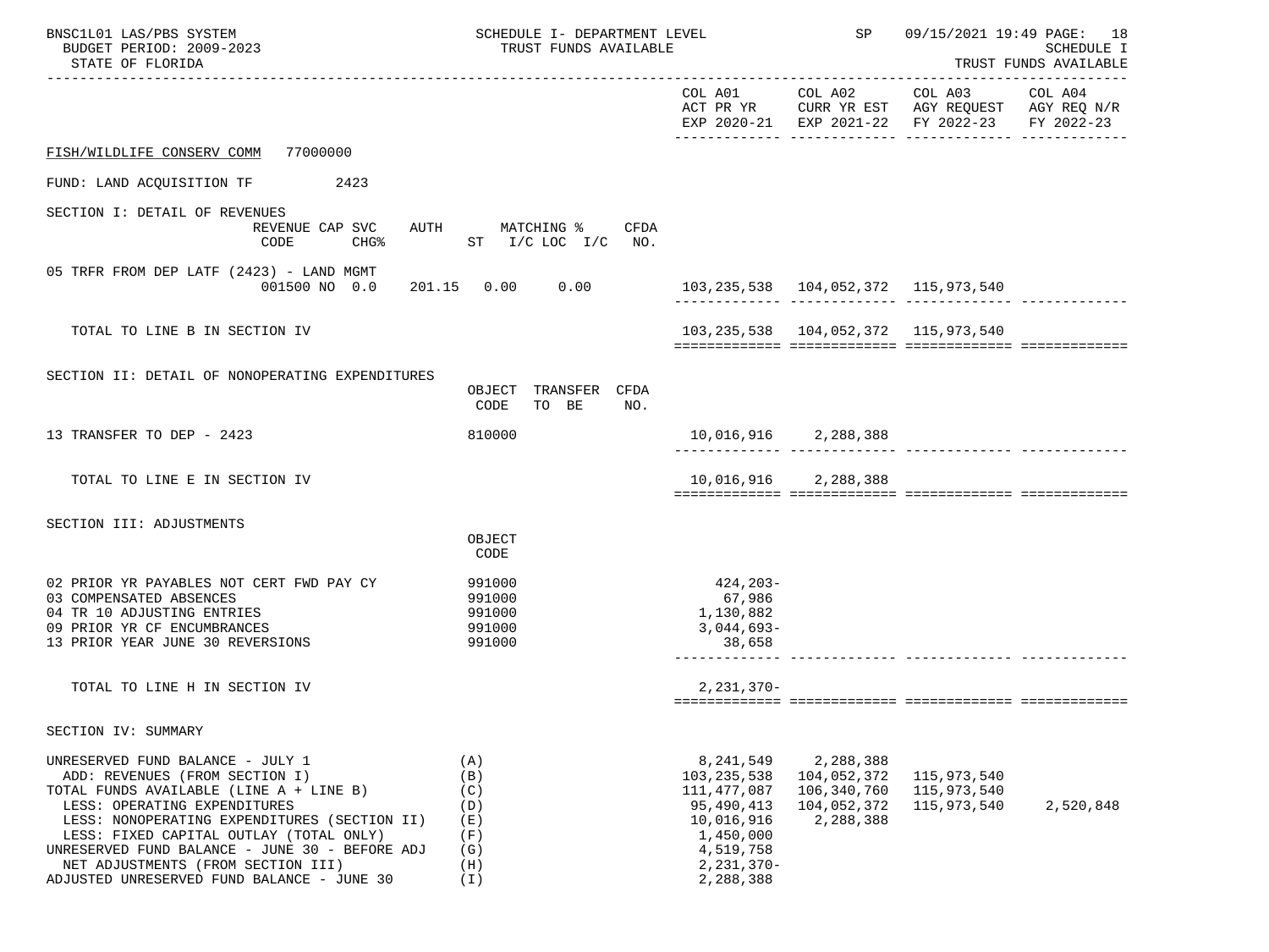| BNSC1L01 LAS/PBS SYSTEM<br>BUDGET PERIOD: 2009-2023<br>STATE OF FLORIDA                                                                                                                                                                                                                                                                                                        | SCHEDULE I- DEPARTMENT LEVEL<br>TRUST FUNDS AVAILABLE       |                                                                                                                                |                                                                     | SP<br>09/15/2021 19:49 PAGE: 18                                                                                | <b>SCHEDULE I</b><br>TRUST FUNDS AVAILABLE |
|--------------------------------------------------------------------------------------------------------------------------------------------------------------------------------------------------------------------------------------------------------------------------------------------------------------------------------------------------------------------------------|-------------------------------------------------------------|--------------------------------------------------------------------------------------------------------------------------------|---------------------------------------------------------------------|----------------------------------------------------------------------------------------------------------------|--------------------------------------------|
|                                                                                                                                                                                                                                                                                                                                                                                |                                                             |                                                                                                                                |                                                                     | COL A01 COL A02 COL A03<br>ACT PR YR CURR YR EST AGY REQUEST AGY REQ N/R<br>EXP 2020-21 EXP 2021-22 FY 2022-23 | COL A04<br>FY 2022-23                      |
| FISH/WILDLIFE CONSERV COMM<br>77000000                                                                                                                                                                                                                                                                                                                                         |                                                             |                                                                                                                                |                                                                     |                                                                                                                |                                            |
| FUND: LAND ACQUISITION TF<br>2423                                                                                                                                                                                                                                                                                                                                              |                                                             |                                                                                                                                |                                                                     |                                                                                                                |                                            |
| SECTION I: DETAIL OF REVENUES<br>REVENUE CAP SVC<br>AUTH<br>CODE<br>$CHG\$                                                                                                                                                                                                                                                                                                     | MATCHING %<br>CFDA<br>ST I/C LOC I/C NO.                    |                                                                                                                                |                                                                     |                                                                                                                |                                            |
| 05 TRFR FROM DEP LATF (2423) - LAND MGMT<br>001500 NO 0.0                                                                                                                                                                                                                                                                                                                      | 201.15  0.00  0.00                                          |                                                                                                                                | 103, 235, 538 104, 052, 372 115, 973, 540                           |                                                                                                                |                                            |
| TOTAL TO LINE B IN SECTION IV                                                                                                                                                                                                                                                                                                                                                  |                                                             |                                                                                                                                | 103, 235, 538 104, 052, 372 115, 973, 540                           |                                                                                                                |                                            |
| SECTION II: DETAIL OF NONOPERATING EXPENDITURES                                                                                                                                                                                                                                                                                                                                | OBJECT TRANSFER CFDA<br>CODE<br>TO BE<br>NO.                |                                                                                                                                |                                                                     |                                                                                                                |                                            |
| 13 TRANSFER TO DEP - 2423                                                                                                                                                                                                                                                                                                                                                      | 810000                                                      |                                                                                                                                | 10,016,916 2,288,388                                                |                                                                                                                |                                            |
| TOTAL TO LINE E IN SECTION IV                                                                                                                                                                                                                                                                                                                                                  |                                                             |                                                                                                                                | 10,016,916 2,288,388                                                |                                                                                                                |                                            |
| SECTION III: ADJUSTMENTS                                                                                                                                                                                                                                                                                                                                                       | OBJECT<br>CODE                                              |                                                                                                                                |                                                                     |                                                                                                                |                                            |
| 02 PRIOR YR PAYABLES NOT CERT FWD PAY CY<br>03 COMPENSATED ABSENCES<br>04 TR 10 ADJUSTING ENTRIES<br>09 PRIOR YR CF ENCUMBRANCES<br>13 PRIOR YEAR JUNE 30 REVERSIONS                                                                                                                                                                                                           | 991000<br>991000<br>991000<br>991000<br>991000              | 424,203-<br>67,986<br>1,130,882<br>$3,044,693-$<br>38,658                                                                      |                                                                     |                                                                                                                |                                            |
| TOTAL TO LINE H IN SECTION IV                                                                                                                                                                                                                                                                                                                                                  |                                                             | $2,231,370-$                                                                                                                   |                                                                     |                                                                                                                |                                            |
| SECTION IV: SUMMARY                                                                                                                                                                                                                                                                                                                                                            |                                                             |                                                                                                                                |                                                                     |                                                                                                                |                                            |
| UNRESERVED FUND BALANCE - JULY 1<br>ADD: REVENUES (FROM SECTION I)<br>TOTAL FUNDS AVAILABLE (LINE A + LINE B)<br>LESS: OPERATING EXPENDITURES<br>LESS: NONOPERATING EXPENDITURES (SECTION II)<br>LESS: FIXED CAPITAL OUTLAY (TOTAL ONLY)<br>UNRESERVED FUND BALANCE - JUNE 30 - BEFORE ADJ<br>NET ADJUSTMENTS (FROM SECTION III)<br>ADJUSTED UNRESERVED FUND BALANCE - JUNE 30 | (A)<br>(B)<br>(C)<br>(D)<br>(E)<br>(F)<br>(G)<br>(H)<br>(I) | 8,241,549<br>103, 235, 538<br>111, 477, 087<br>95,490,413<br>10,016,916<br>1,450,000<br>4,519,758<br>$2,231,370-$<br>2,288,388 | 2,288,388<br>104,052,372<br>106,340,760<br>104,052,372<br>2,288,388 | 115,973,540<br>115,973,540<br>115,973,540                                                                      | 2,520,848                                  |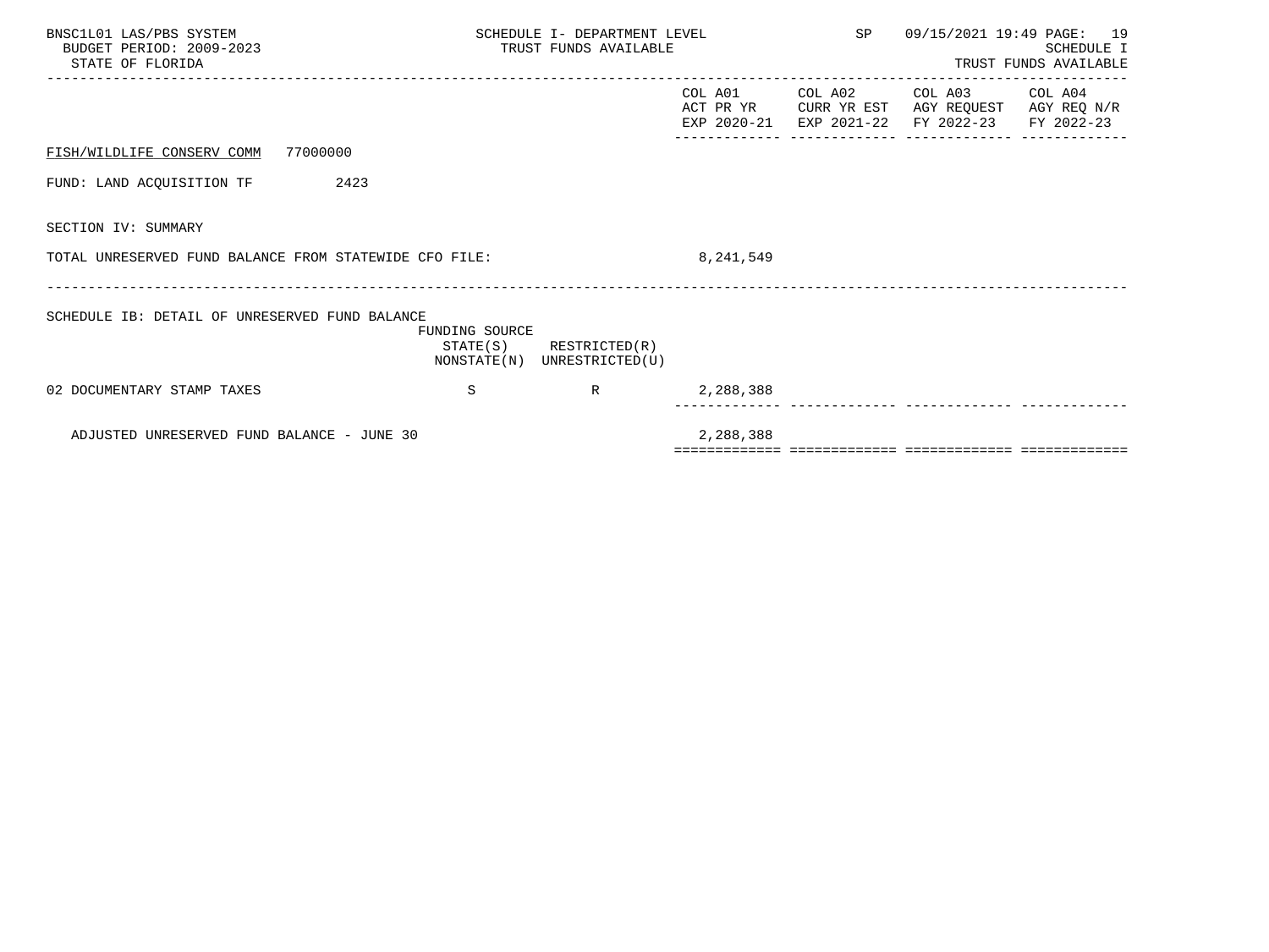| BNSC1L01 LAS/PBS SYSTEM<br>BUDGET PERIOD: 2009-2023<br>STATE OF FLORIDA | SCHEDULE I- DEPARTMENT LEVEL<br>TRUST FUNDS AVAILABLE |                                                            |           |  | SP 09/15/2021 19:49 PAGE: 19                                                                                                      | SCHEDULE I<br>TRUST FUNDS AVAILABLE |
|-------------------------------------------------------------------------|-------------------------------------------------------|------------------------------------------------------------|-----------|--|-----------------------------------------------------------------------------------------------------------------------------------|-------------------------------------|
|                                                                         |                                                       |                                                            |           |  | COL A01 COL A02 COL A03 COL A04<br>ACT PR YR CURR YR EST AGY REQUEST AGY REQ N/R<br>EXP 2020-21 EXP 2021-22 FY 2022-23 FY 2022-23 |                                     |
| FISH/WILDLIFE CONSERV COMM 77000000                                     |                                                       |                                                            |           |  |                                                                                                                                   |                                     |
| FUND: LAND ACQUISITION TF 2423                                          |                                                       |                                                            |           |  |                                                                                                                                   |                                     |
| SECTION IV: SUMMARY                                                     |                                                       |                                                            |           |  |                                                                                                                                   |                                     |
| TOTAL UNRESERVED FUND BALANCE FROM STATEWIDE CFO FILE:                  |                                                       |                                                            | 8,241,549 |  |                                                                                                                                   |                                     |
| SCHEDULE IB: DETAIL OF UNRESERVED FUND BALANCE                          | FUNDING SOURCE                                        | $STATE(S)$ RESTRICTED $(R)$<br>NONSTATE(N) UNRESTRICTED(U) |           |  |                                                                                                                                   |                                     |
| 02 DOCUMENTARY STAMP TAXES                                              | S                                                     | $R \sim 1$                                                 | 2,288,388 |  |                                                                                                                                   |                                     |
| ADJUSTED UNRESERVED FUND BALANCE - JUNE 30                              |                                                       |                                                            | 2,288,388 |  |                                                                                                                                   |                                     |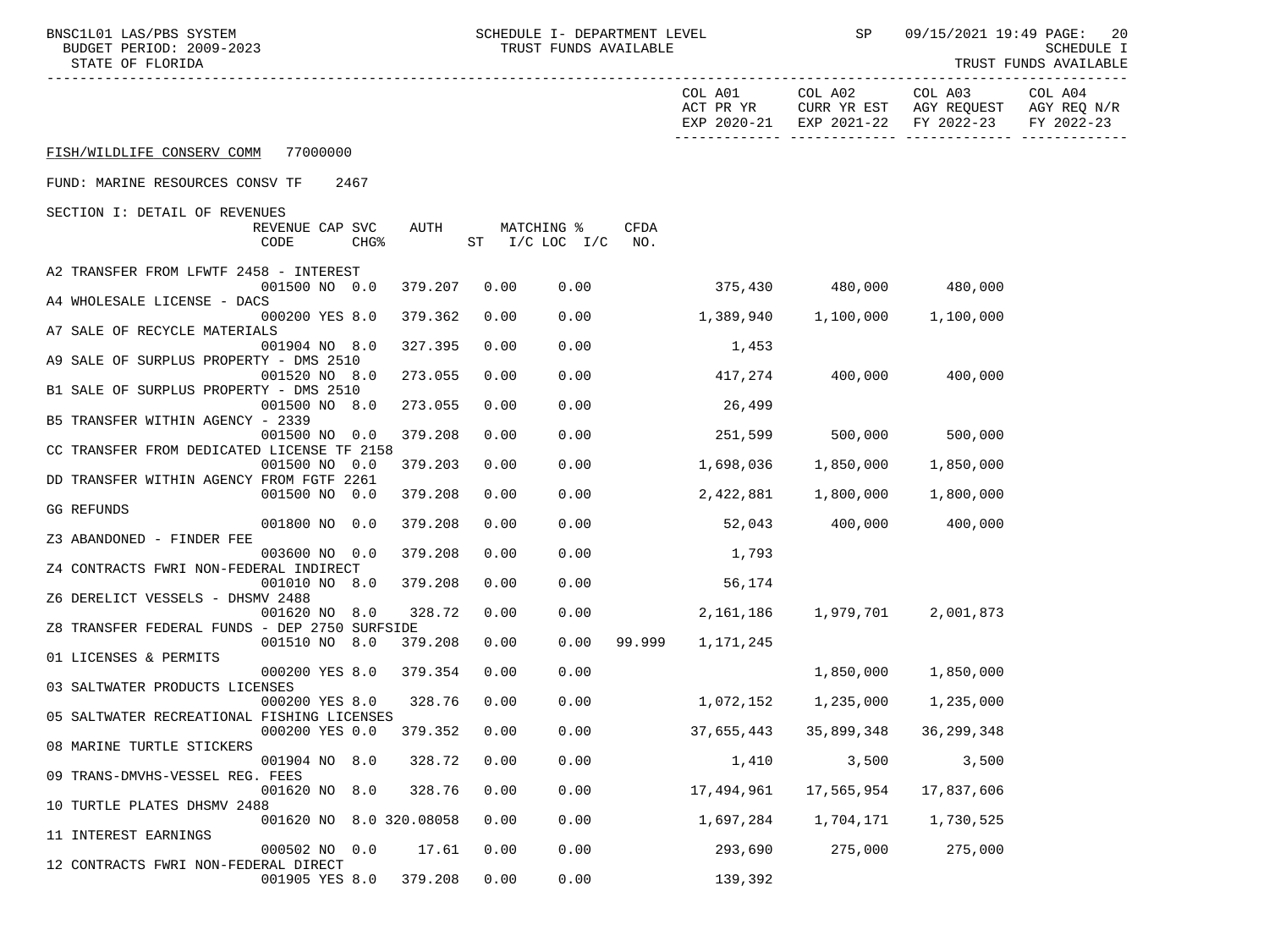| BNSC1L01 LAS/PBS SYSTEM<br>BUDGET PERIOD: 2009-2023<br>STATE OF FLORIDA  |                    | SCHEDULE I- DEPARTMENT LEVEL<br>TRUST FUNDS AVAILABLE |             |                         | SP                      | 09/15/2021 19:49 PAGE:<br>-20<br><b>SCHEDULE I</b><br>TRUST FUNDS AVAILABLE |                                      |
|--------------------------------------------------------------------------|--------------------|-------------------------------------------------------|-------------|-------------------------|-------------------------|-----------------------------------------------------------------------------|--------------------------------------|
|                                                                          |                    |                                                       |             | COL A01<br>ACT PR YR    | COL A02                 | COL A03<br>CURR YR EST AGY REQUEST<br>EXP 2020-21 EXP 2021-22 FY 2022-23    | COL A04<br>AGY REQ N/R<br>FY 2022-23 |
| FISH/WILDLIFE CONSERV COMM 77000000                                      |                    |                                                       |             |                         |                         |                                                                             |                                      |
| FUND: MARINE RESOURCES CONSV TF<br>2467                                  |                    |                                                       |             |                         |                         |                                                                             |                                      |
| SECTION I: DETAIL OF REVENUES                                            |                    |                                                       |             |                         |                         |                                                                             |                                      |
| AUTH<br>REVENUE CAP SVC<br>CODE<br>CHG <sup>8</sup>                      | ST I/C LOC I/C NO. | MATCHING %                                            | <b>CFDA</b> |                         |                         |                                                                             |                                      |
| A2 TRANSFER FROM LFWTF 2458 - INTEREST                                   |                    |                                                       |             |                         |                         |                                                                             |                                      |
| 001500 NO 0.0<br>379.207<br>A4 WHOLESALE LICENSE - DACS                  | 0.00               | 0.00                                                  |             | 375,430 480,000 480,000 |                         |                                                                             |                                      |
| 000200 YES 8.0<br>379.362                                                | 0.00               | 0.00                                                  |             | 1,389,940               |                         | 1,100,000 1,100,000                                                         |                                      |
| A7 SALE OF RECYCLE MATERIALS<br>327.395<br>001904 NO 8.0                 | 0.00               | 0.00                                                  |             | 1,453                   |                         |                                                                             |                                      |
| A9 SALE OF SURPLUS PROPERTY - DMS 2510<br>001520 NO 8.0<br>273.055       | 0.00               | 0.00                                                  |             |                         | 417,274 400,000 400,000 |                                                                             |                                      |
| B1 SALE OF SURPLUS PROPERTY - DMS 2510                                   |                    |                                                       |             |                         |                         |                                                                             |                                      |
| 273.055<br>001500 NO 8.0<br>B5 TRANSFER WITHIN AGENCY - 2339             | 0.00               | 0.00                                                  |             | 26,499                  |                         |                                                                             |                                      |
| 379.208<br>001500 NO 0.0                                                 | 0.00               | 0.00                                                  |             | 251,599                 |                         | 500,000 500,000                                                             |                                      |
| CC TRANSFER FROM DEDICATED LICENSE TF 2158<br>001500 NO 0.0<br>379.203   | 0.00               | 0.00                                                  |             | 1,698,036               | 1,850,000               | 1,850,000                                                                   |                                      |
| DD TRANSFER WITHIN AGENCY FROM FGTF 2261<br>379.208                      | 0.00               |                                                       |             | 2,422,881               |                         |                                                                             |                                      |
| 001500 NO 0.0<br>GG REFUNDS                                              |                    | 0.00                                                  |             |                         | 1,800,000               | 1,800,000                                                                   |                                      |
| 001800 NO 0.0<br>379.208<br>Z3 ABANDONED - FINDER FEE                    | 0.00               | 0.00                                                  |             | 52,043                  |                         | 400,000 400,000                                                             |                                      |
| 003600 NO 0.0<br>379.208                                                 | 0.00               | 0.00                                                  |             | 1,793                   |                         |                                                                             |                                      |
| Z4 CONTRACTS FWRI NON-FEDERAL INDIRECT<br>001010 NO 8.0<br>379.208       | 0.00               | 0.00                                                  |             | 56,174                  |                         |                                                                             |                                      |
| Z6 DERELICT VESSELS - DHSMV 2488                                         |                    |                                                       |             |                         |                         |                                                                             |                                      |
| 001620 NO 8.0<br>328.72<br>Z8 TRANSFER FEDERAL FUNDS - DEP 2750 SURFSIDE | 0.00               | 0.00                                                  |             | 2,161,186               | 1,979,701               | 2,001,873                                                                   |                                      |
| 001510 NO 8.0<br>379.208                                                 | 0.00               | 0.00                                                  | 99.999      | 1,171,245               |                         |                                                                             |                                      |
| 01 LICENSES & PERMITS<br>000200 YES 8.0<br>379.354                       | 0.00               | 0.00                                                  |             |                         | 1,850,000               | 1,850,000                                                                   |                                      |
| 03 SALTWATER PRODUCTS LICENSES                                           |                    |                                                       |             |                         |                         |                                                                             |                                      |
| 000200 YES 8.0<br>328.76<br>05 SALTWATER RECREATIONAL FISHING LICENSES   | 0.00               | 0.00                                                  |             | 1,072,152               | 1,235,000               | 1,235,000                                                                   |                                      |
| 000200 YES 0.0<br>379.352                                                | 0.00               | 0.00                                                  |             | 37,655,443              | 35,899,348              | 36, 299, 348                                                                |                                      |
| 08 MARINE TURTLE STICKERS<br>328.72<br>001904 NO 8.0                     | 0.00               | 0.00                                                  |             | 1,410                   | 3,500                   | 3,500                                                                       |                                      |
| 09 TRANS-DMVHS-VESSEL REG. FEES                                          |                    |                                                       |             |                         |                         |                                                                             |                                      |
| 001620 NO<br>328.76<br>8.0<br>10 TURTLE PLATES DHSMV 2488                | 0.00               | 0.00                                                  |             | 17,494,961              | 17,565,954              | 17,837,606                                                                  |                                      |
| 001620 NO 8.0 320.08058<br>11 INTEREST EARNINGS                          | 0.00               | 0.00                                                  |             | 1,697,284               | 1,704,171               | 1,730,525                                                                   |                                      |
| 17.61<br>000502 NO 0.0                                                   | 0.00               | 0.00                                                  |             | 293,690                 | 275,000                 | 275,000                                                                     |                                      |
| 12 CONTRACTS FWRI NON-FEDERAL DIRECT<br>001905 YES 8.0<br>379.208        | 0.00               | 0.00                                                  |             | 139,392                 |                         |                                                                             |                                      |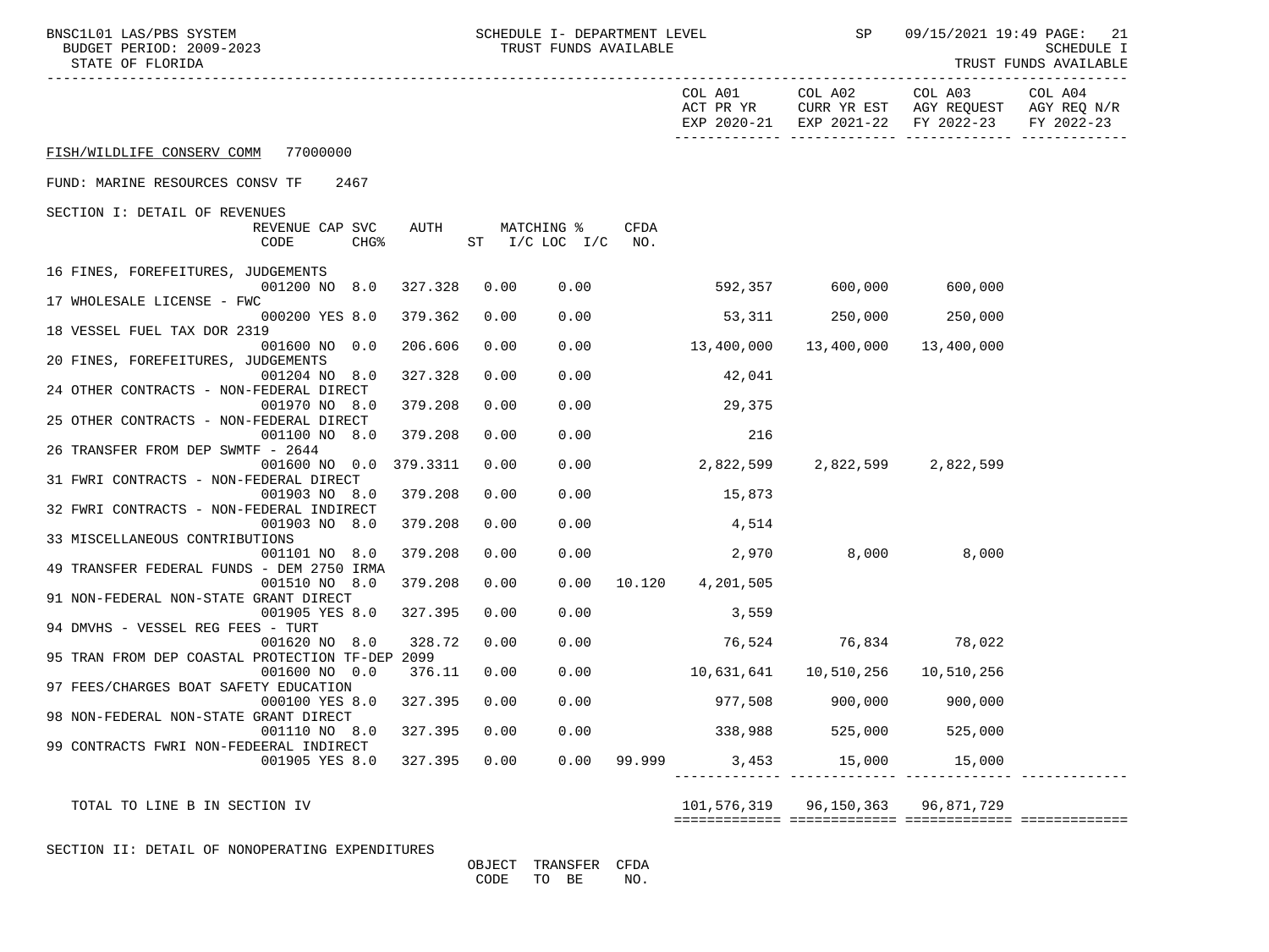| BNSC1L01 LAS/PBS SYSTEM<br>BUDGET PERIOD: 2009-2023<br>STATE OF FLORIDA | SCHEDULE I- DEPARTMENT LEVEL<br>TRUST FUNDS AVAILABLE |      |                              |             | SP                      | 09/15/2021 19:49 PAGE: 21<br><b>SCHEDULE I</b><br>TRUST FUNDS AVAILABLE |                                                                                                |                       |
|-------------------------------------------------------------------------|-------------------------------------------------------|------|------------------------------|-------------|-------------------------|-------------------------------------------------------------------------|------------------------------------------------------------------------------------------------|-----------------------|
|                                                                         |                                                       |      |                              |             |                         | COL A01 COL A02                                                         | COL A03<br>ACT PR YR CURR YR EST AGY REQUEST AGY REQ N/R<br>EXP 2020-21 EXP 2021-22 FY 2022-23 | COL A04<br>FY 2022-23 |
| FISH/WILDLIFE CONSERV COMM 77000000                                     |                                                       |      |                              |             |                         |                                                                         |                                                                                                |                       |
| FUND: MARINE RESOURCES CONSV TF<br>2467                                 |                                                       |      |                              |             |                         |                                                                         |                                                                                                |                       |
| SECTION I: DETAIL OF REVENUES                                           |                                                       |      |                              |             |                         |                                                                         |                                                                                                |                       |
| REVENUE CAP SVC<br>CHG <sup>8</sup><br>CODE                             | AUTH                                                  |      | MATCHING %<br>ST I/C LOC I/C | CFDA<br>NO. |                         |                                                                         |                                                                                                |                       |
| 16 FINES, FOREFEITURES, JUDGEMENTS                                      |                                                       |      |                              |             |                         |                                                                         |                                                                                                |                       |
| 001200 NO 8.0<br>17 WHOLESALE LICENSE - FWC                             | 327.328                                               | 0.00 | 0.00                         |             | 592,357 600,000 600,000 |                                                                         |                                                                                                |                       |
| 000200 YES 8.0                                                          | 379.362                                               | 0.00 | 0.00                         |             | 53,311                  | 250,000                                                                 | 250,000                                                                                        |                       |
| 18 VESSEL FUEL TAX DOR 2319<br>001600 NO 0.0                            | 206.606                                               | 0.00 | 0.00                         |             | 13,400,000              | 13,400,000                                                              | 13,400,000                                                                                     |                       |
| 20 FINES, FOREFEITURES, JUDGEMENTS<br>001204 NO 8.0                     | 327.328                                               | 0.00 | 0.00                         |             | 42,041                  |                                                                         |                                                                                                |                       |
| 24 OTHER CONTRACTS - NON-FEDERAL DIRECT<br>001970 NO 8.0                | 379.208                                               | 0.00 | 0.00                         |             | 29,375                  |                                                                         |                                                                                                |                       |
| 25 OTHER CONTRACTS - NON-FEDERAL DIRECT<br>001100 NO 8.0                | 379.208                                               | 0.00 | 0.00                         |             | 216                     |                                                                         |                                                                                                |                       |
| 26 TRANSFER FROM DEP SWMTF - 2644<br>001600 NO 0.0                      | 379.3311                                              | 0.00 | 0.00                         |             | 2,822,599               |                                                                         | 2,822,599 2,822,599                                                                            |                       |
| 31 FWRI CONTRACTS - NON-FEDERAL DIRECT                                  |                                                       |      |                              |             |                         |                                                                         |                                                                                                |                       |
| 001903 NO 8.0                                                           | 379.208                                               | 0.00 | 0.00                         |             | 15,873                  |                                                                         |                                                                                                |                       |
| 32 FWRI CONTRACTS - NON-FEDERAL INDIRECT<br>001903 NO 8.0               | 379.208                                               | 0.00 | 0.00                         |             | 4,514                   |                                                                         |                                                                                                |                       |
| 33 MISCELLANEOUS CONTRIBUTIONS                                          |                                                       |      |                              |             |                         |                                                                         |                                                                                                |                       |
| 001101 NO 8.0                                                           | 379.208                                               | 0.00 | 0.00                         |             |                         | 2,970 8,000 8,000                                                       |                                                                                                |                       |
| 49 TRANSFER FEDERAL FUNDS - DEM 2750 IRMA<br>001510 NO 8.0              | 379.208                                               | 0.00 | 0.00                         |             | 10.120  4,201,505       |                                                                         |                                                                                                |                       |
| 91 NON-FEDERAL NON-STATE GRANT DIRECT                                   |                                                       |      | 0.00                         |             |                         |                                                                         |                                                                                                |                       |
| 001905 YES 8.0<br>94 DMVHS - VESSEL REG FEES - TURT                     | 327.395                                               | 0.00 |                              |             | 3,559                   |                                                                         |                                                                                                |                       |
| 001620 NO 8.0                                                           | 328.72                                                | 0.00 | 0.00                         |             | 76,524                  |                                                                         | 76,834 78,022                                                                                  |                       |
| 95 TRAN FROM DEP COASTAL PROTECTION TF-DEP 2099<br>001600 NO 0.0        | 376.11                                                | 0.00 | 0.00                         |             | 10,631,641              | 10,510,256                                                              | 10,510,256                                                                                     |                       |
| 97 FEES/CHARGES BOAT SAFETY EDUCATION                                   |                                                       |      |                              |             |                         |                                                                         |                                                                                                |                       |
| 000100 YES 8.0<br>98 NON-FEDERAL NON-STATE GRANT DIRECT                 | 327.395                                               | 0.00 | 0.00                         |             |                         | 977,508    900,000                                                      | 900,000                                                                                        |                       |
| 001110 NO 8.0                                                           | 327.395                                               | 0.00 | 0.00                         |             | 338,988                 | 525,000                                                                 | 525,000                                                                                        |                       |
| 99 CONTRACTS FWRI NON-FEDEERAL INDIRECT                                 |                                                       |      |                              |             |                         |                                                                         |                                                                                                |                       |
| 001905 YES 8.0                                                          | 327.395                                               | 0.00 | 0.00                         | 99.999      | 3,453                   | 15,000                                                                  | 15,000                                                                                         |                       |
|                                                                         |                                                       |      |                              |             |                         |                                                                         |                                                                                                |                       |

TOTAL TO LINE B IN SECTION IV 101,576,319 96,150,363 96,871,729

============= ============= ============= =============

SECTION II: DETAIL OF NONOPERATING EXPENDITURES

 OBJECT TRANSFER CFDA CODE TO BE NO.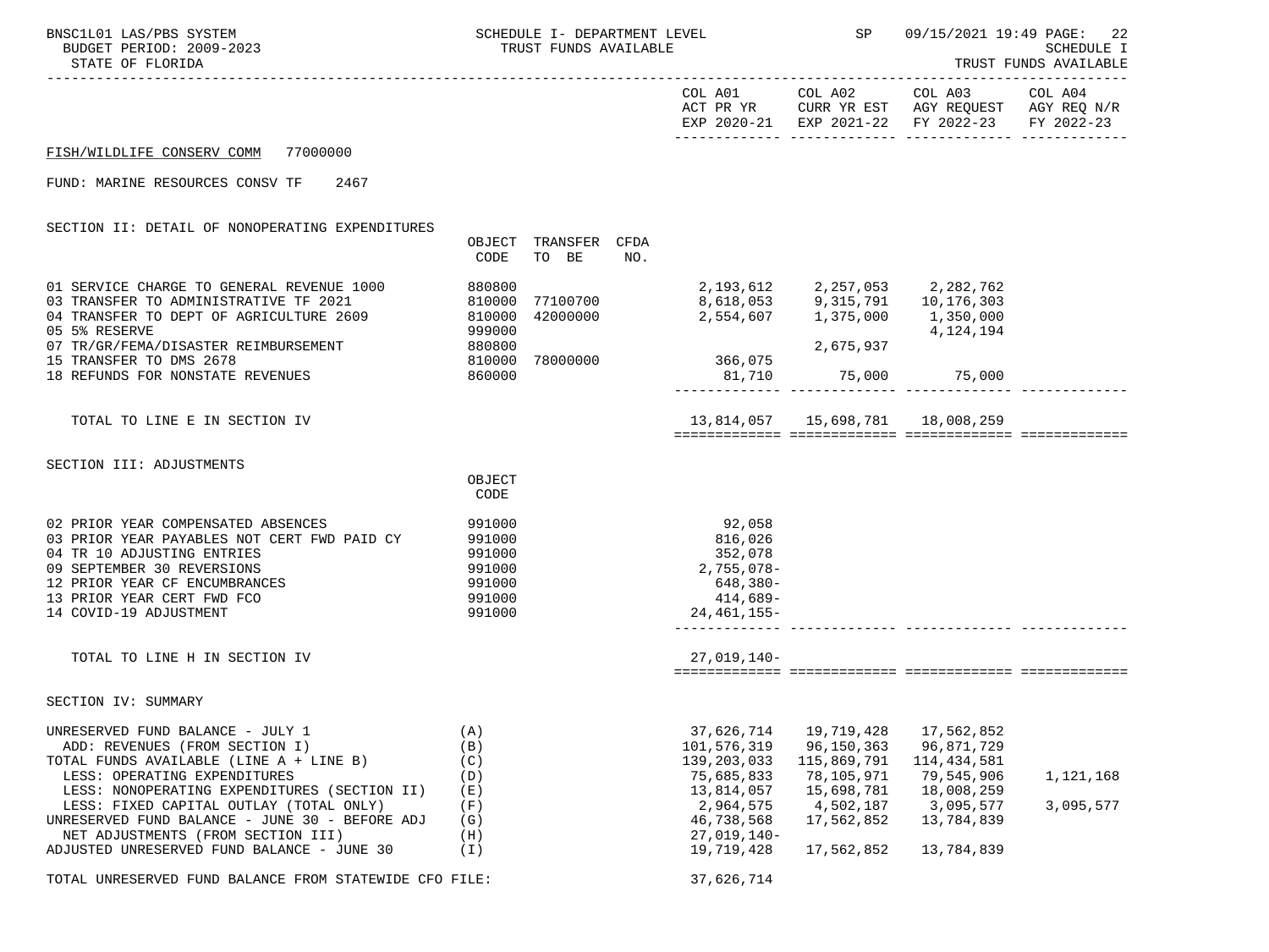| BNSC1L01 LAS/PBS SYSTEM<br>BUDGET PERIOD: 2009-2023<br>STATE OF FLORIDA                                                                                                                                                                                                                    |                                                                    | SCHEDULE I- DEPARTMENT LEVEL<br>TRUST FUNDS AVAILABLE |     |                                                                                                                                                          |                                                                                                | SP 09/15/2021 19:49 PAGE:<br><b>SCHEDULE I</b><br>TRUST FUNDS AVAILABLE                                                                    |                        |  |
|--------------------------------------------------------------------------------------------------------------------------------------------------------------------------------------------------------------------------------------------------------------------------------------------|--------------------------------------------------------------------|-------------------------------------------------------|-----|----------------------------------------------------------------------------------------------------------------------------------------------------------|------------------------------------------------------------------------------------------------|--------------------------------------------------------------------------------------------------------------------------------------------|------------------------|--|
|                                                                                                                                                                                                                                                                                            |                                                                    |                                                       |     |                                                                                                                                                          | COL A01 COL A02                                                                                | COL A03 COL A04<br>ACT PR YR $\,$ CURR YR EST $\,$ AGY REQUEST $\,$ AGY REQ $\,$ N/R $\,$<br>EXP 2020-21 EXP 2021-22 FY 2022-23 FY 2022-23 |                        |  |
| FISH/WILDLIFE CONSERV COMM 77000000                                                                                                                                                                                                                                                        |                                                                    |                                                       |     |                                                                                                                                                          |                                                                                                |                                                                                                                                            |                        |  |
| FUND: MARINE RESOURCES CONSV TF 2467                                                                                                                                                                                                                                                       |                                                                    |                                                       |     |                                                                                                                                                          |                                                                                                |                                                                                                                                            |                        |  |
| SECTION II: DETAIL OF NONOPERATING EXPENDITURES                                                                                                                                                                                                                                            | OBJECT<br>CODE                                                     | TRANSFER CFDA<br>TO BE                                | NO. |                                                                                                                                                          |                                                                                                |                                                                                                                                            |                        |  |
| 01 SERVICE CHARGE TO GENERAL REVENUE 1000<br>03 TRANSFER TO ADMINISTRATIVE TF 2021<br>04 TRANSFER TO DEPT OF AGRICULTURE 2609 810000<br>05 5% RESERVE<br>07 TR/GR/FEMA/DISASTER REIMBURSEMENT<br>15 TRANSFER TO DMS 2678                                                                   | 999000<br>880800                                                   | 1<br>810000 77100700<br>1100700 77100700<br>42000000  |     | 2,193,612         2,257,053        2,282,762<br>8,618,053         9,315,791       10,176,303<br>2,554,607 1,375,000 1,350,000<br>810000 78000000 366,075 | 2,675,937                                                                                      | 4, 124, 194                                                                                                                                |                        |  |
| 18 REFUNDS FOR NONSTATE REVENUES                                                                                                                                                                                                                                                           | 860000                                                             |                                                       |     | 81,710                                                                                                                                                   |                                                                                                | 75,000 75,000                                                                                                                              |                        |  |
| TOTAL TO LINE E IN SECTION IV                                                                                                                                                                                                                                                              |                                                                    |                                                       |     |                                                                                                                                                          |                                                                                                | 13,814,057   15,698,781   18,008,259                                                                                                       |                        |  |
| SECTION III: ADJUSTMENTS                                                                                                                                                                                                                                                                   | OBJECT<br>CODE                                                     |                                                       |     |                                                                                                                                                          |                                                                                                |                                                                                                                                            |                        |  |
| 02 PRIOR YEAR COMPENSATED ABSENCES<br>03 PRIOR YEAR PAYABLES NOT CERT FWD PAID CY<br>04 TR 10 ADJUSTING ENTRIES<br>09 SEPTEMBER 30 REVERSIONS<br>12 PRIOR YEAR CF ENCUMBRANCES<br>13 PRIOR YEAR CERT FWD FCO<br>14 COVID-19 ADJUSTMENT                                                     | 991000<br>991000<br>991000<br>991000<br>991000<br>991000<br>991000 |                                                       |     | 92,058<br>816,026<br>352,078<br>2,755,078-<br>648,380-<br>414,689-<br>24,461,155-                                                                        |                                                                                                |                                                                                                                                            |                        |  |
| TOTAL TO LINE H IN SECTION IV                                                                                                                                                                                                                                                              |                                                                    |                                                       |     | $27,019,140-$                                                                                                                                            |                                                                                                |                                                                                                                                            |                        |  |
| SECTION IV: SUMMARY                                                                                                                                                                                                                                                                        |                                                                    |                                                       |     |                                                                                                                                                          |                                                                                                |                                                                                                                                            |                        |  |
| UNRESERVED FUND BALANCE - JULY 1<br>ADD: REVENUES (FROM SECTION I)<br>TOTAL FUNDS AVAILABLE (LINE A + LINE B)<br>LESS: OPERATING EXPENDITURES<br>LESS: NONOPERATING EXPENDITURES (SECTION II)<br>LESS: FIXED CAPITAL OUTLAY (TOTAL ONLY)<br>UNRESERVED FUND BALANCE - JUNE 30 - BEFORE ADJ | (A)<br>(B)<br>(C)<br>(D)<br>(E)<br>(F)<br>(G)                      |                                                       |     | 37,626,714<br>101,576,319<br>139,203,033<br>75,685,833<br>13,814,057<br>2,964,575<br>46,738,568<br>$27,019,140-$                                         | 19,719,428<br>96,150,363<br>115,869,791<br>78,105,971<br>15,698,781<br>4,502,187<br>17,562,852 | 17,562,852<br>96,871,729<br>114,434,581<br>79,545,906<br>18,008,259<br>3,095,577<br>13,784,839                                             | 1,121,168<br>3,095,577 |  |
| NET ADJUSTMENTS (FROM SECTION III)<br>ADJUSTED UNRESERVED FUND BALANCE - JUNE 30                                                                                                                                                                                                           | (H)<br>(I)                                                         |                                                       |     | 19,719,428                                                                                                                                               | 17,562,852                                                                                     | 13,784,839                                                                                                                                 |                        |  |
| TOTAL UNRESERVED FUND BALANCE FROM STATEWIDE CFO FILE:                                                                                                                                                                                                                                     |                                                                    |                                                       |     | 37,626,714                                                                                                                                               |                                                                                                |                                                                                                                                            |                        |  |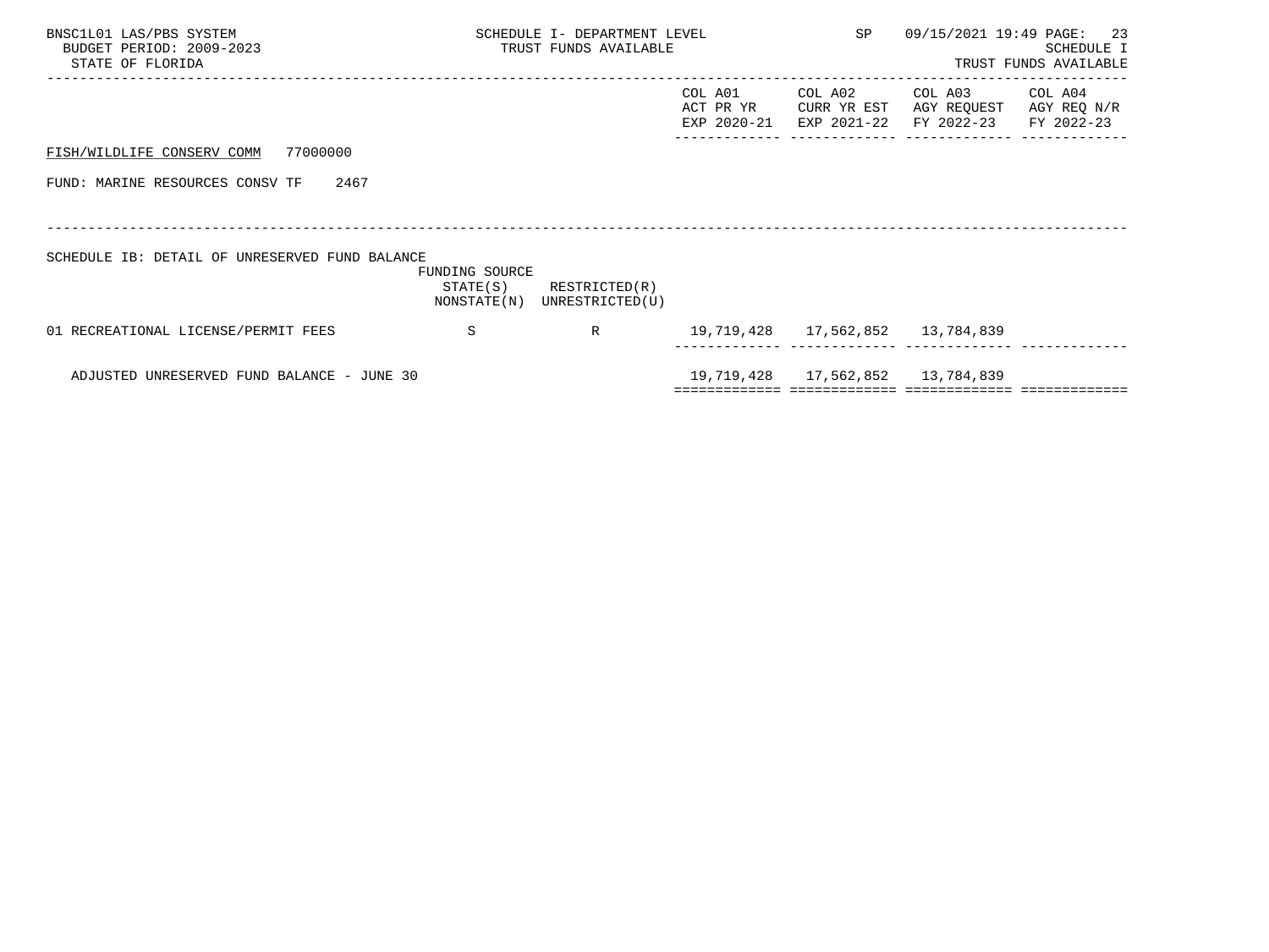| BNSC1L01 LAS/PBS SYSTEM<br>BUDGET PERIOD: 2009-2023<br>STATE OF FLORIDA |                            | SCHEDULE I- DEPARTMENT LEVEL<br>TRUST FUNDS AVAILABLE |                                     | SP                                    |                                      | 09/15/2021 19:49 PAGE: 23<br>SCHEDULE I<br>TRUST FUNDS AVAILABLE |
|-------------------------------------------------------------------------|----------------------------|-------------------------------------------------------|-------------------------------------|---------------------------------------|--------------------------------------|------------------------------------------------------------------|
|                                                                         |                            |                                                       | COL A01<br>ACT PR YR<br>EXP 2020-21 | COL A02<br>CURR YR EST<br>EXP 2021-22 | COL A03<br>AGY REQUEST<br>FY 2022-23 | COL A04<br>AGY REQ N/R<br>FY 2022-23                             |
| 77000000<br>FISH/WILDLIFE CONSERV COMM                                  |                            |                                                       |                                     |                                       |                                      |                                                                  |
| FUND: MARINE RESOURCES CONSV TF<br>2467                                 |                            |                                                       |                                     |                                       |                                      |                                                                  |
|                                                                         |                            |                                                       |                                     |                                       |                                      |                                                                  |
| SCHEDULE IB: DETAIL OF UNRESERVED FUND BALANCE                          | FUNDING SOURCE<br>STATE(S) | RESTRICTED(R)<br>NONSTATE(N) UNRESTRICTED(U)          |                                     |                                       |                                      |                                                                  |
| 01 RECREATIONAL LICENSE/PERMIT FEES                                     | -S                         | R                                                     |                                     | 19,719,428  17,562,852  13,784,839    |                                      |                                                                  |
| ADJUSTED UNRESERVED FUND BALANCE - JUNE 30                              |                            |                                                       |                                     | 19,719,428 17,562,852                 | 13,784,839                           |                                                                  |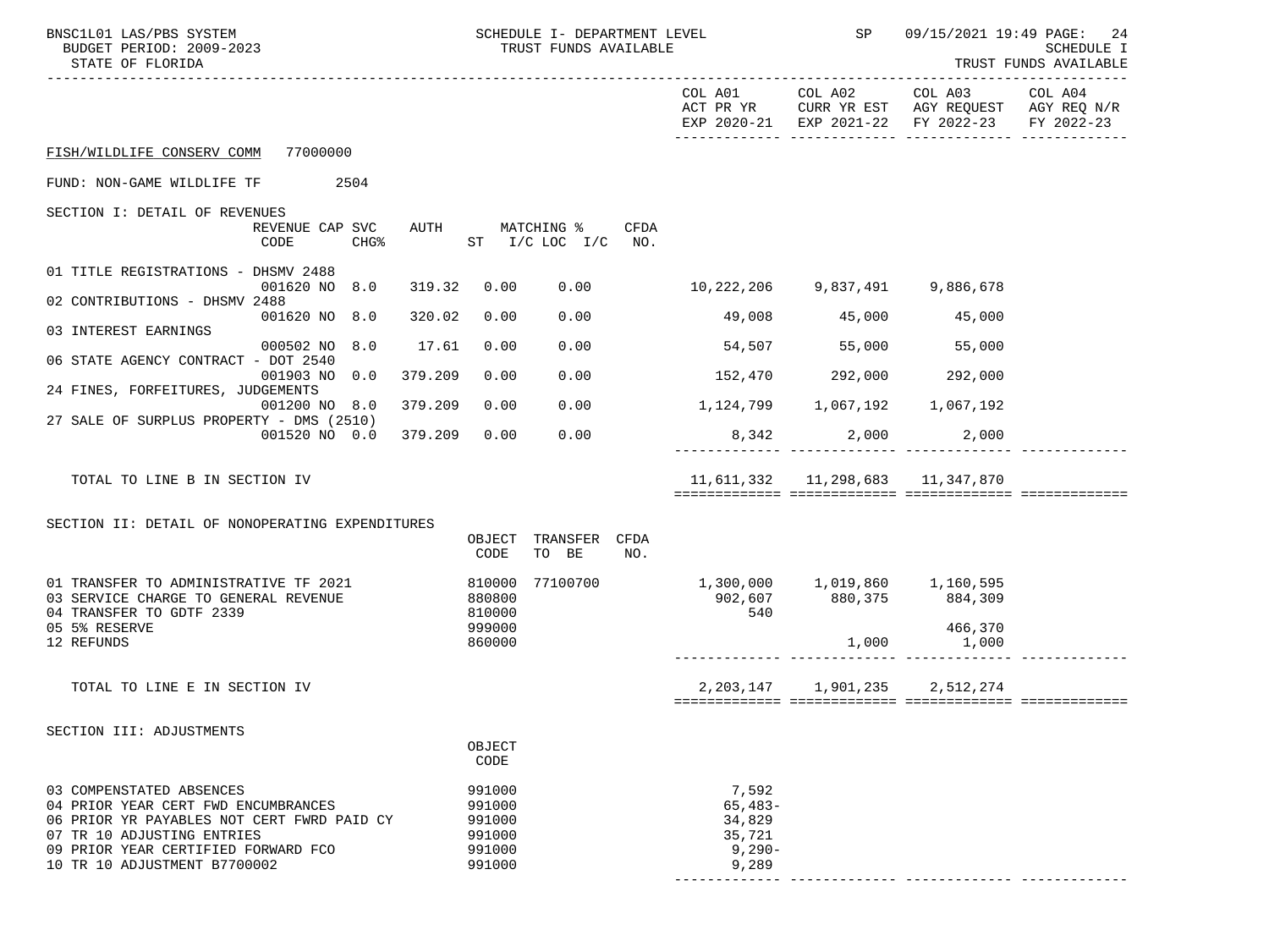| BNSC1L01 LAS/PBS SYSTEM<br>BUDGET PERIOD: 2009-2023<br>STATE OF FLORIDA                                                                                                                                            | SCHEDULE I- DEPARTMENT LEVEL<br>TRUST FUNDS AVAILABLE    |                                                             | SP                                   |                                                                                                                           | 09/15/2021 19:49 PAGE: 24<br><b>SCHEDULE I</b><br>TRUST FUNDS AVAILABLE |
|--------------------------------------------------------------------------------------------------------------------------------------------------------------------------------------------------------------------|----------------------------------------------------------|-------------------------------------------------------------|--------------------------------------|---------------------------------------------------------------------------------------------------------------------------|-------------------------------------------------------------------------|
|                                                                                                                                                                                                                    |                                                          |                                                             |                                      | COL A01 COL A02 COL A03<br>ACT PR YR CURR YR EST AGY REQUEST AGY REQ N/R<br>EXP 2020-21 EXP 2021-22 FY 2022-23 FY 2022-23 | COL A04                                                                 |
| FISH/WILDLIFE CONSERV COMM 77000000                                                                                                                                                                                |                                                          |                                                             |                                      |                                                                                                                           |                                                                         |
| FUND: NON-GAME WILDLIFE TF<br>2504                                                                                                                                                                                 |                                                          |                                                             |                                      |                                                                                                                           |                                                                         |
| SECTION I: DETAIL OF REVENUES                                                                                                                                                                                      |                                                          |                                                             |                                      |                                                                                                                           |                                                                         |
| REVENUE CAP SVC<br>CODE<br>CHG%                                                                                                                                                                                    | AUTH MATCHING %<br>CFDA<br>ST I/C LOC I/C NO.            |                                                             |                                      |                                                                                                                           |                                                                         |
| 01 TITLE REGISTRATIONS - DHSMV 2488                                                                                                                                                                                |                                                          |                                                             |                                      |                                                                                                                           |                                                                         |
| 001620 NO 8.0<br>319.32<br>02 CONTRIBUTIONS - DHSMV 2488                                                                                                                                                           | 0.00<br>0.00                                             |                                                             |                                      |                                                                                                                           |                                                                         |
| 001620 NO 8.0<br>320.02<br>03 INTEREST EARNINGS                                                                                                                                                                    | 0.00<br>0.00                                             |                                                             | 49,008 45,000 45,000                 |                                                                                                                           |                                                                         |
| 000502 NO 8.0<br>17.61<br>06 STATE AGENCY CONTRACT - DOT 2540                                                                                                                                                      | 0.00<br>0.00                                             | $54,507$ 55,000 55,000                                      |                                      |                                                                                                                           |                                                                         |
| 379.209<br>001903 NO 0.0                                                                                                                                                                                           | 0.00<br>0.00                                             | $152,470$ $292,000$ $292,000$                               |                                      |                                                                                                                           |                                                                         |
| 24 FINES, FORFEITURES, JUDGEMENTS<br>379.209<br>001200 NO 8.0                                                                                                                                                      | 0.00<br>0.00                                             |                                                             |                                      |                                                                                                                           |                                                                         |
| 27 SALE OF SURPLUS PROPERTY - DMS (2510)<br>001520 NO 0.0 379.209                                                                                                                                                  | 0.00<br>0.00                                             |                                                             | 8,342 2,000 2,000                    |                                                                                                                           |                                                                         |
|                                                                                                                                                                                                                    |                                                          |                                                             |                                      |                                                                                                                           |                                                                         |
| TOTAL TO LINE B IN SECTION IV                                                                                                                                                                                      |                                                          |                                                             | 11,611,332   11,298,683   11,347,870 |                                                                                                                           |                                                                         |
|                                                                                                                                                                                                                    |                                                          |                                                             |                                      |                                                                                                                           |                                                                         |
| SECTION II: DETAIL OF NONOPERATING EXPENDITURES                                                                                                                                                                    | TRANSFER CFDA<br>OBJECT                                  |                                                             |                                      |                                                                                                                           |                                                                         |
|                                                                                                                                                                                                                    | CODE<br>TO BE<br>NO.                                     |                                                             |                                      |                                                                                                                           |                                                                         |
| 01 TRANSFER TO ADMINISTRATIVE TF 2021<br>03 SERVICE CHARGE TO GENERAL REVENUE                                                                                                                                      | 77100700<br>810000<br>880800                             |                                                             |                                      |                                                                                                                           |                                                                         |
| 04 TRANSFER TO GDTF 2339                                                                                                                                                                                           | 810000                                                   | 540                                                         |                                      |                                                                                                                           |                                                                         |
| 05 5% RESERVE<br>12 REFUNDS                                                                                                                                                                                        | 999000<br>860000                                         |                                                             |                                      | 466,370<br>$1,000$ 1,000                                                                                                  |                                                                         |
|                                                                                                                                                                                                                    |                                                          |                                                             |                                      |                                                                                                                           |                                                                         |
| TOTAL TO LINE E IN SECTION IV                                                                                                                                                                                      |                                                          |                                                             |                                      | 2, 203, 147 1, 901, 235 2, 512, 274                                                                                       |                                                                         |
| SECTION III: ADJUSTMENTS                                                                                                                                                                                           |                                                          |                                                             |                                      |                                                                                                                           |                                                                         |
|                                                                                                                                                                                                                    | OBJECT<br>CODE                                           |                                                             |                                      |                                                                                                                           |                                                                         |
| 03 COMPENSTATED ABSENCES<br>04 PRIOR YEAR CERT FWD ENCUMBRANCES<br>06 PRIOR YR PAYABLES NOT CERT FWRD PAID CY<br>07 TR 10 ADJUSTING ENTRIES<br>09 PRIOR YEAR CERTIFIED FORWARD FCO<br>10 TR 10 ADJUSTMENT B7700002 | 991000<br>991000<br>991000<br>991000<br>991000<br>991000 | 7,592<br>$65,483-$<br>34,829<br>35,721<br>$9,290-$<br>9,289 |                                      |                                                                                                                           |                                                                         |
|                                                                                                                                                                                                                    |                                                          |                                                             |                                      |                                                                                                                           |                                                                         |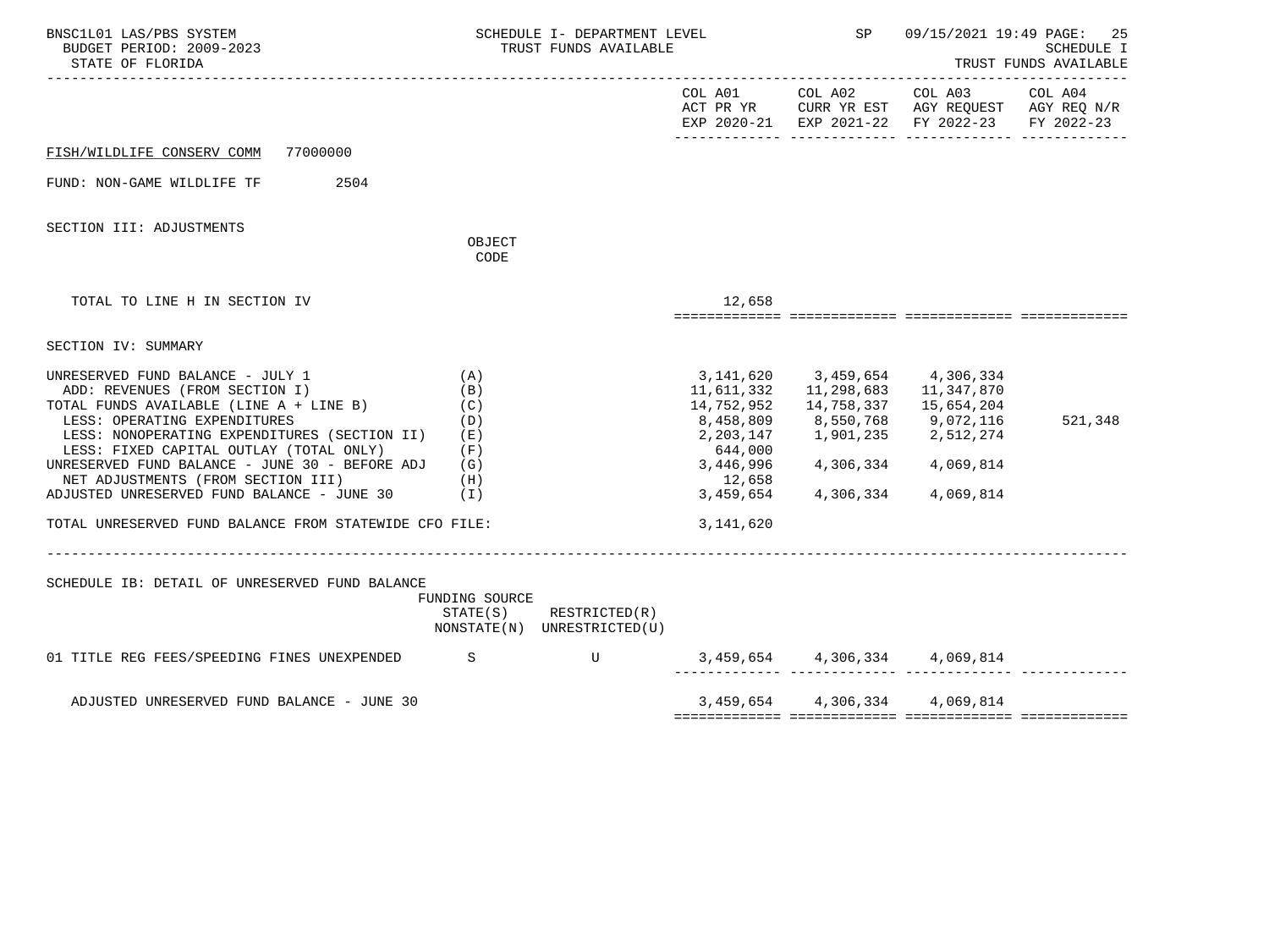| BNSC1L01 LAS/PBS SYSTEM<br>BUDGET PERIOD: 2009-2023<br>STATE OF FLORIDA                                                                                                                                                                                                                                                                                                                                                                  |                                                                       | SCHEDULE I- DEPARTMENT LEVEL<br>TRUST FUNDS AVAILABLE      |                                                                                                                | <b>SP</b>                                                                                                                    |                                                                                                | 09/15/2021 19:49 PAGE: 25<br><b>SCHEDULE I</b><br>TRUST FUNDS AVAILABLE |
|------------------------------------------------------------------------------------------------------------------------------------------------------------------------------------------------------------------------------------------------------------------------------------------------------------------------------------------------------------------------------------------------------------------------------------------|-----------------------------------------------------------------------|------------------------------------------------------------|----------------------------------------------------------------------------------------------------------------|------------------------------------------------------------------------------------------------------------------------------|------------------------------------------------------------------------------------------------|-------------------------------------------------------------------------|
|                                                                                                                                                                                                                                                                                                                                                                                                                                          |                                                                       |                                                            |                                                                                                                | COL A01 COL A02                                                                                                              | COL A03<br>ACT PR YR CURR YR EST AGY REQUEST AGY REQ N/R<br>EXP 2020-21 EXP 2021-22 FY 2022-23 | COL A04<br>FY 2022-23                                                   |
| FISH/WILDLIFE CONSERV COMM<br>77000000                                                                                                                                                                                                                                                                                                                                                                                                   |                                                                       |                                                            |                                                                                                                |                                                                                                                              |                                                                                                |                                                                         |
| 2504<br>FUND: NON-GAME WILDLIFE TF                                                                                                                                                                                                                                                                                                                                                                                                       |                                                                       |                                                            |                                                                                                                |                                                                                                                              |                                                                                                |                                                                         |
| SECTION III: ADJUSTMENTS                                                                                                                                                                                                                                                                                                                                                                                                                 | OBJECT<br>CODE                                                        |                                                            |                                                                                                                |                                                                                                                              |                                                                                                |                                                                         |
|                                                                                                                                                                                                                                                                                                                                                                                                                                          |                                                                       |                                                            |                                                                                                                |                                                                                                                              |                                                                                                |                                                                         |
| TOTAL TO LINE H IN SECTION IV                                                                                                                                                                                                                                                                                                                                                                                                            |                                                                       |                                                            | 12,658                                                                                                         |                                                                                                                              |                                                                                                |                                                                         |
| SECTION IV: SUMMARY                                                                                                                                                                                                                                                                                                                                                                                                                      |                                                                       |                                                            |                                                                                                                |                                                                                                                              |                                                                                                |                                                                         |
| UNRESERVED FUND BALANCE - JULY 1<br>ADD: REVENUES (FROM SECTION I)<br>TOTAL FUNDS AVAILABLE (LINE A + LINE B)<br>LESS: OPERATING EXPENDITURES<br>LESS: NONOPERATING EXPENDITURES (SECTION II)<br>LESS: FIXED CAPITAL OUTLAY (TOTAL ONLY)<br>UNRESERVED FUND BALANCE - JUNE 30 - BEFORE ADJ<br>NET ADJUSTMENTS (FROM SECTION III)<br>ADJUSTED UNRESERVED FUND BALANCE - JUNE 30<br>TOTAL UNRESERVED FUND BALANCE FROM STATEWIDE CFO FILE: | (A)<br>(B)<br>(C)<br>(D)<br>(E)<br>(F)<br>(G)<br>(H)<br>$(\lrcorner)$ |                                                            | 11,611,332<br>14,752,952<br>8,458,809<br>2,203,147<br>644,000<br>3,446,996<br>12,658<br>3,459,654<br>3,141,620 | 3, 141, 620 3, 459, 654 4, 306, 334<br>14,758,337   15,654,204<br>8,550,768<br>1,901,235 2,512,274<br>4,306,334<br>4,306,334 | 9,072,116<br>4,069,814<br>4,069,814                                                            | 521,348                                                                 |
| SCHEDULE IB: DETAIL OF UNRESERVED FUND BALANCE                                                                                                                                                                                                                                                                                                                                                                                           | FUNDING SOURCE                                                        | $STATE(S)$ RESTRICTED $(R)$<br>NONSTATE(N) UNRESTRICTED(U) |                                                                                                                |                                                                                                                              |                                                                                                |                                                                         |
| 01 TITLE REG FEES/SPEEDING FINES UNEXPENDED S                                                                                                                                                                                                                                                                                                                                                                                            |                                                                       |                                                            |                                                                                                                | 3, 459, 654 4, 306, 334 4, 069, 814<br>_________ ______________ ____                                                         |                                                                                                |                                                                         |
| ADJUSTED UNRESERVED FUND BALANCE - JUNE 30                                                                                                                                                                                                                                                                                                                                                                                               |                                                                       |                                                            |                                                                                                                | 3,459,654 4,306,334 4,069,814                                                                                                |                                                                                                |                                                                         |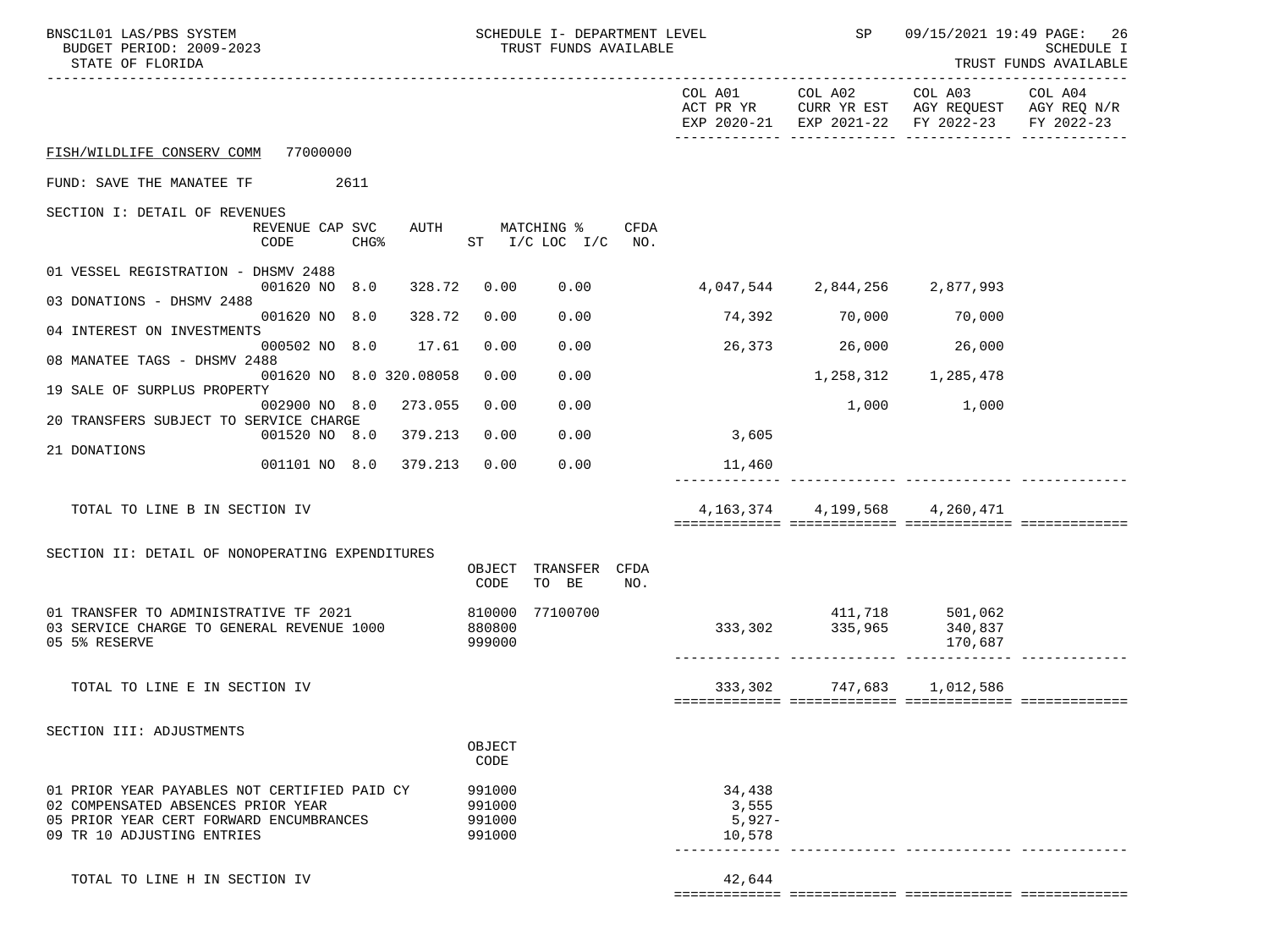| BNSC1L01 LAS/PBS SYSTEM<br>BUDGET PERIOD: 2009-2023<br>STATE OF FLORIDA       | SCHEDULE I- DEPARTMENT LEVEL<br>TRUST FUNDS AVAILABLE |                   | SP                            |                                                                                                                   | 09/15/2021 19:49 PAGE: 26<br><b>SCHEDULE I</b><br>TRUST FUNDS AVAILABLE |
|-------------------------------------------------------------------------------|-------------------------------------------------------|-------------------|-------------------------------|-------------------------------------------------------------------------------------------------------------------|-------------------------------------------------------------------------|
|                                                                               |                                                       |                   | COL A01 COL A02               | COL A03 COL A04<br>ACT PR YR CURR YR EST AGY REQUEST AGY REQ N/R<br>EXP 2020-21 EXP 2021-22 FY 2022-23 FY 2022-23 |                                                                         |
| FISH/WILDLIFE CONSERV COMM 77000000                                           |                                                       |                   |                               |                                                                                                                   |                                                                         |
| FUND: SAVE THE MANATEE TF 2611                                                |                                                       |                   |                               |                                                                                                                   |                                                                         |
| SECTION I: DETAIL OF REVENUES                                                 |                                                       |                   |                               |                                                                                                                   |                                                                         |
| REVENUE CAP SVC<br>CODE<br>CHG%                                               | AUTH<br>MATCHING %<br>ST I/C LOC I/C<br>NO.           | CFDA              |                               |                                                                                                                   |                                                                         |
| 01 VESSEL REGISTRATION - DHSMV 2488                                           |                                                       |                   |                               |                                                                                                                   |                                                                         |
| 001620 NO 8.0<br>328.72<br>03 DONATIONS - DHSMV 2488                          | 0.00<br>0.00                                          |                   | 4,047,544 2,844,256 2,877,993 |                                                                                                                   |                                                                         |
| 001620 NO 8.0<br>328.72<br>04 INTEREST ON INVESTMENTS                         | 0.00<br>0.00                                          |                   | 74,392 70,000                 | 70,000                                                                                                            |                                                                         |
| 000502 NO 8.0 17.61<br>08 MANATEE TAGS - DHSMV 2488                           | 0.00<br>0.00                                          |                   | 26,373 26,000 26,000          |                                                                                                                   |                                                                         |
| 001620 NO 8.0 320.08058                                                       | 0.00<br>0.00                                          |                   |                               | 1,258,312 1,285,478                                                                                               |                                                                         |
| 19 SALE OF SURPLUS PROPERTY<br>002900 NO 8.0 273.055                          | 0.00<br>0.00                                          |                   |                               | 1,000 1,000                                                                                                       |                                                                         |
| 20 TRANSFERS SUBJECT TO SERVICE CHARGE<br>001520 NO 8.0 379.213               | 0.00<br>0.00                                          | 3,605             |                               |                                                                                                                   |                                                                         |
| 21 DONATIONS<br>001101 NO 8.0 379.213                                         | 0.00<br>0.00                                          |                   |                               |                                                                                                                   |                                                                         |
|                                                                               |                                                       | 11,460            |                               |                                                                                                                   |                                                                         |
| TOTAL TO LINE B IN SECTION IV                                                 |                                                       | 4,163,374         | 4,199,568                     | 4,260,471                                                                                                         |                                                                         |
| SECTION II: DETAIL OF NONOPERATING EXPENDITURES                               |                                                       |                   |                               |                                                                                                                   |                                                                         |
|                                                                               | TRANSFER CFDA<br>OBJECT<br>TO BE<br>CODE<br>NO.       |                   |                               |                                                                                                                   |                                                                         |
| 01 TRANSFER TO ADMINISTRATIVE TF 2021                                         | 810000<br>77100700                                    |                   | 411,718 501,062               |                                                                                                                   |                                                                         |
| 03 SERVICE CHARGE TO GENERAL REVENUE 1000<br>05 5% RESERVE                    | 880800<br>999000                                      |                   | 333, 302 335, 965             | 340,837<br>170,687                                                                                                |                                                                         |
|                                                                               |                                                       |                   |                               |                                                                                                                   |                                                                         |
| TOTAL TO LINE E IN SECTION IV                                                 |                                                       |                   | 333,302 747,683 1,012,586     |                                                                                                                   |                                                                         |
| SECTION III: ADJUSTMENTS                                                      |                                                       |                   |                               |                                                                                                                   |                                                                         |
|                                                                               | OBJECT<br>CODE                                        |                   |                               |                                                                                                                   |                                                                         |
| 01 PRIOR YEAR PAYABLES NOT CERTIFIED PAID CY                                  | 991000                                                | 34,438            |                               |                                                                                                                   |                                                                         |
| 02 COMPENSATED ABSENCES PRIOR YEAR<br>05 PRIOR YEAR CERT FORWARD ENCUMBRANCES | 991000<br>991000                                      | 3,555<br>$5,927-$ |                               |                                                                                                                   |                                                                         |
| 09 TR 10 ADJUSTING ENTRIES                                                    | 991000                                                | 10,578            |                               |                                                                                                                   |                                                                         |
| TOTAL TO LINE H IN SECTION IV                                                 |                                                       | 42,644            |                               |                                                                                                                   |                                                                         |
|                                                                               |                                                       |                   |                               |                                                                                                                   |                                                                         |

============= ============= ============= =============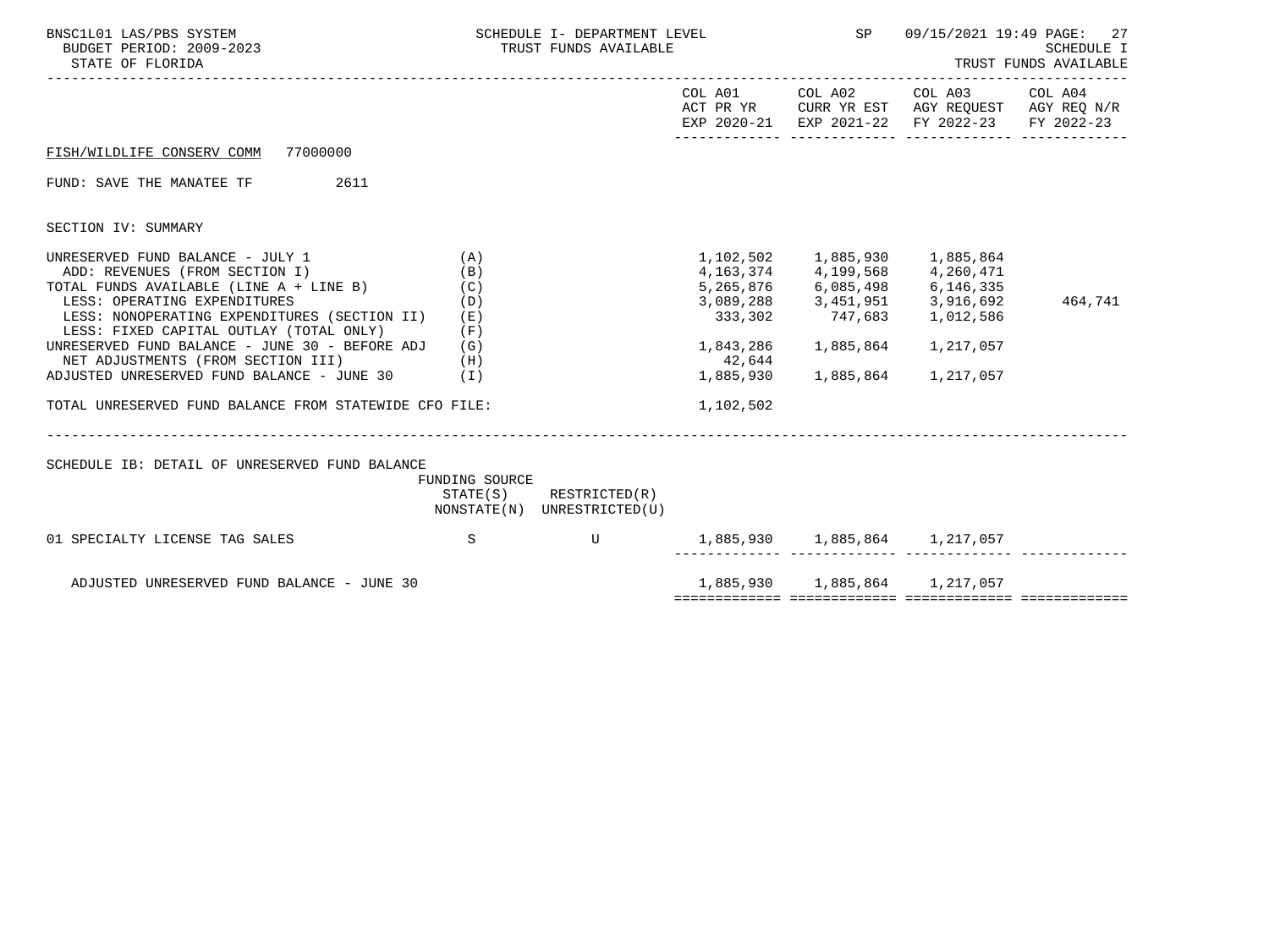| BNSC1L01 LAS/PBS SYSTEM<br>BUDGET PERIOD: 2009-2023<br>STATE OF FLORIDA                                                                                                                                                                                                                                                                                                                                                                          | SCHEDULE I- DEPARTMENT LEVEL THE SP SP<br>TRUST FUNDS AVAILABLE |                                                            |                                                          |                                                            | 27<br>09/15/2021 19:49 PAGE:<br>SCHEDULE I<br>TRUST FUNDS AVAILABLE                                            |         |  |
|--------------------------------------------------------------------------------------------------------------------------------------------------------------------------------------------------------------------------------------------------------------------------------------------------------------------------------------------------------------------------------------------------------------------------------------------------|-----------------------------------------------------------------|------------------------------------------------------------|----------------------------------------------------------|------------------------------------------------------------|----------------------------------------------------------------------------------------------------------------|---------|--|
|                                                                                                                                                                                                                                                                                                                                                                                                                                                  |                                                                 |                                                            |                                                          | COL A01 COL A02                                            | COL A03<br>ACT PR YR CURR YR EST AGY REQUEST AGY REQ N/R<br>EXP 2020-21 EXP 2021-22 FY 2022-23 FY 2022-23      | COL A04 |  |
| 77000000<br>FISH/WILDLIFE CONSERV COMM                                                                                                                                                                                                                                                                                                                                                                                                           |                                                                 |                                                            |                                                          |                                                            |                                                                                                                |         |  |
| FUND: SAVE THE MANATEE TF<br>2611                                                                                                                                                                                                                                                                                                                                                                                                                |                                                                 |                                                            |                                                          |                                                            |                                                                                                                |         |  |
| SECTION IV: SUMMARY                                                                                                                                                                                                                                                                                                                                                                                                                              |                                                                 |                                                            |                                                          |                                                            |                                                                                                                |         |  |
| UNRESERVED FUND BALANCE - JULY 1<br>ADD: REVENUES (FROM SECTION I)<br>TOTAL FUNDS AVAILABLE (LINE A + LINE B)<br>LESS: OPERATING EXPENDITURES<br>LESS: NONOPERATING EXPENDITURES (SECTION II)<br>LESS: FIXED CAPITAL OUTLAY (TOTAL ONLY)<br>UNRESERVED FUND BALANCE - JUNE 30 - BEFORE ADJ (G)<br>NET ADJUSTMENTS (FROM SECTION III)<br>ADJUSTED UNRESERVED FUND BALANCE - JUNE 30 (I)<br>TOTAL UNRESERVED FUND BALANCE FROM STATEWIDE CFO FILE: | (A)<br>(B)<br>(C)<br>(D)<br>(E)<br>(F)<br>(H)                   |                                                            | 333,302<br>1,843,286<br>42,644<br>1,885,930<br>1,102,502 | 4, 163, 374 4, 199, 568 4, 260, 471<br>1,885,864 1,217,057 | 5, 265, 876<br>3, 089, 288<br>3, 089, 288<br>3, 451, 951<br>3, 916, 692<br>333, 302<br>747, 683<br>4, 012, 586 | 464,741 |  |
| SCHEDULE IB: DETAIL OF UNRESERVED FUND BALANCE                                                                                                                                                                                                                                                                                                                                                                                                   | FUNDING SOURCE                                                  | $STATE(S)$ RESTRICTED $(R)$<br>NONSTATE(N) UNRESTRICTED(U) |                                                          |                                                            |                                                                                                                |         |  |
| 01 SPECIALTY LICENSE TAG SALES                                                                                                                                                                                                                                                                                                                                                                                                                   | $\mathbf S$                                                     | U                                                          | 1,885,930    1,885,864    1,217,057                      |                                                            |                                                                                                                |         |  |
| ADJUSTED UNRESERVED FUND BALANCE - JUNE 30                                                                                                                                                                                                                                                                                                                                                                                                       |                                                                 |                                                            |                                                          |                                                            | 1,885,930 1,885,864 1,217,057                                                                                  |         |  |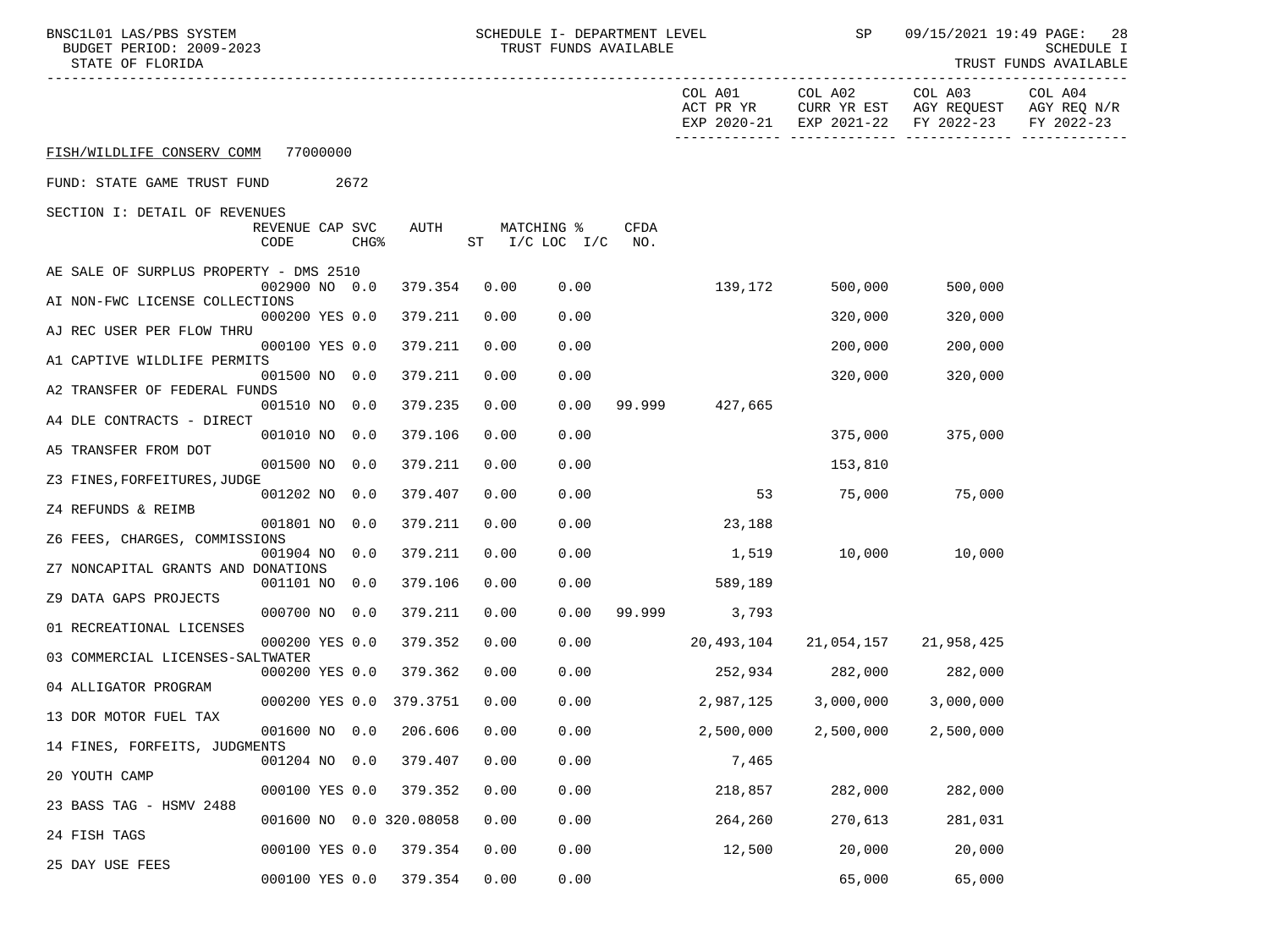| BNSC1L01 LAS/PBS SYSTEM<br>BUDGET PERIOD: 2009-2023<br>STATE OF FLORIDA |                         |          |                  |                         |      | SCHEDULE I- DEPARTMENT LEVEL<br>TRUST FUNDS AVAILABLE |                              |                    | SP                   | 09/15/2021 19:49 PAGE:  | 28<br>SCHEDULE I<br>TRUST FUNDS AVAILABLE                    |                                      |
|-------------------------------------------------------------------------|-------------------------|----------|------------------|-------------------------|------|-------------------------------------------------------|------------------------------|--------------------|----------------------|-------------------------|--------------------------------------------------------------|--------------------------------------|
|                                                                         |                         |          |                  |                         |      |                                                       |                              |                    | COL A01<br>ACT PR YR | COL A02<br>CURR YR EST  | COL A03<br>AGY REQUEST<br>EXP 2020-21 EXP 2021-22 FY 2022-23 | COL A04<br>AGY REQ N/R<br>FY 2022-23 |
| FISH/WILDLIFE CONSERV COMM                                              |                         | 77000000 |                  |                         |      |                                                       |                              |                    |                      |                         |                                                              |                                      |
| FUND: STATE GAME TRUST FUND                                             |                         |          | 2672             |                         |      |                                                       |                              |                    |                      |                         |                                                              |                                      |
| SECTION I: DETAIL OF REVENUES                                           |                         |          |                  |                         |      |                                                       |                              |                    |                      |                         |                                                              |                                      |
|                                                                         | REVENUE CAP SVC<br>CODE |          | CHG <sup>8</sup> | AUTH                    |      |                                                       | MATCHING %<br>ST I/C LOC I/C | <b>CFDA</b><br>NO. |                      |                         |                                                              |                                      |
| AE SALE OF SURPLUS PROPERTY - DMS 2510                                  |                         |          |                  |                         |      |                                                       |                              |                    |                      |                         |                                                              |                                      |
| AI NON-FWC LICENSE COLLECTIONS                                          | 002900 NO 0.0           |          |                  | 379.354                 | 0.00 |                                                       | 0.00                         |                    | 139,172              | 500,000                 | 500,000                                                      |                                      |
|                                                                         | 000200 YES 0.0          |          |                  | 379.211                 | 0.00 |                                                       | 0.00                         |                    |                      | 320,000                 | 320,000                                                      |                                      |
| AJ REC USER PER FLOW THRU                                               | 000100 YES 0.0          |          |                  | 379.211                 | 0.00 |                                                       | 0.00                         |                    |                      | 200,000                 | 200,000                                                      |                                      |
| A1 CAPTIVE WILDLIFE PERMITS                                             | 001500 NO 0.0           |          |                  | 379.211                 | 0.00 |                                                       | 0.00                         |                    |                      | 320,000                 | 320,000                                                      |                                      |
| A2 TRANSFER OF FEDERAL FUNDS                                            | 001510 NO 0.0           |          |                  |                         | 0.00 |                                                       |                              |                    |                      |                         |                                                              |                                      |
| A4 DLE CONTRACTS - DIRECT                                               |                         |          |                  | 379.235                 |      |                                                       | 0.00                         | 99.999             | 427,665              |                         |                                                              |                                      |
| A5 TRANSFER FROM DOT                                                    | 001010 NO 0.0           |          |                  | 379.106                 | 0.00 |                                                       | 0.00                         |                    |                      | 375,000                 | 375,000                                                      |                                      |
|                                                                         | 001500 NO 0.0           |          |                  | 379.211                 | 0.00 |                                                       | 0.00                         |                    |                      | 153,810                 |                                                              |                                      |
| Z3 FINES, FORFEITURES, JUDGE                                            | 001202 NO 0.0           |          |                  | 379.407                 | 0.00 |                                                       | 0.00                         |                    | 53                   |                         | 75,000 75,000                                                |                                      |
| Z4 REFUNDS & REIMB                                                      | 001801 NO 0.0           |          |                  | 379.211                 | 0.00 |                                                       | 0.00                         |                    | 23,188               |                         |                                                              |                                      |
| Z6 FEES, CHARGES, COMMISSIONS                                           |                         |          |                  |                         |      |                                                       |                              |                    |                      |                         |                                                              |                                      |
| Z7 NONCAPITAL GRANTS AND DONATIONS                                      | 001904 NO 0.0           |          |                  | 379.211                 | 0.00 |                                                       | 0.00                         |                    | 1,519                |                         | 10,000 10,000                                                |                                      |
| Z9 DATA GAPS PROJECTS                                                   | 001101 NO 0.0           |          |                  | 379.106                 | 0.00 |                                                       | 0.00                         |                    | 589,189              |                         |                                                              |                                      |
|                                                                         | 000700 NO 0.0           |          |                  | 379.211                 | 0.00 |                                                       | 0.00                         |                    | 99.999 3,793         |                         |                                                              |                                      |
| 01 RECREATIONAL LICENSES                                                | 000200 YES 0.0          |          |                  | 379.352                 | 0.00 |                                                       | 0.00                         |                    | 20,493,104           |                         | 21,054,157 21,958,425                                        |                                      |
| 03 COMMERCIAL LICENSES-SALTWATER                                        | 000200 YES 0.0          |          |                  | 379.362                 | 0.00 |                                                       | 0.00                         |                    |                      | 252,934 282,000 282,000 |                                                              |                                      |
| 04 ALLIGATOR PROGRAM                                                    |                         |          |                  |                         |      |                                                       |                              |                    |                      |                         |                                                              |                                      |
| 13 DOR MOTOR FUEL TAX                                                   |                         |          |                  | 000200 YES 0.0 379.3751 | 0.00 |                                                       | 0.00                         |                    | 2,987,125            | 3,000,000               | 3,000,000                                                    |                                      |
| 14 FINES, FORFEITS, JUDGMENTS                                           | 001600 NO 0.0           |          |                  | 206.606                 | 0.00 |                                                       | 0.00                         |                    | 2,500,000            | 2,500,000               | 2,500,000                                                    |                                      |
|                                                                         | 001204 NO 0.0           |          |                  | 379.407                 | 0.00 |                                                       | 0.00                         |                    | 7,465                |                         |                                                              |                                      |
| 20 YOUTH CAMP                                                           | 000100 YES 0.0          |          |                  | 379.352                 | 0.00 |                                                       | 0.00                         |                    | 218,857              | 282,000                 | 282,000                                                      |                                      |
| 23 BASS TAG - HSMV 2488                                                 |                         |          |                  | 001600 NO 0.0 320.08058 | 0.00 |                                                       | 0.00                         |                    | 264,260              | 270,613                 | 281,031                                                      |                                      |
| 24 FISH TAGS                                                            |                         |          |                  |                         |      |                                                       |                              |                    |                      |                         |                                                              |                                      |
| 25 DAY USE FEES                                                         | 000100 YES 0.0          |          |                  | 379.354                 | 0.00 |                                                       | 0.00                         |                    | 12,500               | 20,000                  | 20,000                                                       |                                      |
|                                                                         | 000100 YES 0.0          |          |                  | 379.354                 | 0.00 |                                                       | 0.00                         |                    |                      | 65,000                  | 65,000                                                       |                                      |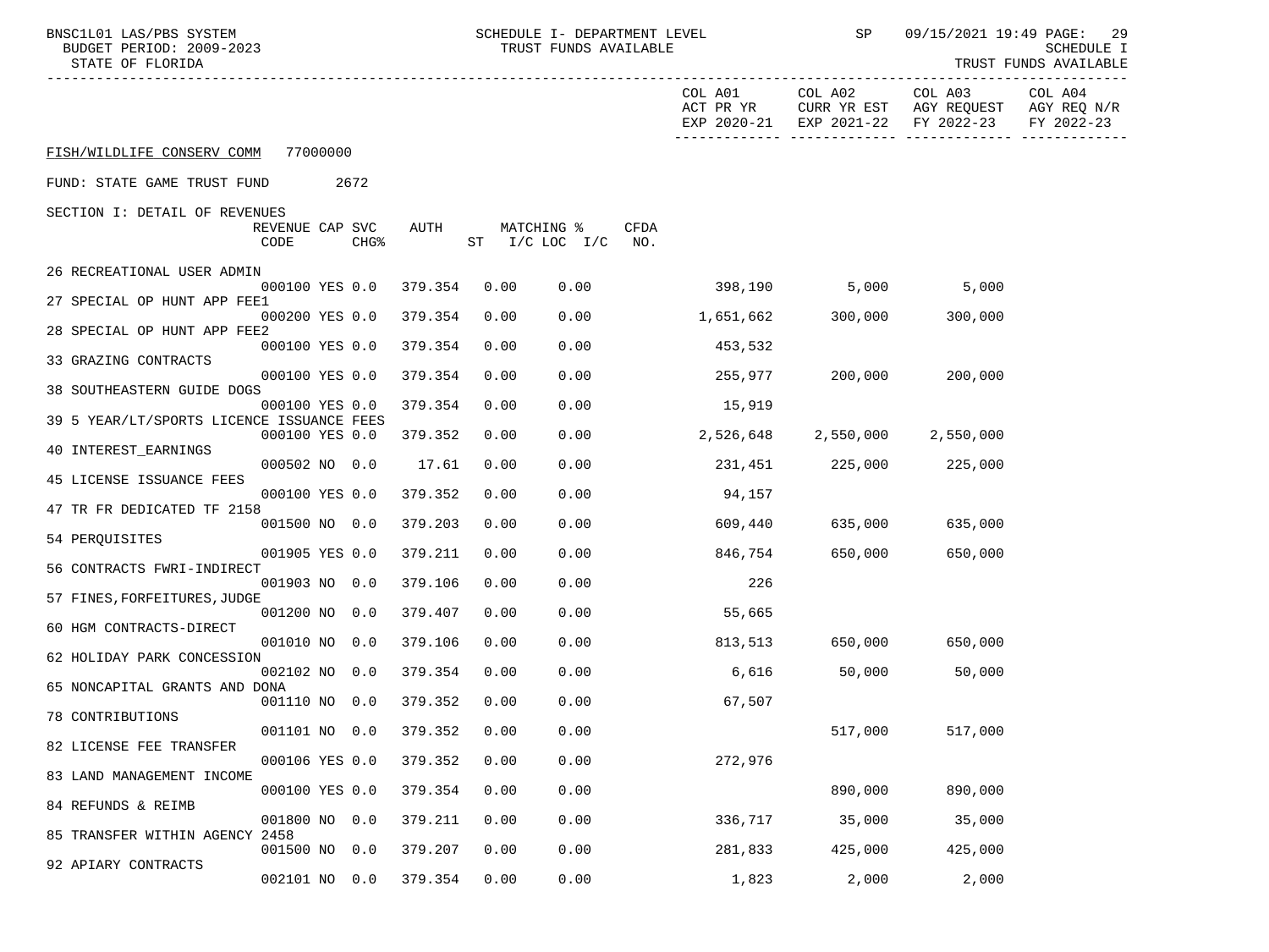| BNSC1L01 LAS/PBS SYSTEM<br>BUDGET PERIOD: 2009-2023<br>STATE OF FLORIDA |                         | SCHEDULE I- DEPARTMENT LEVEL<br>TRUST FUNDS AVAILABLE |                  |         |  | SP         | 09/15/2021 19:49 PAGE:<br>29<br>SCHEDULE I<br>TRUST FUNDS AVAILABLE |                    |                                                             |                                       |                                                                      |                                      |
|-------------------------------------------------------------------------|-------------------------|-------------------------------------------------------|------------------|---------|--|------------|---------------------------------------------------------------------|--------------------|-------------------------------------------------------------|---------------------------------------|----------------------------------------------------------------------|--------------------------------------|
|                                                                         |                         |                                                       |                  |         |  |            |                                                                     |                    | COL A01<br>ACT PR YR<br>EXP 2020-21<br>-------------------- | COL A02<br>CURR YR EST<br>EXP 2021-22 | COL A03<br>AGY REQUEST<br>FY 2022-23<br>_________ ______________ ___ | COL A04<br>AGY REQ N/R<br>FY 2022-23 |
| FISH/WILDLIFE CONSERV COMM 77000000                                     |                         |                                                       |                  |         |  |            |                                                                     |                    |                                                             |                                       |                                                                      |                                      |
| FUND: STATE GAME TRUST FUND                                             |                         | 2672                                                  |                  |         |  |            |                                                                     |                    |                                                             |                                       |                                                                      |                                      |
| SECTION I: DETAIL OF REVENUES                                           |                         |                                                       |                  |         |  |            |                                                                     |                    |                                                             |                                       |                                                                      |                                      |
|                                                                         | REVENUE CAP SVC<br>CODE |                                                       | CHG <sup>8</sup> | AUTH    |  | MATCHING % | ST I/C LOC I/C                                                      | <b>CFDA</b><br>NO. |                                                             |                                       |                                                                      |                                      |
| 26 RECREATIONAL USER ADMIN                                              |                         |                                                       |                  |         |  |            |                                                                     |                    |                                                             |                                       |                                                                      |                                      |
| 27 SPECIAL OP HUNT APP FEE1                                             | 000100 YES 0.0          |                                                       |                  | 379.354 |  | 0.00       | 0.00                                                                |                    | 398,190                                                     |                                       | 5,000<br>5,000                                                       |                                      |
| 28 SPECIAL OP HUNT APP FEE2                                             | 000200 YES 0.0          |                                                       |                  | 379.354 |  | 0.00       | 0.00                                                                |                    | 1,651,662                                                   | 300,000                               | 300,000                                                              |                                      |
|                                                                         | 000100 YES 0.0          |                                                       |                  | 379.354 |  | 0.00       | 0.00                                                                |                    | 453,532                                                     |                                       |                                                                      |                                      |
| 33 GRAZING CONTRACTS                                                    | 000100 YES 0.0          |                                                       |                  | 379.354 |  | 0.00       | 0.00                                                                |                    | 255,977                                                     | 200,000 200                           | 200,000                                                              |                                      |
| 38 SOUTHEASTERN GUIDE DOGS                                              |                         |                                                       |                  | 379.354 |  | 0.00       | 0.00                                                                |                    |                                                             |                                       |                                                                      |                                      |
| 39 5 YEAR/LT/SPORTS LICENCE ISSUANCE FEES                               | 000100 YES 0.0          |                                                       |                  |         |  |            |                                                                     |                    | 15,919                                                      |                                       |                                                                      |                                      |
| <b>40 INTEREST EARNINGS</b>                                             | 000100 YES 0.0          |                                                       |                  | 379.352 |  | 0.00       | 0.00                                                                |                    | 2,526,648                                                   |                                       | 2,550,000 2,550,000                                                  |                                      |
|                                                                         | 000502 NO 0.0           |                                                       |                  | 17.61   |  | 0.00       | 0.00                                                                |                    | 231,451                                                     | 225,000                               | 225,000                                                              |                                      |
| 45 LICENSE ISSUANCE FEES                                                | 000100 YES 0.0          |                                                       |                  | 379.352 |  | 0.00       | 0.00                                                                |                    | 94,157                                                      |                                       |                                                                      |                                      |
| 47 TR FR DEDICATED TF 2158                                              | 001500 NO 0.0           |                                                       |                  | 379.203 |  | 0.00       | 0.00                                                                |                    | 609,440                                                     | 635,000                               | 635,000                                                              |                                      |
| 54 PERQUISITES                                                          |                         |                                                       |                  |         |  |            |                                                                     |                    |                                                             |                                       |                                                                      |                                      |
| 56 CONTRACTS FWRI-INDIRECT                                              | 001905 YES 0.0          |                                                       |                  | 379.211 |  | 0.00       | 0.00                                                                |                    | 846,754                                                     | 650,000                               | 650,000                                                              |                                      |
| 57 FINES, FORFEITURES, JUDGE                                            | 001903 NO 0.0           |                                                       |                  | 379.106 |  | 0.00       | 0.00                                                                |                    | 226                                                         |                                       |                                                                      |                                      |
|                                                                         | 001200 NO 0.0           |                                                       |                  | 379.407 |  | 0.00       | 0.00                                                                |                    | 55,665                                                      |                                       |                                                                      |                                      |
| 60 HGM CONTRACTS-DIRECT                                                 | 001010 NO 0.0           |                                                       |                  | 379.106 |  | 0.00       | 0.00                                                                |                    | 813,513                                                     |                                       | 650,000 650,000                                                      |                                      |
| 62 HOLIDAY PARK CONCESSION                                              |                         |                                                       |                  |         |  |            |                                                                     |                    |                                                             |                                       |                                                                      |                                      |
| 65 NONCAPITAL GRANTS AND DONA                                           | 002102 NO 0.0           |                                                       |                  | 379.354 |  | 0.00       | 0.00                                                                |                    | 6,616                                                       | 50,000                                | 50,000                                                               |                                      |
| 78 CONTRIBUTIONS                                                        | 001110 NO 0.0           |                                                       |                  | 379.352 |  | 0.00       | 0.00                                                                |                    | 67,507                                                      |                                       |                                                                      |                                      |
|                                                                         | 001101 NO 0.0           |                                                       |                  | 379.352 |  | 0.00       | 0.00                                                                |                    |                                                             | 517,000                               | 517,000                                                              |                                      |
| 82 LICENSE FEE TRANSFER                                                 | 000106 YES 0.0          |                                                       |                  | 379.352 |  | 0.00       | 0.00                                                                |                    | 272,976                                                     |                                       |                                                                      |                                      |
| 83 LAND MANAGEMENT INCOME                                               | 000100 YES 0.0          |                                                       |                  | 379.354 |  | 0.00       | 0.00                                                                |                    |                                                             | 890,000                               | 890,000                                                              |                                      |
| 84 REFUNDS & REIMB                                                      |                         |                                                       |                  |         |  |            |                                                                     |                    |                                                             |                                       |                                                                      |                                      |
| 85 TRANSFER WITHIN AGENCY 2458                                          | 001800 NO 0.0           |                                                       |                  | 379.211 |  | 0.00       | 0.00                                                                |                    | 336,717                                                     | 35,000                                | 35,000                                                               |                                      |
| 92 APIARY CONTRACTS                                                     | 001500 NO 0.0           |                                                       |                  | 379.207 |  | 0.00       | 0.00                                                                |                    | 281,833                                                     | 425,000                               | 425,000                                                              |                                      |
|                                                                         | 002101 NO               |                                                       | 0.0              | 379.354 |  | 0.00       | 0.00                                                                |                    | 1,823                                                       | 2,000                                 | 2,000                                                                |                                      |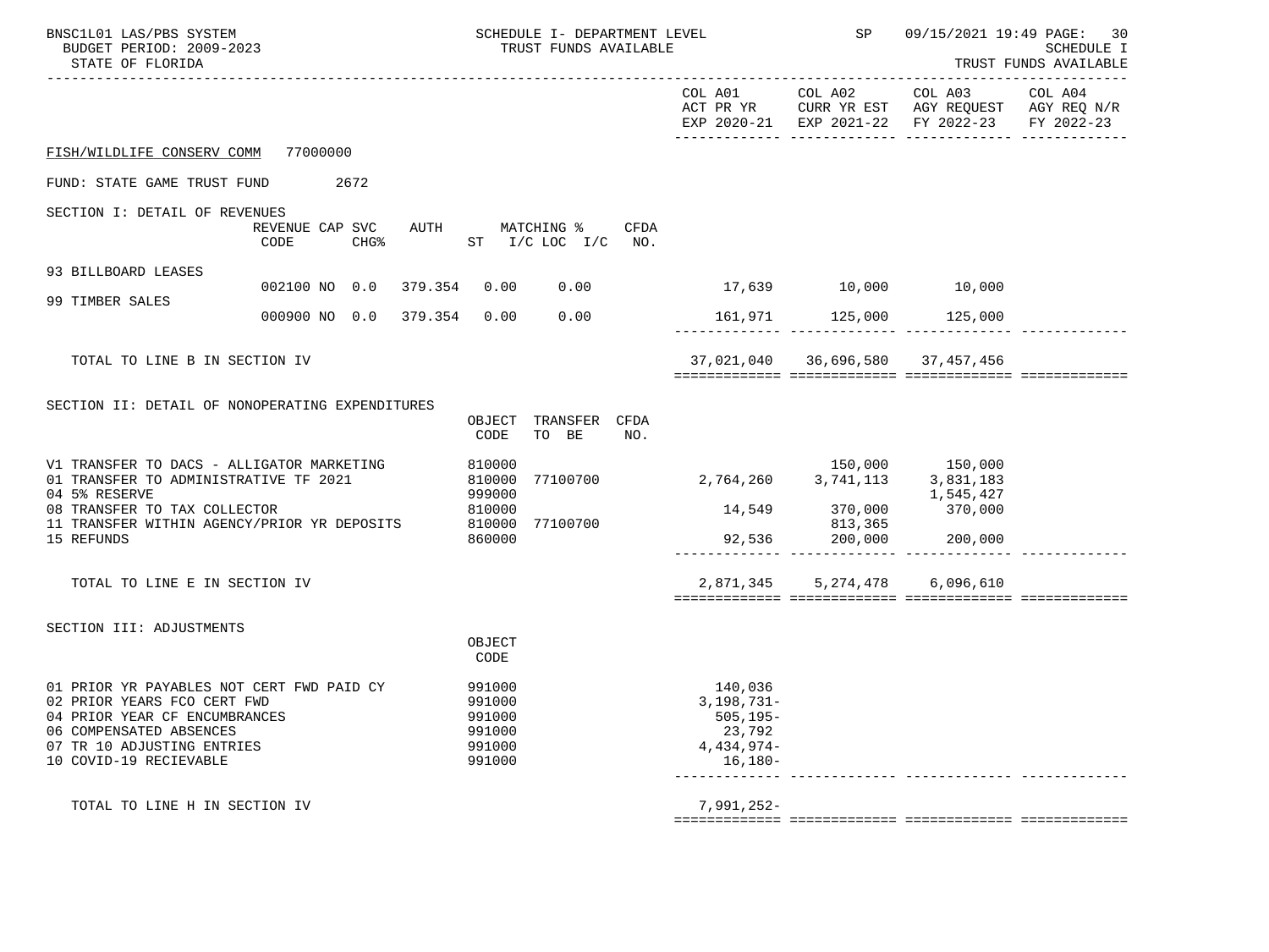| BNSC1L01 LAS/PBS SYSTEM<br>BUDGET PERIOD: 2009-2023<br>STATE OF FLORIDA                                                                                                                      | SCHEDULE I- DEPARTMENT LEVEL<br>TRUST FUNDS AVAILABLE                  |                                                                                          | <b>SP</b>                                            |                                                       | 09/15/2021 19:49 PAGE: 30<br><b>SCHEDULE I</b><br>TRUST FUNDS AVAILABLE |
|----------------------------------------------------------------------------------------------------------------------------------------------------------------------------------------------|------------------------------------------------------------------------|------------------------------------------------------------------------------------------|------------------------------------------------------|-------------------------------------------------------|-------------------------------------------------------------------------|
|                                                                                                                                                                                              |                                                                        |                                                                                          |                                                      | COL A03 COL A04<br>EXP 2020-21 EXP 2021-22 FY 2022-23 | FY 2022-23                                                              |
| FISH/WILDLIFE CONSERV COMM 77000000                                                                                                                                                          |                                                                        |                                                                                          |                                                      |                                                       |                                                                         |
| FUND: STATE GAME TRUST FUND 2672                                                                                                                                                             |                                                                        |                                                                                          |                                                      |                                                       |                                                                         |
| SECTION I: DETAIL OF REVENUES<br>REVENUE CAP SVC<br>CODE                                                                                                                                     | AUTH MATCHING %<br>CFDA<br>CHG <sup>&amp;</sup> ST I/C LOC I/C NO.     |                                                                                          |                                                      |                                                       |                                                                         |
| 93 BILLBOARD LEASES<br>002100 NO 0.0 379.354                                                                                                                                                 | $0.00$ $0.00$                                                          | 17,639 10,000 10,000                                                                     |                                                      |                                                       |                                                                         |
| 99 TIMBER SALES<br>000900 NO 0.0 379.354 0.00                                                                                                                                                | 0.00                                                                   |                                                                                          | 161,971 125,000 125,000                              |                                                       |                                                                         |
| TOTAL TO LINE B IN SECTION IV                                                                                                                                                                |                                                                        |                                                                                          | 37,021,040 36,696,580 37,457,456                     |                                                       |                                                                         |
| SECTION II: DETAIL OF NONOPERATING EXPENDITURES                                                                                                                                              | OBJECT TRANSFER CFDA<br>TO BE<br>CODE<br>NO.                           |                                                                                          |                                                      |                                                       |                                                                         |
| V1 TRANSFER TO DACS - ALLIGATOR MARKETING<br>01 TRANSFER TO ADMINISTRATIVE TF 2021<br>04 5% RESERVE<br>08 TRANSFER TO TAX COLLECTOR<br>11 TRANSFER WITHIN AGENCY/PRIOR YR DEPOSITS           | 810000<br>77100700<br>810000<br>999000<br>810000<br>810000<br>77100700 | 2, 764, 260 3, 741, 113 3, 831, 183                                                      | 150,000 150,000<br>14,549 370,000 370,000<br>813,365 | 1,545,427                                             |                                                                         |
| 15 REFUNDS                                                                                                                                                                                   | 860000                                                                 |                                                                                          | 92,536 200,000 200,000                               |                                                       |                                                                         |
| TOTAL TO LINE E IN SECTION IV                                                                                                                                                                |                                                                        |                                                                                          | 2,871,345 5,274,478                                  | 6,096,610                                             |                                                                         |
| SECTION III: ADJUSTMENTS                                                                                                                                                                     | OBJECT<br>CODE                                                         |                                                                                          |                                                      |                                                       |                                                                         |
| 01 PRIOR YR PAYABLES NOT CERT FWD PAID CY<br>02 PRIOR YEARS FCO CERT FWD<br>04 PRIOR YEAR CF ENCUMBRANCES<br>06 COMPENSATED ABSENCES<br>07 TR 10 ADJUSTING ENTRIES<br>10 COVID-19 RECIEVABLE | 991000<br>991000<br>991000<br>991000<br>991000<br>991000               | 140,036<br>3,198,731-<br>$505, 195 -$<br>23,792<br>4,434,974-<br>$16,180-$<br>---------- |                                                      |                                                       |                                                                         |
| TOTAL TO LINE H IN SECTION IV                                                                                                                                                                |                                                                        | $7,991,252-$                                                                             |                                                      |                                                       |                                                                         |